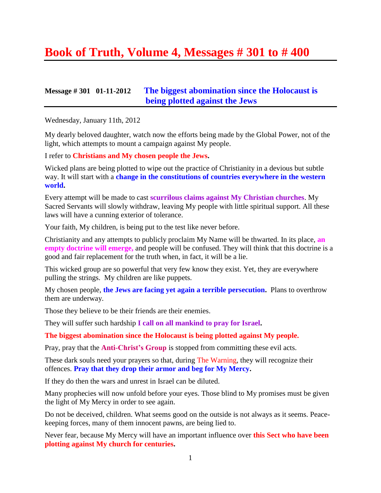# **Book of Truth, Volume 4, Messages # 301 to # 400**

### **Message # 301 01-11-2012 [The biggest abomination since the Holocaust is](http://www.thewarningsecondcoming.com/the-biggest-abomination-since-the-holocaust-is-being-plotted-against-the-jews/)  [being plotted against the Jews](http://www.thewarningsecondcoming.com/the-biggest-abomination-since-the-holocaust-is-being-plotted-against-the-jews/)**

Wednesday, January 11th, 2012

My dearly beloved daughter, watch now the efforts being made by the Global Power, not of the light, which attempts to mount a campaign against My people.

I refer to **Christians and My chosen people the Jews.**

Wicked plans are being plotted to wipe out the practice of Christianity in a devious but subtle way. It will start with a **change in the constitutions of countries everywhere in the western world.**

Every attempt will be made to cast **scurrilous claims against My Christian churches**. My Sacred Servants will slowly withdraw, leaving My people with little spiritual support. All these laws will have a cunning exterior of tolerance.

Your faith, My children, is being put to the test like never before.

Christianity and any attempts to publicly proclaim My Name will be thwarted. In its place, **an empty doctrine will emerge,** and people will be confused. They will think that this doctrine is a good and fair replacement for the truth when, in fact, it will be a lie.

This wicked group are so powerful that very few know they exist. Yet, they are everywhere pulling the strings. My children are like puppets.

My chosen people, **the Jews are facing yet again a terrible persecution.** Plans to overthrow them are underway.

Those they believe to be their friends are their enemies.

They will suffer such hardship **I call on all mankind to pray for Israel.**

**The biggest abomination since the Holocaust is being plotted against My people.**

Pray, pray that the **Anti-Christ's Group** is stopped from committing these evil acts.

These dark souls need your prayers so that, during The Warning, they will recognize their offences. **Pray that they drop their armor and beg for My Mercy.**

If they do then the wars and unrest in Israel can be diluted.

Many prophecies will now unfold before your eyes. Those blind to My promises must be given the light of My Mercy in order to see again.

Do not be deceived, children. What seems good on the outside is not always as it seems. Peacekeeping forces, many of them innocent pawns, are being lied to.

Never fear, because My Mercy will have an important influence over **this Sect who have been plotting against My church for centuries.**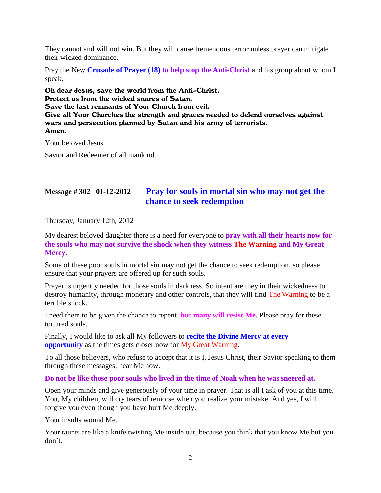They cannot and will not win. But they will cause tremendous terror unless prayer can mitigate their wicked dominance.

Pray the New **Crusade of Prayer (18) to help stop the Anti-Christ** and his group about whom I speak.

Oh dear Jesus, save the world from the Anti-Christ. Protect us from the wicked snares of Satan. Save the last remnants of Your Church from evil. Give all Your Churches the strength and graces needed to defend ourselves against wars and persecution planned by Satan and his army of terrorists. Amen.

Your beloved Jesus

Savior and Redeemer of all mankind

# **Message # 302 01-12-2012 [Pray for souls in mortal sin who may not get the](http://www.thewarningsecondcoming.com/prayers-urgently-needed-for-souls-in-mortal-sin-may-not-get-the-chance-to-seek-redemption/)  [chance to seek redemption](http://www.thewarningsecondcoming.com/prayers-urgently-needed-for-souls-in-mortal-sin-may-not-get-the-chance-to-seek-redemption/)**

Thursday, January 12th, 2012

My dearest beloved daughter there is a need for everyone to **pray with all their hearts now for the souls who may not survive the shock when they witness The Warning and My Great Mercy.**

Some of these poor souls in mortal sin may not get the chance to seek redemption, so please ensure that your prayers are offered up for such souls.

Prayer is urgently needed for those souls in darkness. So intent are they in their wickedness to destroy humanity, through monetary and other controls, that they will find The Warning to be a terrible shock.

I need them to be given the chance to repent, **but many will resist Me.** Please pray for these tortured souls.

Finally, I would like to ask all My followers to **recite the Divine Mercy at every opportunity** as the times gets closer now for My Great Warning.

To all those believers, who refuse to accept that it is I, Jesus Christ, their Savior speaking to them through these messages, hear Me now.

### **Do not be like those poor souls who lived in the time of Noah when he was sneered at.**

Open your minds and give generously of your time in prayer. That is all I ask of you at this time. You, My children, will cry tears of remorse when you realize your mistake. And yes, I will forgive you even though you have hurt Me deeply.

Your insults wound Me.

Your taunts are like a knife twisting Me inside out, because you think that you know Me but you don't.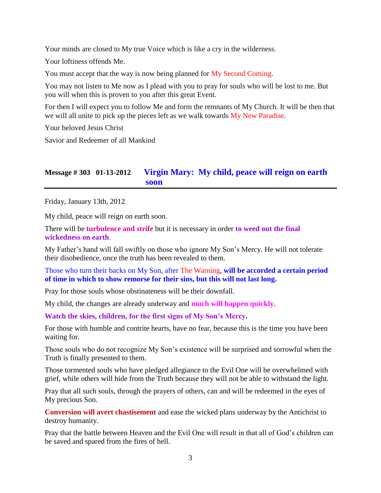Your minds are closed to My true Voice which is like a cry in the wilderness.

Your loftiness offends Me.

You must accept that the way is now being planned for My Second Coming.

You may not listen to Me now as I plead with you to pray for souls who will be lost to me. But you will when this is proven to you after this great Event.

For then I will expect you to follow Me and form the remnants of My Church. It will be then that we will all unite to pick up the pieces left as we walk towards My New Paradise.

Your beloved Jesus Christ

Savior and Redeemer of all Mankind

# **Message # 303 01-13-2012 V[irgin Mary: My child, peace will reign on earth](http://www.thewarningsecondcoming.com/virgin-mary-my-child-peace-will-reign-on-earth-soon/)  [soon](http://www.thewarningsecondcoming.com/virgin-mary-my-child-peace-will-reign-on-earth-soon/)**

Friday, January 13th, 2012

My child, peace will reign on earth soon.

There will be **turbulence and strife** but it is necessary in order **to weed out the final wickedness on earth**.

My Father's hand will fall swiftly on those who ignore My Son's Mercy. He will not tolerate their disobedience, once the truth has been revealed to them.

### Those who turn their backs on My Son, after The Warning, **will be accorded a certain period of time in which to show remorse for their sins, but this will not last long.**

Pray for those souls whose obstinateness will be their downfall.

My child, the changes are already underway and **much will happen quickly.**

**Watch the skies, children, for the first signs of My Son's Mercy.**

For those with humble and contrite hearts, have no fear, because this is the time you have been waiting for.

Those souls who do not recognize My Son's existence will be surprised and sorrowful when the Truth is finally presented to them.

Those tormented souls who have pledged allegiance to the Evil One will be overwhelmed with grief, while others will hide from the Truth because they will not be able to withstand the light.

Pray that all such souls, through the prayers of others, can and will be redeemed in the eyes of My precious Son.

**Conversion will avert chastisement** and ease the wicked plans underway by the Antichrist to destroy humanity.

Pray that the battle between Heaven and the Evil One will result in that all of God's children can be saved and spared from the fires of hell.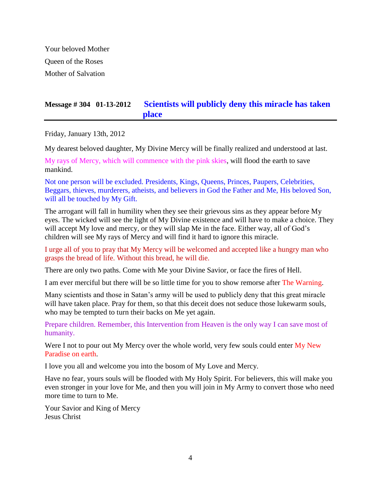Your beloved Mother Queen of the Roses Mother of Salvation

# **Message # 304 01-13-2012 [Scientists will publicly deny this miracle has taken](http://www.thewarningsecondcoming.com/scientists-will-publicly-deny-this-miracle-has-taken-place/)  [place](http://www.thewarningsecondcoming.com/scientists-will-publicly-deny-this-miracle-has-taken-place/)**

Friday, January 13th, 2012

My dearest beloved daughter, My Divine Mercy will be finally realized and understood at last.

My rays of Mercy, which will commence with the pink skies, will flood the earth to save mankind.

Not one person will be excluded. Presidents, Kings, Queens, Princes, Paupers, Celebrities, Beggars, thieves, murderers, atheists, and believers in God the Father and Me, His beloved Son, will all be touched by My Gift.

The arrogant will fall in humility when they see their grievous sins as they appear before My eyes. The wicked will see the light of My Divine existence and will have to make a choice. They will accept My love and mercy, or they will slap Me in the face. Either way, all of God's children will see My rays of Mercy and will find it hard to ignore this miracle.

I urge all of you to pray that My Mercy will be welcomed and accepted like a hungry man who grasps the bread of life. Without this bread, he will die.

There are only two paths. Come with Me your Divine Savior, or face the fires of Hell.

I am ever merciful but there will be so little time for you to show remorse after The Warning.

Many scientists and those in Satan's army will be used to publicly deny that this great miracle will have taken place. Pray for them, so that this deceit does not seduce those lukewarm souls, who may be tempted to turn their backs on Me yet again.

Prepare children. Remember, this Intervention from Heaven is the only way I can save most of humanity.

Were I not to pour out My Mercy over the whole world, very few souls could enter My New Paradise on earth.

I love you all and welcome you into the bosom of My Love and Mercy.

Have no fear, yours souls will be flooded with My Holy Spirit. For believers, this will make you even stronger in your love for Me, and then you will join in My Army to convert those who need more time to turn to Me.

Your Savior and King of Mercy Jesus Christ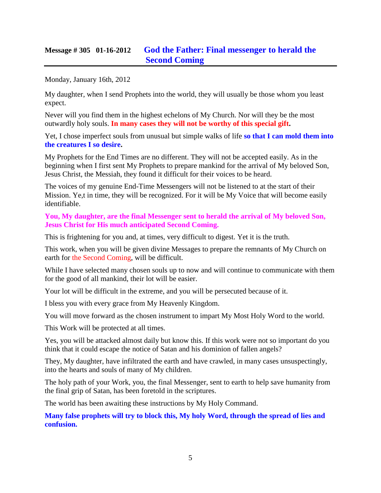# **Message # 305 01-16-2012 [God the Father: Final messenger to herald the](http://www.thewarningsecondcoming.com/god-the-father-the-last-end-time-prophet/)  [Second Coming](http://www.thewarningsecondcoming.com/god-the-father-the-last-end-time-prophet/)**

Monday, January 16th, 2012

My daughter, when I send Prophets into the world, they will usually be those whom you least expect.

Never will you find them in the highest echelons of My Church. Nor will they be the most outwardly holy souls. **In many cases they will not be worthy of this special gift.**

Yet, I chose imperfect souls from unusual but simple walks of life **so that I can mold them into the creatures I so desire.**

My Prophets for the End Times are no different. They will not be accepted easily. As in the beginning when I first sent My Prophets to prepare mankind for the arrival of My beloved Son, Jesus Christ, the Messiah, they found it difficult for their voices to be heard.

The voices of my genuine End-Time Messengers will not be listened to at the start of their Mission. Ye,t in time, they will be recognized. For it will be My Voice that will become easily identifiable.

**You, My daughter, are the final Messenger sent to herald the arrival of My beloved Son, Jesus Christ for His much anticipated Second Coming.**

This is frightening for you and, at times, very difficult to digest. Yet it is the truth.

This work, when you will be given divine Messages to prepare the remnants of My Church on earth for the Second Coming, will be difficult.

While I have selected many chosen souls up to now and will continue to communicate with them for the good of all mankind, their lot will be easier.

Your lot will be difficult in the extreme, and you will be persecuted because of it.

I bless you with every grace from My Heavenly Kingdom.

You will move forward as the chosen instrument to impart My Most Holy Word to the world.

This Work will be protected at all times.

Yes, you will be attacked almost daily but know this. If this work were not so important do you think that it could escape the notice of Satan and his dominion of fallen angels?

They, My daughter, have infiltrated the earth and have crawled, in many cases unsuspectingly, into the hearts and souls of many of My children.

The holy path of your Work, you, the final Messenger, sent to earth to help save humanity from the final grip of Satan, has been foretold in the scriptures.

The world has been awaiting these instructions by My Holy Command.

**Many false prophets will try to block this, My holy Word, through the spread of lies and confusion.**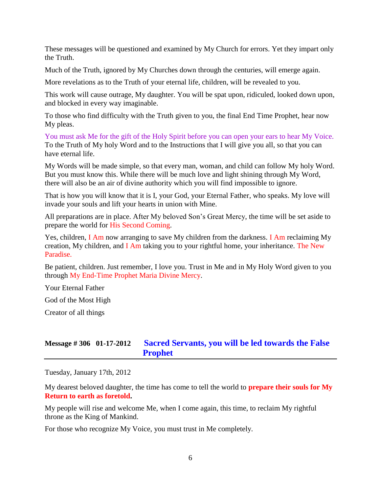These messages will be questioned and examined by My Church for errors. Yet they impart only the Truth.

Much of the Truth, ignored by My Churches down through the centuries, will emerge again.

More revelations as to the Truth of your eternal life, children, will be revealed to you.

This work will cause outrage, My daughter. You will be spat upon, ridiculed, looked down upon, and blocked in every way imaginable.

To those who find difficulty with the Truth given to you, the final End Time Prophet, hear now My pleas.

You must ask Me for the gift of the Holy Spirit before you can open your ears to hear My Voice. To the Truth of My holy Word and to the Instructions that I will give you all, so that you can have eternal life.

My Words will be made simple, so that every man, woman, and child can follow My holy Word. But you must know this. While there will be much love and light shining through My Word, there will also be an air of divine authority which you will find impossible to ignore.

That is how you will know that it is I, your God, your Eternal Father, who speaks. My love will invade your souls and lift your hearts in union with Mine.

All preparations are in place. After My beloved Son's Great Mercy, the time will be set aside to prepare the world for His Second Coming.

Yes, children, I Am now arranging to save My children from the darkness. I Am reclaiming My creation, My children, and I Am taking you to your rightful home, your inheritance. The New Paradise.

Be patient, children. Just remember, I love you. Trust in Me and in My Holy Word given to you through My End-Time Prophet Maria Divine Mercy.

Your Eternal Father

God of the Most High

Creator of all things

# **Message # 306 01-17-2012 [Sacred Servants, you will be led towards the False](http://www.thewarningsecondcoming.com/sacred-servants-you-will-be-led-towards-the-false-prophet/)  [Prophet](http://www.thewarningsecondcoming.com/sacred-servants-you-will-be-led-towards-the-false-prophet/)**

Tuesday, January 17th, 2012

My dearest beloved daughter, the time has come to tell the world to **prepare their souls for My Return to earth as foretold.**

My people will rise and welcome Me, when I come again, this time, to reclaim My rightful throne as the King of Mankind.

For those who recognize My Voice, you must trust in Me completely.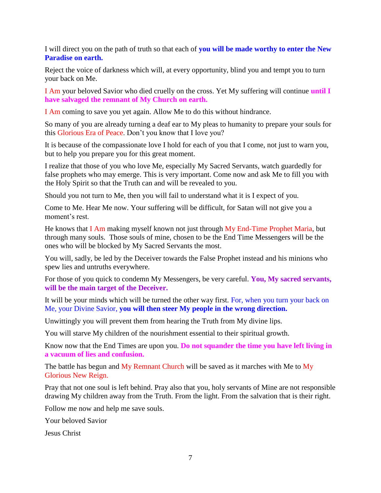I will direct you on the path of truth so that each of **you will be made worthy to enter the New Paradise on earth.**

Reject the voice of darkness which will, at every opportunity, blind you and tempt you to turn your back on Me.

I Am your beloved Savior who died cruelly on the cross. Yet My suffering will continue **until I have salvaged the remnant of My Church on earth.**

I Am coming to save you yet again. Allow Me to do this without hindrance.

So many of you are already turning a deaf ear to My pleas to humanity to prepare your souls for this Glorious Era of Peace. Don't you know that I love you?

It is because of the compassionate love I hold for each of you that I come, not just to warn you, but to help you prepare you for this great moment.

I realize that those of you who love Me, especially My Sacred Servants, watch guardedly for false prophets who may emerge. This is very important. Come now and ask Me to fill you with the Holy Spirit so that the Truth can and will be revealed to you.

Should you not turn to Me, then you will fail to understand what it is I expect of you.

Come to Me. Hear Me now. Your suffering will be difficult, for Satan will not give you a moment's rest.

He knows that I Am making myself known not just through My End-Time Prophet Maria, but through many souls. Those souls of mine, chosen to be the End Time Messengers will be the ones who will be blocked by My Sacred Servants the most.

You will, sadly, be led by the Deceiver towards the False Prophet instead and his minions who spew lies and untruths everywhere.

For those of you quick to condemn My Messengers, be very careful. **You, My sacred servants, will be the main target of the Deceiver.**

It will be your minds which will be turned the other way first. For, when you turn your back on Me, your Divine Savior, **you will then steer My people in the wrong direction.**

Unwittingly you will prevent them from hearing the Truth from My divine lips.

You will starve My children of the nourishment essential to their spiritual growth.

Know now that the End Times are upon you. **Do not squander the time you have left living in a vacuum of lies and confusion.**

The battle has begun and My Remnant Church will be saved as it marches with Me to My Glorious New Reign.

Pray that not one soul is left behind. Pray also that you, holy servants of Mine are not responsible drawing My children away from the Truth. From the light. From the salvation that is their right.

Follow me now and help me save souls.

Your beloved Savior

Jesus Christ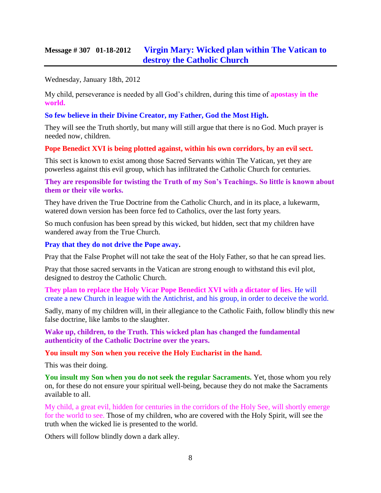# **Message # 307 01-18-2012 [Virgin Mary: Wicked plan within The Vatican to](http://www.thewarningsecondcoming.com/virgin-mary-wicked-plan-within-the-vatican-to-destroy-the-catholic-church/)  [destroy the Catholic Church](http://www.thewarningsecondcoming.com/virgin-mary-wicked-plan-within-the-vatican-to-destroy-the-catholic-church/)**

Wednesday, January 18th, 2012

My child, perseverance is needed by all God's children, during this time of **apostasy in the world.**

**So few believe in their Divine Creator, my Father, God the Most High.**

They will see the Truth shortly, but many will still argue that there is no God. Much prayer is needed now, children.

**Pope Benedict XVI is being plotted against, within his own corridors, by an evil sect.**

This sect is known to exist among those Sacred Servants within The Vatican, yet they are powerless against this evil group, which has infiltrated the Catholic Church for centuries.

**They are responsible for twisting the Truth of my Son's Teachings. So little is known about them or their vile works.**

They have driven the True Doctrine from the Catholic Church, and in its place, a lukewarm, watered down version has been force fed to Catholics, over the last forty years.

So much confusion has been spread by this wicked, but hidden, sect that my children have wandered away from the True Church.

#### **Pray that they do not drive the Pope away.**

Pray that the False Prophet will not take the seat of the Holy Father, so that he can spread lies.

Pray that those sacred servants in the Vatican are strong enough to withstand this evil plot, designed to destroy the Catholic Church.

**They plan to replace the Holy Vicar Pope Benedict XVI with a dictator of lies.** He will create a new Church in league with the Antichrist, and his group, in order to deceive the world.

Sadly, many of my children will, in their allegiance to the Catholic Faith, follow blindly this new false doctrine, like lambs to the slaughter.

**Wake up, children, to the Truth. This wicked plan has changed the fundamental authenticity of the Catholic Doctrine over the years.**

**You insult my Son when you receive the Holy Eucharist in the hand.**

This was their doing.

**You insult my Son when you do not seek the regular Sacraments.** Yet, those whom you rely on, for these do not ensure your spiritual well-being, because they do not make the Sacraments available to all.

My child, a great evil, hidden for centuries in the corridors of the Holy See, will shortly emerge for the world to see. Those of my children, who are covered with the Holy Spirit, will see the truth when the wicked lie is presented to the world.

Others will follow blindly down a dark alley.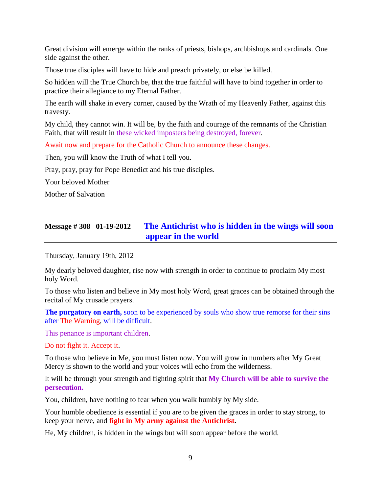Great division will emerge within the ranks of priests, bishops, archbishops and cardinals. One side against the other.

Those true disciples will have to hide and preach privately, or else be killed.

So hidden will the True Church be, that the true faithful will have to bind together in order to practice their allegiance to my Eternal Father.

The earth will shake in every corner, caused by the Wrath of my Heavenly Father, against this travesty.

My child, they cannot win. It will be, by the faith and courage of the remnants of the Christian Faith, that will result in these wicked imposters being destroyed, forever.

Await now and prepare for the Catholic Church to announce these changes.

Then, you will know the Truth of what I tell you.

Pray, pray, pray for Pope Benedict and his true disciples.

Your beloved Mother

Mother of Salvation

# **Message # 308 01-19-2012 The [Antichrist who is hidden in the wings will soon](http://www.thewarningsecondcoming.com/anti-christ-who-is-hidden-in-the-wings-will-soon-appear-in-the-world/)  [appear in the world](http://www.thewarningsecondcoming.com/anti-christ-who-is-hidden-in-the-wings-will-soon-appear-in-the-world/)**

Thursday, January 19th, 2012

My dearly beloved daughter, rise now with strength in order to continue to proclaim My most holy Word.

To those who listen and believe in My most holy Word, great graces can be obtained through the recital of My crusade prayers.

**The purgatory on earth,** soon to be experienced by souls who show true remorse for their sins after The Warning, will be difficult.

This penance is important children.

Do not fight it. Accept it.

To those who believe in Me, you must listen now. You will grow in numbers after My Great Mercy is shown to the world and your voices will echo from the wilderness.

It will be through your strength and fighting spirit that **My Church will be able to survive the persecution.**

You, children, have nothing to fear when you walk humbly by My side.

Your humble obedience is essential if you are to be given the graces in order to stay strong, to keep your nerve, and **fight in My army against the Antichrist.**

He, My children, is hidden in the wings but will soon appear before the world.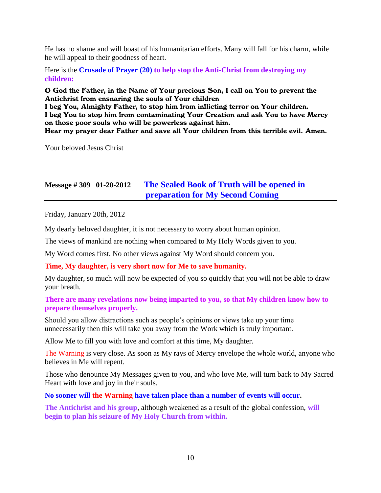He has no shame and will boast of his humanitarian efforts. Many will fall for his charm, while he will appeal to their goodness of heart.

Here is the **Crusade of Prayer (20) to help stop the Anti-Christ from destroying my children:**

O God the Father, in the Name of Your precious Son, I call on You to prevent the Antichrist from ensnaring the souls of Your children

I beg You, Almighty Father, to stop him from inflicting terror on Your children. I beg You to stop him from contaminating Your Creation and ask You to have Mercy on those poor souls who will be powerless against him.

Hear my prayer dear Father and save all Your children from this terrible evil. Amen.

Your beloved Jesus Christ

# **Message # 309 01-20-2012 [The Sealed Book of Truth will be opened in](http://www.thewarningsecondcoming.com/the-sealed-book-of-truth-will-be-opened-in-preparation-for-my-second-coming/)  [preparation for My Second Coming](http://www.thewarningsecondcoming.com/the-sealed-book-of-truth-will-be-opened-in-preparation-for-my-second-coming/)**

Friday, January 20th, 2012

My dearly beloved daughter, it is not necessary to worry about human opinion.

The views of mankind are nothing when compared to My Holy Words given to you.

My Word comes first. No other views against My Word should concern you.

### **Time, My daughter, is very short now for Me to save humanity.**

My daughter, so much will now be expected of you so quickly that you will not be able to draw your breath.

### **There are many revelations now being imparted to you, so that My children know how to prepare themselves properly.**

Should you allow distractions such as people's opinions or views take up your time unnecessarily then this will take you away from the Work which is truly important.

Allow Me to fill you with love and comfort at this time, My daughter.

The Warning is very close. As soon as My rays of Mercy envelope the whole world, anyone who believes in Me will repent.

Those who denounce My Messages given to you, and who love Me, will turn back to My Sacred Heart with love and joy in their souls.

**No sooner will the Warning have taken place than a number of events will occur.**

**The Antichrist and his group**, although weakened as a result of the global confession, **will begin to plan his seizure of My Holy Church from within.**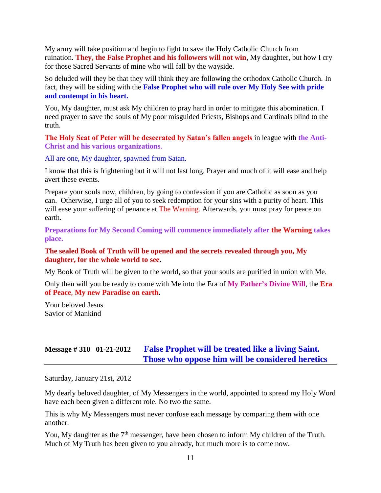My army will take position and begin to fight to save the Holy Catholic Church from ruination. **They, the False Prophet and his followers will not win**, My daughter, but how I cry for those Sacred Servants of mine who will fall by the wayside.

So deluded will they be that they will think they are following the orthodox Catholic Church. In fact, they will be siding with the **False Prophet who will rule over My Holy See with pride and contempt in his heart.**

You, My daughter, must ask My children to pray hard in order to mitigate this abomination. I need prayer to save the souls of My poor misguided Priests, Bishops and Cardinals blind to the truth.

**The Holy Seat of Peter will be desecrated by Satan's fallen angels** in league with **the Anti-Christ and his various organizations**.

All are one, My daughter, spawned from Satan.

I know that this is frightening but it will not last long. Prayer and much of it will ease and help avert these events.

Prepare your souls now, children, by going to confession if you are Catholic as soon as you can. Otherwise, I urge all of you to seek redemption for your sins with a purity of heart. This will ease your suffering of penance at The Warning. Afterwards, you must pray for peace on earth.

**Preparations for My Second Coming will commence immediately after the Warning takes place.**

#### **The sealed Book of Truth will be opened and the secrets revealed through you, My daughter, for the whole world to see.**

My Book of Truth will be given to the world, so that your souls are purified in union with Me.

Only then will you be ready to come with Me into the Era of **My Father's Divine Will**, the **Era of Peace**, **My new Paradise on earth.**

Your beloved Jesus Savior of Mankind

# **Message # 310 01-21-2012 [False Prophet will be treated like a living Saint.](http://www.thewarningsecondcoming.com/false-prophet-will-be-treated-like-a-living-saint-those-who-oppose-him-will-be-considered-a-heretic/)  [Those who oppose him will be considered heretics](http://www.thewarningsecondcoming.com/false-prophet-will-be-treated-like-a-living-saint-those-who-oppose-him-will-be-considered-a-heretic/)**

Saturday, January 21st, 2012

My dearly beloved daughter, of My Messengers in the world, appointed to spread my Holy Word have each been given a different role. No two the same.

This is why My Messengers must never confuse each message by comparing them with one another.

You, My daughter as the 7<sup>th</sup> messenger, have been chosen to inform My children of the Truth. Much of My Truth has been given to you already, but much more is to come now.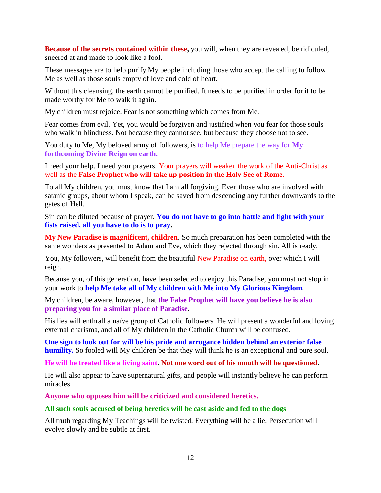**Because of the secrets contained within these,** you will, when they are revealed, be ridiculed, sneered at and made to look like a fool.

These messages are to help purify My people including those who accept the calling to follow Me as well as those souls empty of love and cold of heart.

Without this cleansing, the earth cannot be purified. It needs to be purified in order for it to be made worthy for Me to walk it again.

My children must rejoice. Fear is not something which comes from Me.

Fear comes from evil. Yet, you would be forgiven and justified when you fear for those souls who walk in blindness. Not because they cannot see, but because they choose not to see.

You duty to Me, My beloved army of followers, is to help Me prepare the way for **My forthcoming Divine Reign on earth.**

I need your help. I need your prayers. Your prayers will weaken the work of the Anti-Christ as well as the **False Prophet who will take up position in the Holy See of Rome.**

To all My children, you must know that I am all forgiving. Even those who are involved with satanic groups, about whom I speak, can be saved from descending any further downwards to the gates of Hell.

Sin can be diluted because of prayer. **You do not have to go into battle and fight with your fists raised, all you have to do is to pray.**

**My New Paradise is magnificent, children**. So much preparation has been completed with the same wonders as presented to Adam and Eve, which they rejected through sin. All is ready.

You, My followers, will benefit from the beautiful New Paradise on earth, over which I will reign.

Because you, of this generation, have been selected to enjoy this Paradise, you must not stop in your work to **help Me take all of My children with Me into My Glorious Kingdom.**

My children, be aware, however, that **the False Prophet will have you believe he is also preparing you for a similar place of Paradise**.

His lies will enthrall a naïve group of Catholic followers. He will present a wonderful and loving external charisma, and all of My children in the Catholic Church will be confused.

**One sign to look out for will be his pride and arrogance hidden behind an exterior false humility.** So fooled will My children be that they will think he is an exceptional and pure soul.

**He will be treated like a living saint. Not one word out of his mouth will be questioned.**

He will also appear to have supernatural gifts, and people will instantly believe he can perform miracles.

**Anyone who opposes him will be criticized and considered heretics.**

### **All such souls accused of being heretics will be cast aside and fed to the dogs**

All truth regarding My Teachings will be twisted. Everything will be a lie. Persecution will evolve slowly and be subtle at first.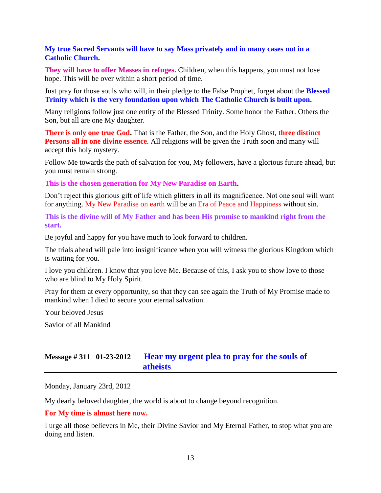### **My true Sacred Servants will have to say Mass privately and in many cases not in a Catholic Church.**

**They will have to offer Masses in refuges.** Children, when this happens, you must not lose hope. This will be over within a short period of time.

Just pray for those souls who will, in their pledge to the False Prophet, forget about the **Blessed Trinity which is the very foundation upon which The Catholic Church is built upon.**

Many religions follow just one entity of the Blessed Trinity. Some honor the Father. Others the Son, but all are one My daughter.

**There is only one true God.** That is the Father, the Son, and the Holy Ghost, **three distinct Persons all in one divine essence**. All religions will be given the Truth soon and many will accept this holy mystery.

Follow Me towards the path of salvation for you, My followers, have a glorious future ahead, but you must remain strong.

**This is the chosen generation for My New Paradise on Earth.**

Don't reject this glorious gift of life which glitters in all its magnificence. Not one soul will want for anything. My New Paradise on earth will be an Era of Peace and Happiness without sin.

**This is the divine will of My Father and has been His promise to mankind right from the start.**

Be joyful and happy for you have much to look forward to children.

The trials ahead will pale into insignificance when you will witness the glorious Kingdom which is waiting for you.

I love you children. I know that you love Me. Because of this, I ask you to show love to those who are blind to My Holy Spirit.

Pray for them at every opportunity, so that they can see again the Truth of My Promise made to mankind when I died to secure your eternal salvation.

Your beloved Jesus

Savior of all Mankind

# **Message # 311 01-23-2012 [Hear my urgent plea to pray for the souls of](http://www.thewarningsecondcoming.com/hear-my-urgent-plea-to-pray-for-the-souls-of-atheists/)  [atheists](http://www.thewarningsecondcoming.com/hear-my-urgent-plea-to-pray-for-the-souls-of-atheists/)**

Monday, January 23rd, 2012

My dearly beloved daughter, the world is about to change beyond recognition.

#### **For My time is almost here now.**

I urge all those believers in Me, their Divine Savior and My Eternal Father, to stop what you are doing and listen.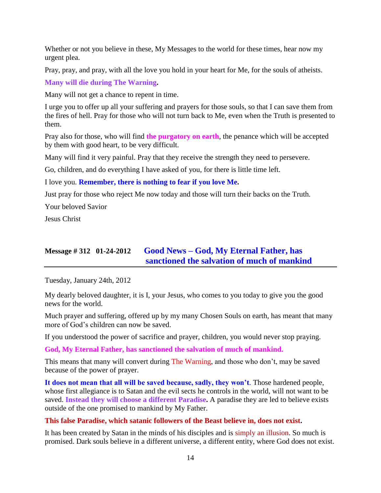Whether or not you believe in these, My Messages to the world for these times, hear now my urgent plea.

Pray, pray, and pray, with all the love you hold in your heart for Me, for the souls of atheists.

**Many will die during The Warning.**

Many will not get a chance to repent in time.

I urge you to offer up all your suffering and prayers for those souls, so that I can save them from the fires of hell. Pray for those who will not turn back to Me, even when the Truth is presented to them.

Pray also for those, who will find **the purgatory on earth**, the penance which will be accepted by them with good heart, to be very difficult.

Many will find it very painful. Pray that they receive the strength they need to persevere.

Go, children, and do everything I have asked of you, for there is little time left.

I love you. **Remember, there is nothing to fear if you love Me.**

Just pray for those who reject Me now today and those will turn their backs on the Truth.

Your beloved Savior

Jesus Christ

# **Message # 312 01-24-2012 Good News – [God, My Eternal Father, has](http://www.thewarningsecondcoming.com/good-news-god-my-eternal-father-has-sanctioned-the-salvation-of-much-of-mankind/)  [sanctioned the salvation of much of mankind](http://www.thewarningsecondcoming.com/good-news-god-my-eternal-father-has-sanctioned-the-salvation-of-much-of-mankind/)**

Tuesday, January 24th, 2012

My dearly beloved daughter, it is I, your Jesus, who comes to you today to give you the good news for the world.

Much prayer and suffering, offered up by my many Chosen Souls on earth, has meant that many more of God's children can now be saved.

If you understood the power of sacrifice and prayer, children, you would never stop praying.

**God, My Eternal Father, has sanctioned the salvation of much of mankind.**

This means that many will convert during The Warning, and those who don't, may be saved because of the power of prayer.

**It does not mean that all will be saved because, sadly, they won't**. Those hardened people, whose first allegiance is to Satan and the evil sects he controls in the world, will not want to be saved. **Instead they will choose a different Paradise.** A paradise they are led to believe exists outside of the one promised to mankind by My Father.

### **This false Paradise, which satanic followers of the Beast believe in, does not exist.**

It has been created by Satan in the minds of his disciples and is simply an illusion. So much is promised. Dark souls believe in a different universe, a different entity, where God does not exist.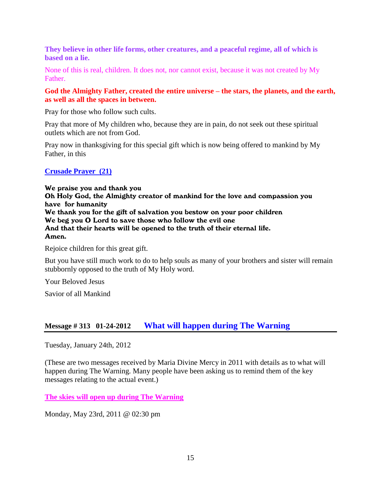**They believe in other life forms, other creatures, and a peaceful regime, all of which is based on a lie.**

None of this is real, children. It does not, nor cannot exist, because it was not created by My Father.

### **God the Almighty Father, created the entire universe – the stars, the planets, and the earth, as well as all the spaces in between.**

Pray for those who follow such cults.

Pray that more of My children who, because they are in pain, do not seek out these spiritual outlets which are not from God.

Pray now in thanksgiving for this special gift which is now being offered to mankind by My Father, in this

### **Crusade Prayer (21)**

We praise you and thank you Oh Holy God, the Almighty creator of mankind for the love and compassion you have for humanity We thank you for the gift of salvation you bestow on your poor children We beg you O Lord to save those who follow the evil one And that their hearts will be opened to the truth of their eternal life. Amen.

Rejoice children for this great gift.

But you have still much work to do to help souls as many of your brothers and sister will remain stubbornly opposed to the truth of My Holy word.

Your Beloved Jesus

Savior of all Mankind

# **Message # 313 01-24-2012 What will [happen during The Warning](http://www.thewarningsecondcoming.com/what-will-happen-during-the-warning/)**

Tuesday, January 24th, 2012

(These are two messages received by Maria Divine Mercy in 2011 with details as to what will happen during The Warning. Many people have been asking us to remind them of the key messages relating to the actual event.)

**[The skies will open up during The Warning](http://www.thewarningsecondcoming.com/the-skies-will-open-up-during-the-warning/)**

Monday, May 23rd, 2011 @ 02:30 pm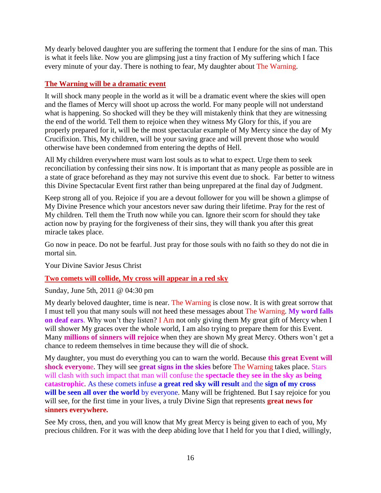My dearly beloved daughter you are suffering the torment that I endure for the sins of man. This is what it feels like. Now you are glimpsing just a tiny fraction of My suffering which I face every minute of your day. There is nothing to fear, My daughter about The Warning.

### **The Warning will be a dramatic event**

It will shock many people in the world as it will be a dramatic event where the skies will open and the flames of Mercy will shoot up across the world. For many people will not understand what is happening. So shocked will they be they will mistakenly think that they are witnessing the end of the world. Tell them to rejoice when they witness My Glory for this, if you are properly prepared for it, will be the most spectacular example of My Mercy since the day of My Crucifixion. This, My children, will be your saving grace and will prevent those who would otherwise have been condemned from entering the depths of Hell.

All My children everywhere must warn lost souls as to what to expect. Urge them to seek reconciliation by confessing their sins now. It is important that as many people as possible are in a state of grace beforehand as they may not survive this event due to shock. Far better to witness this Divine Spectacular Event first rather than being unprepared at the final day of Judgment.

Keep strong all of you. Rejoice if you are a devout follower for you will be shown a glimpse of My Divine Presence which your ancestors never saw during their lifetime. Pray for the rest of My children. Tell them the Truth now while you can. Ignore their scorn for should they take action now by praying for the forgiveness of their sins, they will thank you after this great miracle takes place.

Go now in peace. Do not be fearful. Just pray for those souls with no faith so they do not die in mortal sin.

Your Divine Savior Jesus Christ

### **[Two comets will collide, My cross will appear in a red sky](http://www.thewarningsecondcoming.com/two-comets-will-collide-my-cross-will-appear-in-a-red-sky/)**

Sunday, June 5th, 2011 @ 04:30 pm

My dearly beloved daughter, time is near. The Warning is close now. It is with great sorrow that I must tell you that many souls will not heed these messages about The Warning. **My word falls on deaf ears**. Why won't they listen? I Am not only giving them My great gift of Mercy when I will shower My graces over the whole world, I am also trying to prepare them for this Event. Many **millions of sinners will rejoice** when they are shown My great Mercy. Others won't get a chance to redeem themselves in time because they will die of shock.

My daughter, you must do everything you can to warn the world. Because **this great Event will shock everyon**e. They will see **great signs in the skies** before The Warning takes place. Stars will clash with such impact that man will confuse the **spectacle they see in the sky as being catastrophic**. As these comets infuse **a great red sky will result** and the **sign of my cross will be seen all over the world** by everyone. Many will be frightened. But I say rejoice for you will see, for the first time in your lives, a truly Divine Sign that represents **great news for sinners everywhere.**

See My cross, then, and you will know that My great Mercy is being given to each of you, My precious children. For it was with the deep abiding love that I held for you that I died, willingly,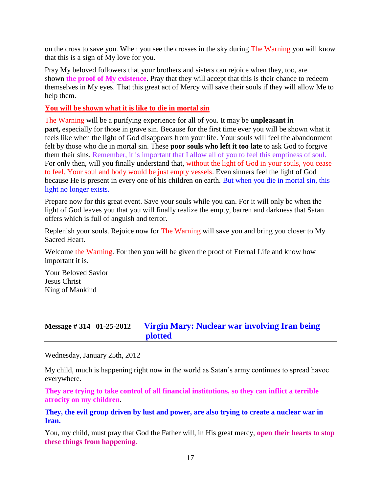on the cross to save you. When you see the crosses in the sky during The Warning you will know that this is a sign of My love for you.

Pray My beloved followers that your brothers and sisters can rejoice when they, too, are shown **the proof of My existence**. Pray that they will accept that this is their chance to redeem themselves in My eyes. That this great act of Mercy will save their souls if they will allow Me to help them.

### **You will be shown what it is like to die in mortal sin**

The Warning will be a purifying experience for all of you. It may be **unpleasant in part,** especially for those in grave sin. Because for the first time ever you will be shown what it feels like when the light of God disappears from your life. Your souls will feel the abandonment felt by those who die in mortal sin. These **poor souls who left it too late** to ask God to forgive them their sins. Remember, it is important that I allow all of you to feel this emptiness of soul. For only then, will you finally understand that, without the light of God in your souls, you cease to feel. Your soul and body would be just empty vessels. Even sinners feel the light of God because He is present in every one of his children on earth. But when you die in mortal sin, this light no longer exists.

Prepare now for this great event. Save your souls while you can. For it will only be when the light of God leaves you that you will finally realize the empty, barren and darkness that Satan offers which is full of anguish and terror.

Replenish your souls. Rejoice now for The Warning will save you and bring you closer to My Sacred Heart.

Welcome the Warning. For then you will be given the proof of Eternal Life and know how important it is.

Your Beloved Savior Jesus Christ King of Mankind

# **Message # 314 01-25-2012 [Virgin Mary: Nuclear war involving Iran being](http://www.thewarningsecondcoming.com/virgin-mary-nuclear-war-involving-iran-being-plotted/)  [plotted](http://www.thewarningsecondcoming.com/virgin-mary-nuclear-war-involving-iran-being-plotted/)**

Wednesday, January 25th, 2012

My child, much is happening right now in the world as Satan's army continues to spread havoc everywhere.

**They are trying to take control of all financial institutions, so they can inflict a terrible atrocity on my children.**

### **They, the evil group driven by lust and power, are also trying to create a nuclear war in Iran.**

You, my child, must pray that God the Father will, in His great mercy, **open their hearts to stop these things from happening.**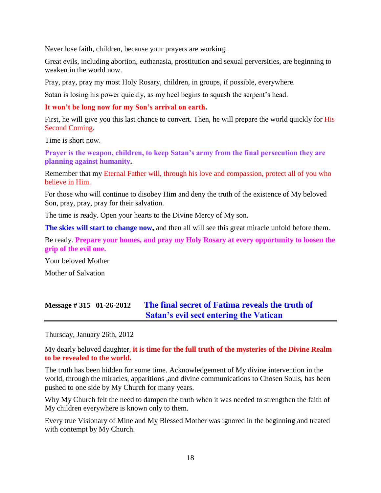Never lose faith, children, because your prayers are working.

Great evils, including abortion, euthanasia, prostitution and sexual perversities, are beginning to weaken in the world now.

Pray, pray, pray my most Holy Rosary, children, in groups, if possible, everywhere.

Satan is losing his power quickly, as my heel begins to squash the serpent's head.

### **It won't be long now for my Son's arrival on earth.**

First, he will give you this last chance to convert. Then, he will prepare the world quickly for His Second Coming.

Time is short now.

**Prayer is the weapon, children, to keep Satan's army from the final persecution they are planning against humanity.**

Remember that my Eternal Father will, through his love and compassion, protect all of you who believe in Him.

For those who will continue to disobey Him and deny the truth of the existence of My beloved Son, pray, pray, pray for their salvation.

The time is ready. Open your hearts to the Divine Mercy of My son.

**The skies will start to change now,** and then all will see this great miracle unfold before them.

Be ready. **Prepare your homes, and pray my Holy Rosary at every opportunity to loosen the grip of the evil one.**

Your beloved Mother

Mother of Salvation

# **Message # 315 01-26-2012 [The final secret of Fatima reveals the truth of](http://www.thewarningsecondcoming.com/the-final-secret-of-fatima-reveals-the-truth-of-satans-evil-sect-entering-the-vatican/)  [Satan's evil sect entering the Vatican](http://www.thewarningsecondcoming.com/the-final-secret-of-fatima-reveals-the-truth-of-satans-evil-sect-entering-the-vatican/)**

Thursday, January 26th, 2012

My dearly beloved daughter, **it is time for the full truth of the mysteries of the Divine Realm to be revealed to the world.**

The truth has been hidden for some time. Acknowledgement of My divine intervention in the world, through the miracles, apparitions ,and divine communications to Chosen Souls, has been pushed to one side by My Church for many years.

Why My Church felt the need to dampen the truth when it was needed to strengthen the faith of My children everywhere is known only to them.

Every true Visionary of Mine and My Blessed Mother was ignored in the beginning and treated with contempt by My Church.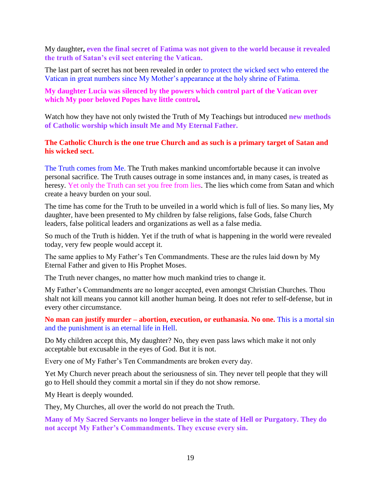My daughter**, even the final secret of Fatima was not given to the world because it revealed the truth of Satan's evil sect entering the Vatican.**

The last part of secret has not been revealed in order to protect the wicked sect who entered the Vatican in great numbers since My Mother's appearance at the holy shrine of Fatima.

### **My daughter Lucia was silenced by the powers which control part of the Vatican over which My poor beloved Popes have little control.**

Watch how they have not only twisted the Truth of My Teachings but introduced **new methods of Catholic worship which insult Me and My Eternal Father.**

### **The Catholic Church is the one true Church and as such is a primary target of Satan and his wicked sect.**

The Truth comes from Me. The Truth makes mankind uncomfortable because it can involve personal sacrifice. The Truth causes outrage in some instances and, in many cases, is treated as heresy. Yet only the Truth can set you free from lies. The lies which come from Satan and which create a heavy burden on your soul.

The time has come for the Truth to be unveiled in a world which is full of lies. So many lies, My daughter, have been presented to My children by false religions, false Gods, false Church leaders, false political leaders and organizations as well as a false media.

So much of the Truth is hidden. Yet if the truth of what is happening in the world were revealed today, very few people would accept it.

The same applies to My Father's Ten Commandments. These are the rules laid down by My Eternal Father and given to His Prophet Moses.

The Truth never changes, no matter how much mankind tries to change it.

My Father's Commandments are no longer accepted, even amongst Christian Churches. Thou shalt not kill means you cannot kill another human being. It does not refer to self-defense, but in every other circumstance.

**No man can justify murder – abortion, execution, or euthanasia. No one.** This is a mortal sin and the punishment is an eternal life in Hell.

Do My children accept this, My daughter? No, they even pass laws which make it not only acceptable but excusable in the eyes of God. But it is not.

Every one of My Father's Ten Commandments are broken every day.

Yet My Church never preach about the seriousness of sin. They never tell people that they will go to Hell should they commit a mortal sin if they do not show remorse.

My Heart is deeply wounded.

They, My Churches, all over the world do not preach the Truth.

**Many of My Sacred Servants no longer believe in the state of Hell or Purgatory. They do not accept My Father's Commandments. They excuse every sin.**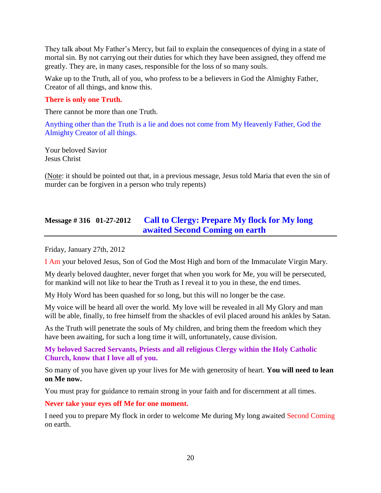They talk about My Father's Mercy, but fail to explain the consequences of dying in a state of mortal sin. By not carrying out their duties for which they have been assigned, they offend me greatly. They are, in many cases, responsible for the loss of so many souls.

Wake up to the Truth, all of you, who profess to be a believers in God the Almighty Father, Creator of all things, and know this.

### **There is only one Truth.**

There cannot be more than one Truth.

Anything other than the Truth is a lie and does not come from My Heavenly Father, God the Almighty Creator of all things.

Your beloved Savior Jesus Christ

(Note: it should be pointed out that, in a previous message, Jesus told Maria that even the sin of murder can be forgiven in a person who truly repents)

# **Message # 316 01-27-2012 [Call to Clergy: Prepare My flock for My long](http://www.thewarningsecondcoming.com/call-to-clergy-prepare-my-flock-for-my-long-awaited-second-coming-on-earth/)  [awaited Second Coming on earth](http://www.thewarningsecondcoming.com/call-to-clergy-prepare-my-flock-for-my-long-awaited-second-coming-on-earth/)**

Friday, January 27th, 2012

I Am your beloved Jesus, Son of God the Most High and born of the Immaculate Virgin Mary.

My dearly beloved daughter, never forget that when you work for Me, you will be persecuted, for mankind will not like to hear the Truth as I reveal it to you in these, the end times.

My Holy Word has been quashed for so long, but this will no longer be the case.

My voice will be heard all over the world. My love will be revealed in all My Glory and man will be able, finally, to free himself from the shackles of evil placed around his ankles by Satan.

As the Truth will penetrate the souls of My children, and bring them the freedom which they have been awaiting, for such a long time it will, unfortunately, cause division.

**My beloved Sacred Servants, Priests and all religious Clergy within the Holy Catholic Church, know that I love all of you.**

So many of you have given up your lives for Me with generosity of heart. **You will need to lean on Me now.** 

You must pray for guidance to remain strong in your faith and for discernment at all times.

**Never take your eyes off Me for one moment.** 

I need you to prepare My flock in order to welcome Me during My long awaited Second Coming on earth.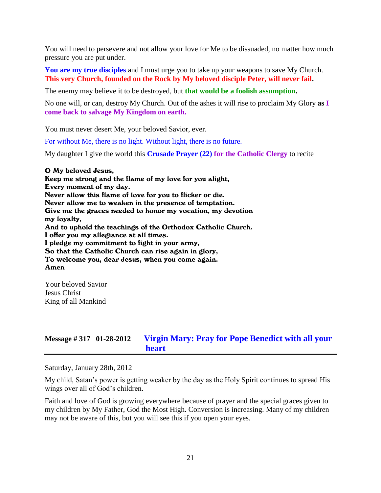You will need to persevere and not allow your love for Me to be dissuaded, no matter how much pressure you are put under.

**You are my true disciples** and I must urge you to take up your weapons to save My Church. **This very Church, founded on the Rock by My beloved disciple Peter, will never fail.**

The enemy may believe it to be destroyed, but **that would be a foolish assumption.** 

No one will, or can, destroy My Church. Out of the ashes it will rise to proclaim My Glory **as I come back to salvage My Kingdom on earth.**

You must never desert Me, your beloved Savior, ever.

For without Me, there is no light. Without light, there is no future.

My daughter I give the world this **Crusade Prayer (22) for the Catholic Clergy** to recite

O My beloved Jesus, Keep me strong and the flame of my love for you alight, Every moment of my day. Never allow this flame of love for you to flicker or die. Never allow me to weaken in the presence of temptation. Give me the graces needed to honor my vocation, my devotion my loyalty, And to uphold the teachings of the Orthodox Catholic Church. I offer you my allegiance at all times. I pledge my commitment to fight in your army, So that the Catholic Church can rise again in glory, To welcome you, dear Jesus, when you come again. Amen

Your beloved Savior Jesus Christ King of all Mankind

### **Message # 317 01-28-2012 [Virgin Mary: Pray for Pope Benedict with all your](http://www.thewarningsecondcoming.com/virgin-mary-pray-for-pope-benedict-alone-in-his-grief/)  [heart](http://www.thewarningsecondcoming.com/virgin-mary-pray-for-pope-benedict-alone-in-his-grief/)**

Saturday, January 28th, 2012

My child, Satan's power is getting weaker by the day as the Holy Spirit continues to spread His wings over all of God's children.

Faith and love of God is growing everywhere because of prayer and the special graces given to my children by My Father, God the Most High. Conversion is increasing. Many of my children may not be aware of this, but you will see this if you open your eyes.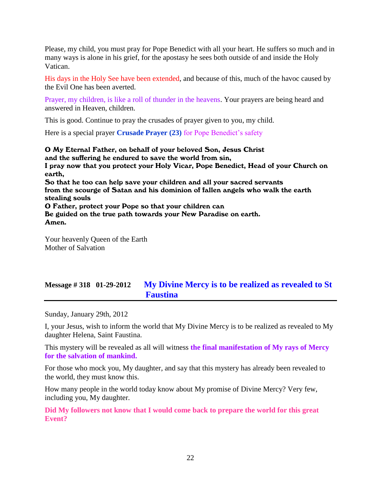Please, my child, you must pray for Pope Benedict with all your heart. He suffers so much and in many ways is alone in his grief, for the apostasy he sees both outside of and inside the Holy Vatican.

His days in the Holy See have been extended, and because of this, much of the havoc caused by the Evil One has been averted.

Prayer, my children, is like a roll of thunder in the heavens. Your prayers are being heard and answered in Heaven, children.

This is good. Continue to pray the crusades of prayer given to you, my child.

Here is a special prayer **Crusade Prayer (23)** for Pope Benedict's safety

O My Eternal Father, on behalf of your beloved Son, Jesus Christ and the suffering he endured to save the world from sin, I pray now that you protect your Holy Vicar, Pope Benedict, Head of your Church on earth, So that he too can help save your children and all your sacred servants from the scourge of Satan and his dominion of fallen angels who walk the earth stealing souls O Father, protect your Pope so that your children can Be guided on the true path towards your New Paradise on earth. Amen.

Your heavenly Queen of the Earth Mother of Salvation

# **Message # 318 01-29-2012 [My Divine Mercy is to be realized as revealed to St](http://www.thewarningsecondcoming.com/my-divine-mercy-is-to-be-realised-as-revealed-to-st-faustina/)  [Faustina](http://www.thewarningsecondcoming.com/my-divine-mercy-is-to-be-realised-as-revealed-to-st-faustina/)**

Sunday, January 29th, 2012

I, your Jesus, wish to inform the world that My Divine Mercy is to be realized as revealed to My daughter Helena, Saint Faustina.

This mystery will be revealed as all will witness **the final manifestation of My rays of Mercy for the salvation of mankind.**

For those who mock you, My daughter, and say that this mystery has already been revealed to the world, they must know this.

How many people in the world today know about My promise of Divine Mercy? Very few, including you, My daughter.

**Did My followers not know that I would come back to prepare the world for this great Event?**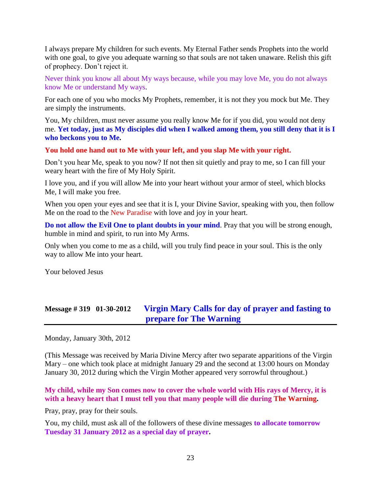I always prepare My children for such events. My Eternal Father sends Prophets into the world with one goal, to give you adequate warning so that souls are not taken unaware. Relish this gift of prophecy. Don't reject it.

Never think you know all about My ways because, while you may love Me, you do not always know Me or understand My ways.

For each one of you who mocks My Prophets, remember, it is not they you mock but Me. They are simply the instruments.

You, My children, must never assume you really know Me for if you did, you would not deny me. **Yet today, just as My disciples did when I walked among them, you still deny that it is I who beckons you to Me.**

**You hold one hand out to Me with your left, and you slap Me with your right.**

Don't you hear Me, speak to you now? If not then sit quietly and pray to me, so I can fill your weary heart with the fire of My Holy Spirit.

I love you, and if you will allow Me into your heart without your armor of steel, which blocks Me, I will make you free.

When you open your eyes and see that it is I, your Divine Savior, speaking with you, then follow Me on the road to the New Paradise with love and joy in your heart.

**Do not allow the Evil One to plant doubts in your mind**. Pray that you will be strong enough, humble in mind and spirit, to run into My Arms.

Only when you come to me as a child, will you truly find peace in your soul. This is the only way to allow Me into your heart.

Your beloved Jesus

# **Message # 319 01-30-2012 [Virgin Mary Calls for day of prayer and fasting to](http://www.thewarningsecondcoming.com/virgin-mary-calls-for-day-of-prayer-and-fasting-to-prepare-for-the-warning/)  [prepare for The Warning](http://www.thewarningsecondcoming.com/virgin-mary-calls-for-day-of-prayer-and-fasting-to-prepare-for-the-warning/)**

Monday, January 30th, 2012

(This Message was received by Maria Divine Mercy after two separate apparitions of the Virgin Mary – one which took place at midnight January 29 and the second at 13:00 hours on Monday January 30, 2012 during which the Virgin Mother appeared very sorrowful throughout.)

**My child, while my Son comes now to cover the whole world with His rays of Mercy, it is with a heavy heart that I must tell you that many people will die during The Warning.**

Pray, pray, pray for their souls.

You, my child, must ask all of the followers of these divine messages **to allocate tomorrow Tuesday 31 January 2012 as a special day of prayer.**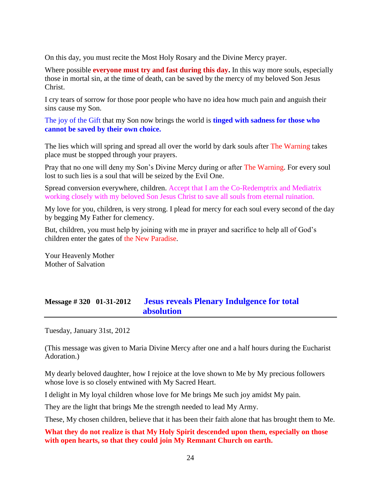On this day, you must recite the Most Holy Rosary and the Divine Mercy prayer.

Where possible **everyone must try and fast during this day.** In this way more souls, especially those in mortal sin, at the time of death, can be saved by the mercy of my beloved Son Jesus Christ.

I cry tears of sorrow for those poor people who have no idea how much pain and anguish their sins cause my Son.

The joy of the Gift that my Son now brings the world is **tinged with sadness for those who cannot be saved by their own choice.**

The lies which will spring and spread all over the world by dark souls after The Warning takes place must be stopped through your prayers.

Pray that no one will deny my Son's Divine Mercy during or after The Warning. For every soul lost to such lies is a soul that will be seized by the Evil One.

Spread conversion everywhere, children. Accept that I am the Co-Redemptrix and Mediatrix working closely with my beloved Son Jesus Christ to save all souls from eternal ruination.

My love for you, children, is very strong. I plead for mercy for each soul every second of the day by begging My Father for clemency.

But, children, you must help by joining with me in prayer and sacrifice to help all of God's children enter the gates of the New Paradise.

Your Heavenly Mother Mother of Salvation

# **Message # 320 01-31-2012 [Jesus reveals Plenary Indulgence for total](http://www.thewarningsecondcoming.com/jesus-reveals-plenary-indulgence-for-total-absolution/)  [absolution](http://www.thewarningsecondcoming.com/jesus-reveals-plenary-indulgence-for-total-absolution/)**

Tuesday, January 31st, 2012

(This message was given to Maria Divine Mercy after one and a half hours during the Eucharist Adoration.)

My dearly beloved daughter, how I rejoice at the love shown to Me by My precious followers whose love is so closely entwined with My Sacred Heart.

I delight in My loyal children whose love for Me brings Me such joy amidst My pain.

They are the light that brings Me the strength needed to lead My Army.

These, My chosen children, believe that it has been their faith alone that has brought them to Me.

### **What they do not realize is that My Holy Spirit descended upon them, especially on those with open hearts, so that they could join My Remnant Church on earth.**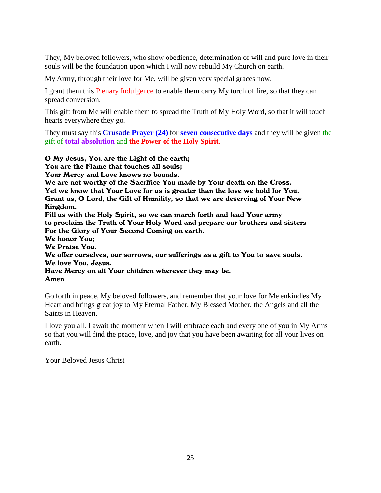They, My beloved followers, who show obedience, determination of will and pure love in their souls will be the foundation upon which I will now rebuild My Church on earth.

My Army, through their love for Me, will be given very special graces now.

I grant them this Plenary Indulgence to enable them carry My torch of fire, so that they can spread conversion.

This gift from Me will enable them to spread the Truth of My Holy Word, so that it will touch hearts everywhere they go.

They must say this **Crusade Prayer (24)** for **seven consecutive days** and they will be given the gift of **total absolution** and **the Power of the Holy Spirit**.

O My Jesus, You are the Light of the earth; You are the Flame that touches all souls; Your Mercy and Love knows no bounds. We are not worthy of the Sacrifice You made by Your death on the Cross. Yet we know that Your Love for us is greater than the love we hold for You. Grant us, O Lord, the Gift of Humility, so that we are deserving of Your New Kingdom. Fill us with the Holy Spirit, so we can march forth and lead Your army to proclaim the Truth of Your Holy Word and prepare our brothers and sisters For the Glory of Your Second Coming on earth. We honor You; We Praise You. We offer ourselves, our sorrows, our sufferings as a gift to You to save souls. We love You, Jesus. Have Mercy on all Your children wherever they may be. Amen

Go forth in peace, My beloved followers, and remember that your love for Me enkindles My Heart and brings great joy to My Eternal Father, My Blessed Mother, the Angels and all the Saints in Heaven.

I love you all. I await the moment when I will embrace each and every one of you in My Arms so that you will find the peace, love, and joy that you have been awaiting for all your lives on earth.

Your Beloved Jesus Christ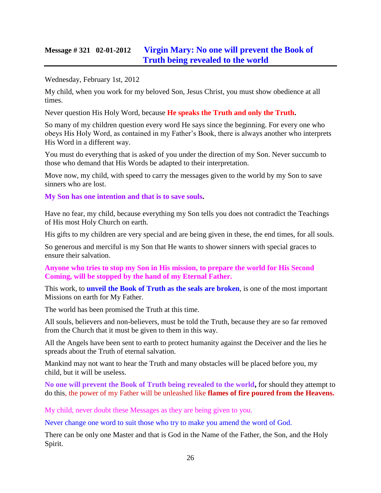# **Message # 321 02-01-2012 [Virgin Mary: No one will prevent the Book of](http://www.thewarningsecondcoming.com/virgin-mary-no-one-will-prevent-the-book-of-truth-being-revealed-to-the-world/)  [Truth being revealed to](http://www.thewarningsecondcoming.com/virgin-mary-no-one-will-prevent-the-book-of-truth-being-revealed-to-the-world/) the world**

Wednesday, February 1st, 2012

My child, when you work for my beloved Son, Jesus Christ, you must show obedience at all times.

Never question His Holy Word, because **He speaks the Truth and only the Truth.**

So many of my children question every word He says since the beginning. For every one who obeys His Holy Word, as contained in my Father's Book, there is always another who interprets His Word in a different way.

You must do everything that is asked of you under the direction of my Son. Never succumb to those who demand that His Words be adapted to their interpretation.

Move now, my child, with speed to carry the messages given to the world by my Son to save sinners who are lost.

**My Son has one intention and that is to save souls.**

Have no fear, my child, because everything my Son tells you does not contradict the Teachings of His most Holy Church on earth.

His gifts to my children are very special and are being given in these, the end times, for all souls.

So generous and merciful is my Son that He wants to shower sinners with special graces to ensure their salvation.

**Anyone who tries to stop my Son in His mission, to prepare the world for His Second Coming, will be stopped by the hand of my Eternal Father.**

This work, to **unveil the Book of Truth as the seals are broken**, is one of the most important Missions on earth for My Father.

The world has been promised the Truth at this time.

All souls, believers and non-believers, must be told the Truth, because they are so far removed from the Church that it must be given to them in this way.

All the Angels have been sent to earth to protect humanity against the Deceiver and the lies he spreads about the Truth of eternal salvation.

Mankind may not want to hear the Truth and many obstacles will be placed before you, my child, but it will be useless.

**No one will prevent the Book of Truth being revealed to the world,** for should they attempt to do this, the power of my Father will be unleashed like **flames of fire poured from the Heavens.**

My child, never doubt these Messages as they are being given to you.

Never change one word to suit those who try to make you amend the word of God.

There can be only one Master and that is God in the Name of the Father, the Son, and the Holy Spirit.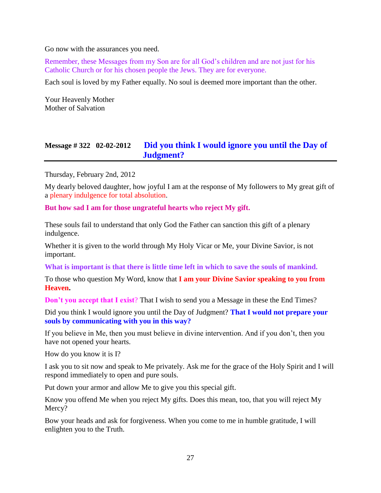Go now with the assurances you need.

Remember, these Messages from my Son are for all God's children and are not just for his Catholic Church or for his chosen people the Jews. They are for everyone.

Each soul is loved by my Father equally. No soul is deemed more important than the other.

Your Heavenly Mother Mother of Salvation

# **Message # 322 02-02-2012 [Did you think I would ignore you until the Day of](http://www.thewarningsecondcoming.com/did-you-think-i-would-ignore-you-until-the-day-of-judgement/)  [Judgment?](http://www.thewarningsecondcoming.com/did-you-think-i-would-ignore-you-until-the-day-of-judgement/)**

Thursday, February 2nd, 2012

My dearly beloved daughter, how joyful I am at the response of My followers to My great gift of a plenary indulgence for total absolution.

**But how sad I am for those ungrateful hearts who reject My gift.**

These souls fail to understand that only God the Father can sanction this gift of a plenary indulgence.

Whether it is given to the world through My Holy Vicar or Me, your Divine Savior, is not important.

**What is important is that there is little time left in which to save the souls of mankind.**

To those who question My Word, know that **I am your Divine Savior speaking to you from Heaven.**

**Don't you accept that I exist**? That I wish to send you a Message in these the End Times?

Did you think I would ignore you until the Day of Judgment? **That I would not prepare your souls by communicating with you in this way?**

If you believe in Me, then you must believe in divine intervention. And if you don't, then you have not opened your hearts.

How do you know it is I?

I ask you to sit now and speak to Me privately. Ask me for the grace of the Holy Spirit and I will respond immediately to open and pure souls.

Put down your armor and allow Me to give you this special gift.

Know you offend Me when you reject My gifts. Does this mean, too, that you will reject My Mercy?

Bow your heads and ask for forgiveness. When you come to me in humble gratitude, I will enlighten you to the Truth.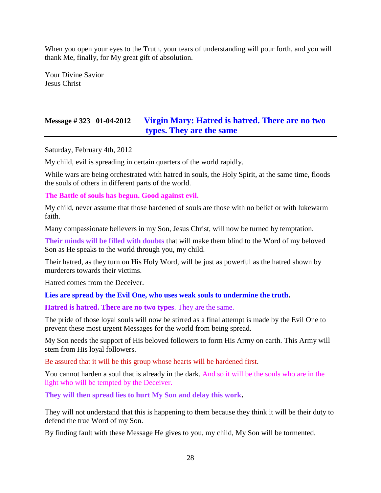When you open your eyes to the Truth, your tears of understanding will pour forth, and you will thank Me, finally, for My great gift of absolution.

Your Divine Savior Jesus Christ

# **Message # 323 01-04-2012 [Virgin Mary: Hatred is hatred. There are no two](http://www.thewarningsecondcoming.com/virgin-mary-hatred-is-hatred-there-are-no-two-types-they-are-the-same/)  [types. They are the same](http://www.thewarningsecondcoming.com/virgin-mary-hatred-is-hatred-there-are-no-two-types-they-are-the-same/)**

Saturday, February 4th, 2012

My child, evil is spreading in certain quarters of the world rapidly.

While wars are being orchestrated with hatred in souls, the Holy Spirit, at the same time, floods the souls of others in different parts of the world.

#### **The Battle of souls has begun. Good against evil.**

My child, never assume that those hardened of souls are those with no belief or with lukewarm faith.

Many compassionate believers in my Son, Jesus Christ, will now be turned by temptation.

**Their minds will be filled with doubts** that will make them blind to the Word of my beloved Son as He speaks to the world through you, my child.

Their hatred, as they turn on His Holy Word, will be just as powerful as the hatred shown by murderers towards their victims.

Hatred comes from the Deceiver.

**Lies are spread by the Evil One, who uses weak souls to undermine the truth.**

**Hatred is hatred. There are no two types**. They are the same.

The pride of those loyal souls will now be stirred as a final attempt is made by the Evil One to prevent these most urgent Messages for the world from being spread.

My Son needs the support of His beloved followers to form His Army on earth. This Army will stem from His loyal followers.

Be assured that it will be this group whose hearts will be hardened first.

You cannot harden a soul that is already in the dark. And so it will be the souls who are in the light who will be tempted by the Deceiver.

**They will then spread lies to hurt My Son and delay this work.**

They will not understand that this is happening to them because they think it will be their duty to defend the true Word of my Son.

By finding fault with these Message He gives to you, my child, My Son will be tormented.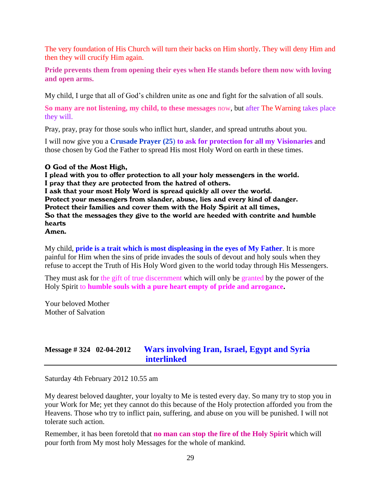The very foundation of His Church will turn their backs on Him shortly. They will deny Him and then they will crucify Him again.

**Pride prevents them from opening their eyes when He stands before them now with loving and open arms.**

My child, I urge that all of God's children unite as one and fight for the salvation of all souls.

**So many are not listening, my child, to these messages** now, but after The Warning takes place they will.

Pray, pray, pray for those souls who inflict hurt, slander, and spread untruths about you.

I will now give you a **Crusade Prayer (25**) **to ask for protection for all my Visionaries** and those chosen by God the Father to spread His most Holy Word on earth in these times.

#### O God of the Most High,

I plead with you to offer protection to all your holy messengers in the world. I pray that they are protected from the hatred of others. I ask that your most Holy Word is spread quickly all over the world. Protect your messengers from slander, abuse, lies and every kind of danger. Protect their families and cover them with the Holy Spirit at all times, So that the messages they give to the world are heeded with contrite and humble hearts

#### Amen.

My child, **pride is a trait which is most displeasing in the eyes of My Father**. It is more painful for Him when the sins of pride invades the souls of devout and holy souls when they refuse to accept the Truth of His Holy Word given to the world today through His Messengers.

They must ask for the gift of true discernment which will only be granted by the power of the Holy Spirit to **humble souls with a pure heart empty of pride and arrogance.**

Your beloved Mother Mother of Salvation

# **Message # 324 02-04-2012 [Wars involving Iran, Israel, Egypt and Syria](http://www.thewarningsecondcoming.com/wars-involving-iran-israel-egypt-and-syria-interlinked/)  [interlinked](http://www.thewarningsecondcoming.com/wars-involving-iran-israel-egypt-and-syria-interlinked/)**

Saturday 4th February 2012 10.55 am

My dearest beloved daughter, your loyalty to Me is tested every day. So many try to stop you in your Work for Me; yet they cannot do this because of the Holy protection afforded you from the Heavens. Those who try to inflict pain, suffering, and abuse on you will be punished. I will not tolerate such action.

Remember, it has been foretold that **no man can stop the fire of the Holy Spirit** which will pour forth from My most holy Messages for the whole of mankind.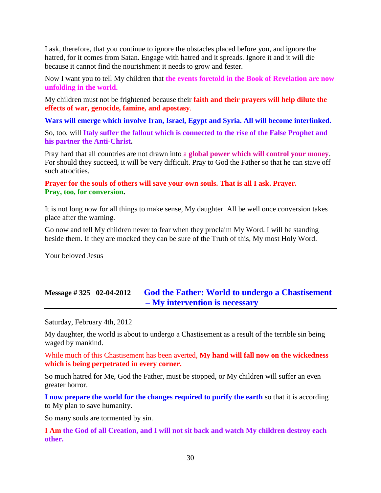I ask, therefore, that you continue to ignore the obstacles placed before you, and ignore the hatred, for it comes from Satan. Engage with hatred and it spreads. Ignore it and it will die because it cannot find the nourishment it needs to grow and fester.

Now I want you to tell My children that **the events foretold in the Book of Revelation are now unfolding in the world.**

My children must not be frightened because their **faith and their prayers will help dilute the effects of war, genocide, famine, and apostasy**.

**Wars will emerge which involve Iran, Israel, Egypt and Syria. All will become interlinked.**

So, too, will **Italy suffer the fallout which is connected to the rise of the False Prophet and his partner the Anti-Christ.**

Pray hard that all countries are not drawn into a **global power which will control your money**. For should they succeed, it will be very difficult. Pray to God the Father so that he can stave off such atrocities.

### **Prayer for the souls of others will save your own souls. That is all I ask. Prayer. Pray, too, for conversion.**

It is not long now for all things to make sense, My daughter. All be well once conversion takes place after the warning.

Go now and tell My children never to fear when they proclaim My Word. I will be standing beside them. If they are mocked they can be sure of the Truth of this, My most Holy Word.

Your beloved Jesus

# **Message # 325 02-04-2012 [God the Father: World to undergo a Chastisement](http://www.thewarningsecondcoming.com/god-the-father-world-to-undergo-a-chastisement-my-intervention-is-necessary/)  – [My intervention is necessary](http://www.thewarningsecondcoming.com/god-the-father-world-to-undergo-a-chastisement-my-intervention-is-necessary/)**

Saturday, February 4th, 2012

My daughter, the world is about to undergo a Chastisement as a result of the terrible sin being waged by mankind.

While much of this Chastisement has been averted, **My hand will fall now on the wickedness which is being perpetrated in every corner.**

So much hatred for Me, God the Father, must be stopped, or My children will suffer an even greater horror.

**I now prepare the world for the changes required to purify the earth** so that it is according to My plan to save humanity.

So many souls are tormented by sin.

**I Am the God of all Creation, and I will not sit back and watch My children destroy each other.**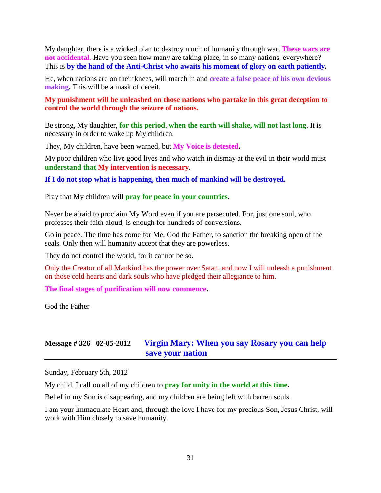My daughter, there is a wicked plan to destroy much of humanity through war. **These wars are not accidental.** Have you seen how many are taking place, in so many nations, everywhere? This is **by the hand of the Anti-Christ who awaits his moment of glory on earth patiently.**

He, when nations are on their knees, will march in and **create a false peace of his own devious making.** This will be a mask of deceit.

**My punishment will be unleashed on those nations who partake in this great deception to control the world through the seizure of nations.**

Be strong, My daughter, **for this period**, **when the earth will shake, will not last long**. It is necessary in order to wake up My children.

They, My children, have been warned, but **My Voice is detested.**

My poor children who live good lives and who watch in dismay at the evil in their world must **understand that My intervention is necessary.** 

**If I do not stop what is happening, then much of mankind will be destroyed.**

Pray that My children will **pray for peace in your countries.**

Never be afraid to proclaim My Word even if you are persecuted. For, just one soul, who professes their faith aloud, is enough for hundreds of conversions.

Go in peace. The time has come for Me, God the Father, to sanction the breaking open of the seals. Only then will humanity accept that they are powerless.

They do not control the world, for it cannot be so.

Only the Creator of all Mankind has the power over Satan, and now I will unleash a punishment on those cold hearts and dark souls who have pledged their allegiance to him.

**The final stages of purification will now commence.**

God the Father

# **Message # 326 02-05-2012 [Virgin Mary: When you say Rosary you can help](http://www.thewarningsecondcoming.com/virgin-mary-when-you-say-rosary-you-can-help-save-your-nation/)  [save your nation](http://www.thewarningsecondcoming.com/virgin-mary-when-you-say-rosary-you-can-help-save-your-nation/)**

Sunday, February 5th, 2012

My child, I call on all of my children to **pray for unity in the world at this time.**

Belief in my Son is disappearing, and my children are being left with barren souls.

I am your Immaculate Heart and, through the love I have for my precious Son, Jesus Christ, will work with Him closely to save humanity.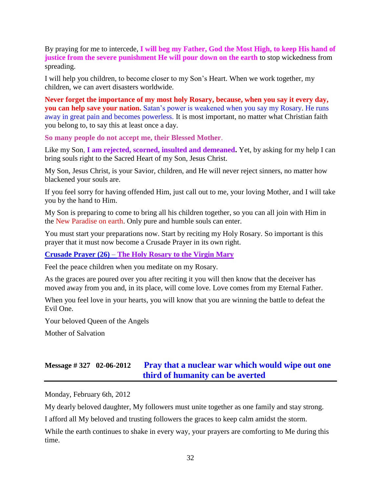By praying for me to intercede, **I will beg my Father, God the Most High, to keep His hand of justice from the severe punishment He will pour down on the earth** to stop wickedness from spreading.

I will help you children, to become closer to my Son's Heart. When we work together, my children, we can avert disasters worldwide.

**Never forget the importance of my most holy Rosary, because, when you say it every day, you can help save your nation.** Satan's power is weakened when you say my Rosary. He runs away in great pain and becomes powerless. It is most important, no matter what Christian faith you belong to, to say this at least once a day.

**So many people do not accept me, their Blessed Mother**.

Like my Son, **I am rejected, scorned, insulted and demeaned.** Yet, by asking for my help I can bring souls right to the Sacred Heart of my Son, Jesus Christ.

My Son, Jesus Christ, is your Savior, children, and He will never reject sinners, no matter how blackened your souls are.

If you feel sorry for having offended Him, just call out to me, your loving Mother, and I will take you by the hand to Him.

My Son is preparing to come to bring all his children together, so you can all join with Him in the New Paradise on earth. Only pure and humble souls can enter.

You must start your preparations now. Start by reciting my Holy Rosary. So important is this prayer that it must now become a Crusade Prayer in its own right.

**Crusade Prayer (26)** – **[The Holy Rosary to the Virgin Mary](http://www.thewarningsecondcoming.com/how-to-pray/how-to-pray-the-rosary/)**

Feel the peace children when you meditate on my Rosary.

As the graces are poured over you after reciting it you will then know that the deceiver has moved away from you and, in its place, will come love. Love comes from my Eternal Father.

When you feel love in your hearts, you will know that you are winning the battle to defeat the Evil One.

Your beloved Queen of the Angels

Mother of Salvation

# **Message # 327 02-06-2012 [Pray that a nuclear war which would wipe out one](http://www.thewarningsecondcoming.com/pray-that-a-nuclear-war-which-would-wipe-out-one-third-of-humanity-can-be-averted/)  [third of humanity can be averted](http://www.thewarningsecondcoming.com/pray-that-a-nuclear-war-which-would-wipe-out-one-third-of-humanity-can-be-averted/)**

Monday, February 6th, 2012

My dearly beloved daughter, My followers must unite together as one family and stay strong.

I afford all My beloved and trusting followers the graces to keep calm amidst the storm.

While the earth continues to shake in every way, your prayers are comforting to Me during this time.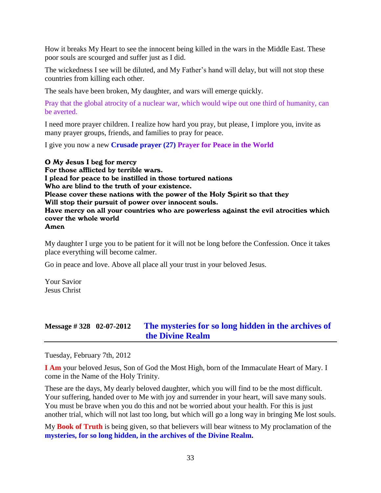How it breaks My Heart to see the innocent being killed in the wars in the Middle East. These poor souls are scourged and suffer just as I did.

The wickedness I see will be diluted, and My Father's hand will delay, but will not stop these countries from killing each other.

The seals have been broken, My daughter, and wars will emerge quickly.

Pray that the global atrocity of a nuclear war, which would wipe out one third of humanity, can be averted.

I need more prayer children. I realize how hard you pray, but please, I implore you, invite as many prayer groups, friends, and families to pray for peace.

I give you now a new **Crusade prayer (27) Prayer for Peace in the World**

O My Jesus I beg for mercy For those afflicted by terrible wars. I plead for peace to be instilled in those tortured nations Who are blind to the truth of your existence. Please cover these nations with the power of the Holy Spirit so that they Will stop their pursuit of power over innocent souls. Have mercy on all your countries who are powerless against the evil atrocities which cover the whole world Amen

My daughter I urge you to be patient for it will not be long before the Confession. Once it takes place everything will become calmer.

Go in peace and love. Above all place all your trust in your beloved Jesus.

Your Savior Jesus Christ

# **Message # 328 02-07-2012 [The mysteries for so long hidden in the archives of](http://www.thewarningsecondcoming.com/the-mysteries-for-so-long-hidden-in-the-archives-of-the-divine-realm/)  [the Divine Realm](http://www.thewarningsecondcoming.com/the-mysteries-for-so-long-hidden-in-the-archives-of-the-divine-realm/)**

Tuesday, February 7th, 2012

**I Am** your beloved Jesus, Son of God the Most High, born of the Immaculate Heart of Mary. I come in the Name of the Holy Trinity.

These are the days, My dearly beloved daughter, which you will find to be the most difficult. Your suffering, handed over to Me with joy and surrender in your heart, will save many souls. You must be brave when you do this and not be worried about your health. For this is just another trial, which will not last too long, but which will go a long way in bringing Me lost souls.

My **Book of Truth** is being given, so that believers will bear witness to My proclamation of the **mysteries, for so long hidden, in the archives of the Divine Realm.**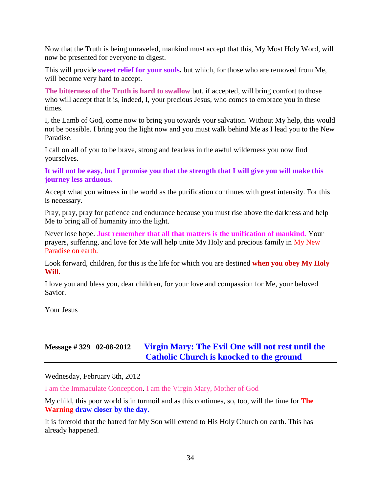Now that the Truth is being unraveled, mankind must accept that this, My Most Holy Word, will now be presented for everyone to digest.

This will provide **sweet relief for your souls,** but which, for those who are removed from Me, will become very hard to accept.

**The bitterness of the Truth is hard to swallow** but, if accepted, will bring comfort to those who will accept that it is, indeed, I, your precious Jesus, who comes to embrace you in these times.

I, the Lamb of God, come now to bring you towards your salvation. Without My help, this would not be possible. I bring you the light now and you must walk behind Me as I lead you to the New Paradise.

I call on all of you to be brave, strong and fearless in the awful wilderness you now find yourselves.

**It will not be easy, but I promise you that the strength that I will give you will make this journey less arduous.**

Accept what you witness in the world as the purification continues with great intensity. For this is necessary.

Pray, pray, pray for patience and endurance because you must rise above the darkness and help Me to bring all of humanity into the light.

Never lose hope. **Just remember that all that matters is the unification of mankind.** Your prayers, suffering, and love for Me will help unite My Holy and precious family in My New Paradise on earth.

Look forward, children, for this is the life for which you are destined **when you obey My Holy Will.**

I love you and bless you, dear children, for your love and compassion for Me, your beloved Savior.

Your Jesus

# **Message # 329 02-08-2012 [Virgin Mary: The Evil One will not rest until the](http://www.thewarningsecondcoming.com/virgin-mary-the-evil-one-will-not-rest-until-the-catholic-church-is-knocked-to-the-ground/)  [Catholic Church is knocked to the ground](http://www.thewarningsecondcoming.com/virgin-mary-the-evil-one-will-not-rest-until-the-catholic-church-is-knocked-to-the-ground/)**

Wednesday, February 8th, 2012

I am the Immaculate Conception. I am the Virgin Mary, Mother of God

My child, this poor world is in turmoil and as this continues, so, too, will the time for **The Warning draw closer by the day.**

It is foretold that the hatred for My Son will extend to His Holy Church on earth. This has already happened.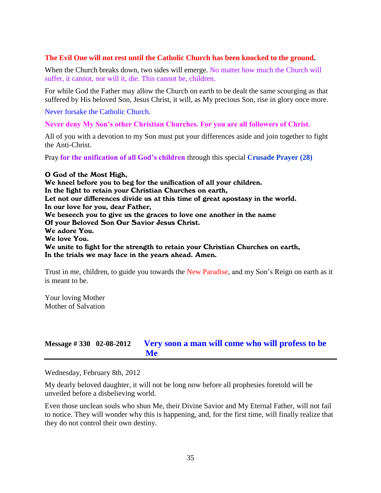### **The Evil One will not rest until the Catholic Church has been knocked to the ground.**

When the Church breaks down, two sides will emerge. No matter how much the Church will suffer, it cannot, nor will it, die. This cannot be, children.

For while God the Father may allow the Church on earth to be dealt the same scourging as that suffered by His beloved Son, Jesus Christ, it will, as My precious Son, rise in glory once more.

Never forsake the Catholic Church.

**Never deny My Son's other Christian Churches. For you are all followers of Christ.**

All of you with a devotion to my Son must put your differences aside and join together to fight the Anti-Christ.

Pray **for the unification of all God's children** through this special **Crusade Prayer (28)**

O God of the Most High, We kneel before you to beg for the unification of all your children. In the fight to retain your Christian Churches on earth, Let not our differences divide us at this time of great apostasy in the world. In our love for you, dear Father, We beseech you to give us the graces to love one another in the name Of your Beloved Son Our Savior Jesus Christ. We adore You. We love You. We unite to fight for the strength to retain your Christian Churches on earth, In the trials we may face in the years ahead. Amen.

Trust in me, children, to guide you towards the New Paradise, and my Son's Reign on earth as it is meant to be.

Your loving Mother Mother of Salvation

# **Message # 330 02-08-2012 [Very soon a man will come who will profess to be](http://www.thewarningsecondcoming.com/very-soon-a-man-will-come-who-will-profess-to-be-me/)  [Me](http://www.thewarningsecondcoming.com/very-soon-a-man-will-come-who-will-profess-to-be-me/)**

Wednesday, February 8th, 2012

My dearly beloved daughter, it will not be long now before all prophesies foretold will be unveiled before a disbelieving world.

Even those unclean souls who shun Me, their Divine Savior and My Eternal Father, will not fail to notice. They will wonder why this is happening, and, for the first time, will finally realize that they do not control their own destiny.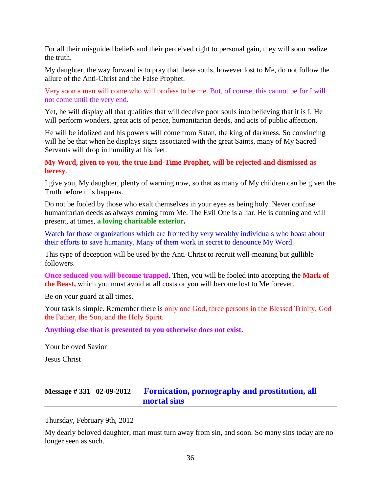For all their misguided beliefs and their perceived right to personal gain, they will soon realize the truth.

My daughter, the way forward is to pray that these souls, however lost to Me, do not follow the allure of the Anti-Christ and the False Prophet.

Very soon a man will come who will profess to be me. But, of course, this cannot be for I will not come until the very end.

Yet, he will display all that qualities that will deceive poor souls into believing that it is I. He will perform wonders, great acts of peace, humanitarian deeds, and acts of public affection.

He will be idolized and his powers will come from Satan, the king of darkness. So convincing will he be that when he displays signs associated with the great Saints, many of My Sacred Servants will drop in humility at his feet.

**My Word, given to you, the true End-Time Prophet, will be rejected and dismissed as heresy**.

I give you, My daughter, plenty of warning now, so that as many of My children can be given the Truth before this happens.

Do not be fooled by those who exalt themselves in your eyes as being holy. Never confuse humanitarian deeds as always coming from Me. The Evil One is a liar. He is cunning and will present, at times, **a loving charitable exterior.**

Watch for those organizations which are fronted by very wealthy individuals who boast about their efforts to save humanity. Many of them work in secret to denounce My Word.

This type of deception will be used by the Anti-Christ to recruit well-meaning but gullible followers.

**Once seduced you will become trapped**. Then, you will be fooled into accepting the **Mark of the Beast,** which you must avoid at all costs or you will become lost to Me forever.

Be on your guard at all times.

Your task is simple. Remember there is only one God, three persons in the Blessed Trinity, God the Father, the Son, and the Holy Spirit.

#### **Anything else that is presented to you otherwise does not exist.**

Your beloved Savior

Jesus Christ

# **Message # 331 02-09-2012 [Fornication, pornography and prostitution, all](http://www.thewarningsecondcoming.com/fornication-pornography-and-prostitution-all-mortal-sins/)  [mortal sins](http://www.thewarningsecondcoming.com/fornication-pornography-and-prostitution-all-mortal-sins/)**

Thursday, February 9th, 2012

My dearly beloved daughter, man must turn away from sin, and soon. So many sins today are no longer seen as such.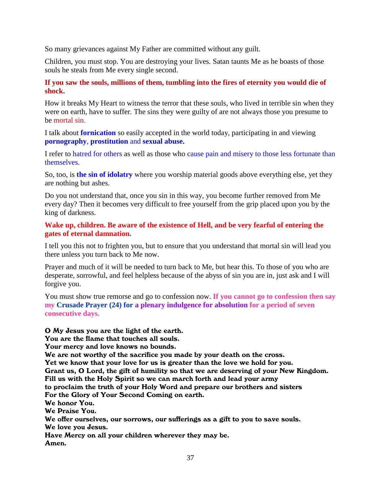So many grievances against My Father are committed without any guilt.

Children, you must stop. You are destroying your lives. Satan taunts Me as he boasts of those souls he steals from Me every single second.

## **If you saw the souls, millions of them, tumbling into the fires of eternity you would die of shock.**

How it breaks My Heart to witness the terror that these souls, who lived in terrible sin when they were on earth, have to suffer. The sins they were guilty of are not always those you presume to be mortal sin.

I talk about **fornication** so easily accepted in the world today, participating in and viewing **pornography**, **prostitution** and **sexual abuse.**

I refer to hatred for others as well as those who cause pain and misery to those less fortunate than themselves.

So, too, is **the sin of idolatry** where you worship material goods above everything else, yet they are nothing but ashes.

Do you not understand that, once you sin in this way, you become further removed from Me every day? Then it becomes very difficult to free yourself from the grip placed upon you by the king of darkness.

**Wake up, children. Be aware of the existence of Hell, and be very fearful of entering the gates of eternal damnation.**

I tell you this not to frighten you, but to ensure that you understand that mortal sin will lead you there unless you turn back to Me now.

Prayer and much of it will be needed to turn back to Me, but hear this. To those of you who are desperate, sorrowful, and feel helpless because of the abyss of sin you are in, just ask and I will forgive you.

You must show true remorse and go to confession now. **If you cannot go to confession then say my Crusade Prayer (24) for a plenary indulgence for absolution for a period of seven consecutive days.**

O My Jesus you are the light of the earth.

You are the flame that touches all souls.

Your mercy and love knows no bounds.

We are not worthy of the sacrifice you made by your death on the cross.

Yet we know that your love for us is greater than the love we hold for you.

Grant us, O Lord, the gift of humility so that we are deserving of your New Kingdom.

Fill us with the Holy Spirit so we can march forth and lead your army

to proclaim the truth of your Holy Word and prepare our brothers and sisters

For the Glory of Your Second Coming on earth.

We honor You.

We Praise You.

We offer ourselves, our sorrows, our sufferings as a gift to you to save souls.

We love you Jesus.

Have Mercy on all your children wherever they may be. Amen.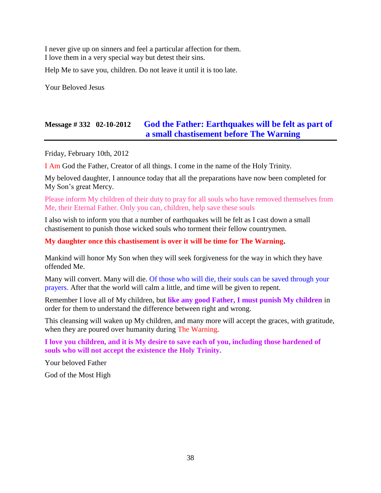I never give up on sinners and feel a particular affection for them. I love them in a very special way but detest their sins.

Help Me to save you, children. Do not leave it until it is too late.

Your Beloved Jesus

# **Message # 332 02-10-2012 [God the Father: Earthquakes will be felt as part of](http://www.thewarningsecondcoming.com/god-the-father-earthquakes-will-be-felt-as-part-of-a-small-chastisement-before-the-warning/)  [a small chastisement before The Warning](http://www.thewarningsecondcoming.com/god-the-father-earthquakes-will-be-felt-as-part-of-a-small-chastisement-before-the-warning/)**

Friday, February 10th, 2012

I Am God the Father, Creator of all things. I come in the name of the Holy Trinity.

My beloved daughter, I announce today that all the preparations have now been completed for My Son's great Mercy.

Please inform My children of their duty to pray for all souls who have removed themselves from Me, their Eternal Father. Only you can, children, help save these souls

I also wish to inform you that a number of earthquakes will be felt as I cast down a small chastisement to punish those wicked souls who torment their fellow countrymen.

### **My daughter once this chastisement is over it will be time for The Warning.**

Mankind will honor My Son when they will seek forgiveness for the way in which they have offended Me.

Many will convert. Many will die. Of those who will die, their souls can be saved through your prayers. After that the world will calm a little, and time will be given to repent.

Remember I love all of My children, but **like any good Father, I must punish My children** in order for them to understand the difference between right and wrong.

This cleansing will waken up My children, and many more will accept the graces, with gratitude, when they are poured over humanity during The Warning.

**I love you children, and it is My desire to save each of you, including those hardened of souls who will not accept the existence the Holy Trinity.**

Your beloved Father

God of the Most High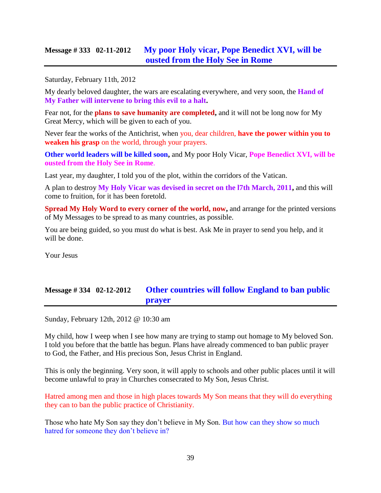# **Message # 333 02-11-2012 [My poor Holy vicar, Pope Benedict XVI, will be](http://www.thewarningsecondcoming.com/my-poor-holy-vicar-pope-benedict-xvi-will-be-ousted-from-the-holy-see-in-rome/)  [ousted from the Holy See in Rome](http://www.thewarningsecondcoming.com/my-poor-holy-vicar-pope-benedict-xvi-will-be-ousted-from-the-holy-see-in-rome/)**

Saturday, February 11th, 2012

My dearly beloved daughter, the wars are escalating everywhere, and very soon, the **Hand of My Father will intervene to bring this evil to a halt.**

Fear not, for the **plans to save humanity are completed,** and it will not be long now for My Great Mercy, which will be given to each of you.

Never fear the works of the Antichrist, when you, dear children, **have the power within you to weaken his grasp** on the world, through your prayers.

**Other world leaders will be killed soon,** and My poor Holy Vicar, **Pope Benedict XVI, will be ousted from the Holy See in Rome**.

Last year, my daughter, I told you of the plot, within the corridors of the Vatican.

A plan to destroy **My Holy Vicar was devised in secret on the l7th March, 2011,** and this will come to fruition, for it has been foretold.

**Spread My Holy Word to every corner of the world, now,** and arrange for the printed versions of My Messages to be spread to as many countries, as possible.

You are being guided, so you must do what is best. Ask Me in prayer to send you help, and it will be done.

Your Jesus

# **Message # 334 02-12-2012 Other countries will follow England to ban public prayer**

Sunday, February 12th, 2012 @ 10:30 am

My child, how I weep when I see how many are trying to stamp out homage to My beloved Son. I told you before that the battle has begun. Plans have already commenced to ban public prayer to God, the Father, and His precious Son, Jesus Christ in England.

This is only the beginning. Very soon, it will apply to schools and other public places until it will become unlawful to pray in Churches consecrated to My Son, Jesus Christ.

Hatred among men and those in high places towards My Son means that they will do everything they can to ban the public practice of Christianity.

Those who hate My Son say they don't believe in My Son. But how can they show so much hatred for someone they don't believe in?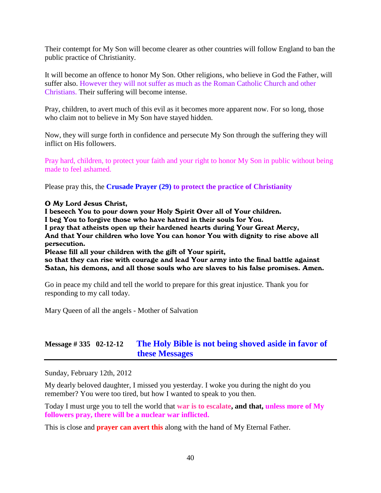Their contempt for My Son will become clearer as other countries will follow England to ban the public practice of Christianity.

It will become an offence to honor My Son. Other religions, who believe in God the Father, will suffer also. However they will not suffer as much as the Roman Catholic Church and other Christians. Their suffering will become intense.

Pray, children, to avert much of this evil as it becomes more apparent now. For so long, those who claim not to believe in My Son have stayed hidden.

Now, they will surge forth in confidence and persecute My Son through the suffering they will inflict on His followers.

Pray hard, children, to protect your faith and your right to honor My Son in public without being made to feel ashamed.

Please pray this, the **Crusade Prayer (29) to protect the practice of Christianity**

#### O My Lord Jesus Christ,

I beseech You to pour down your Holy Spirit Over all of Your children. I beg You to forgive those who have hatred in their souls for You. I pray that atheists open up their hardened hearts during Your Great Mercy, And that Your children who love You can honor You with dignity to rise above all persecution. Please fill all your children with the gift of Your spirit,

so that they can rise with courage and lead Your army into the final battle against Satan, his demons, and all those souls who are slaves to his false promises. Amen.

Go in peace my child and tell the world to prepare for this great injustice. Thank you for responding to my call today.

Mary Queen of all the angels - Mother of Salvation

# **Message # 335 02-12-12 [The Holy Bible is not being shoved aside in favor of](http://www.thewarningsecondcoming.com/the-holy-bible-is-not-being-shoved-aside-in-favour-of-these-messages/)  [these Messages](http://www.thewarningsecondcoming.com/the-holy-bible-is-not-being-shoved-aside-in-favour-of-these-messages/)**

Sunday, February 12th, 2012

My dearly beloved daughter, I missed you yesterday. I woke you during the night do you remember? You were too tired, but how I wanted to speak to you then.

Today I must urge you to tell the world that **war is to escalate, and that, unless more of My followers pray, there will be a nuclear war inflicted.**

This is close and **prayer can avert this** along with the hand of My Eternal Father.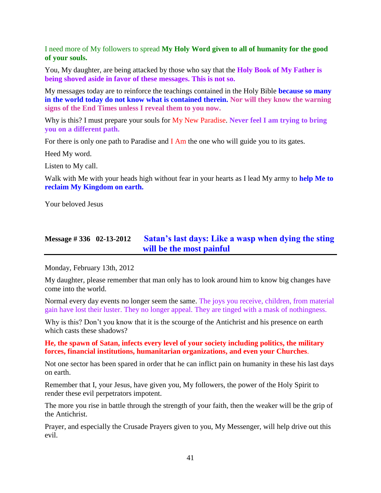I need more of My followers to spread **My Holy Word given to all of humanity for the good of your souls.**

You, My daughter, are being attacked by those who say that the **Holy Book of My Father is being shoved aside in favor of these messages. This is not so.**

My messages today are to reinforce the teachings contained in the Holy Bible **because so many in the world today do not know what is contained therein. Nor will they know the warning signs of the End Times unless I reveal them to you now.**

Why is this? I must prepare your souls for My New Paradise. **Never feel I am trying to bring you on a different path.**

For there is only one path to Paradise and  $I$  Am the one who will guide you to its gates.

Heed My word.

Listen to My call.

Walk with Me with your heads high without fear in your hearts as I lead My army to **help Me to reclaim My Kingdom on earth.**

Your beloved Jesus

# **Message # 336 02-13-2012 [Satan's last days: Like a wasp when dying the sting](http://www.thewarningsecondcoming.com/satans-last-days-like-a-wasp-when-dying-the-sting-will-be-the-most-painful/)  [will be the most painful](http://www.thewarningsecondcoming.com/satans-last-days-like-a-wasp-when-dying-the-sting-will-be-the-most-painful/)**

Monday, February 13th, 2012

My daughter, please remember that man only has to look around him to know big changes have come into the world.

Normal every day events no longer seem the same. The joys you receive, children, from material gain have lost their luster. They no longer appeal. They are tinged with a mask of nothingness.

Why is this? Don't you know that it is the scourge of the Antichrist and his presence on earth which casts these shadows?

**He, the spawn of Satan, infects every level of your society including politics, the military forces, financial institutions, humanitarian organizations, and even your Churches**.

Not one sector has been spared in order that he can inflict pain on humanity in these his last days on earth.

Remember that I, your Jesus, have given you, My followers, the power of the Holy Spirit to render these evil perpetrators impotent.

The more you rise in battle through the strength of your faith, then the weaker will be the grip of the Antichrist.

Prayer, and especially the Crusade Prayers given to you, My Messenger, will help drive out this evil.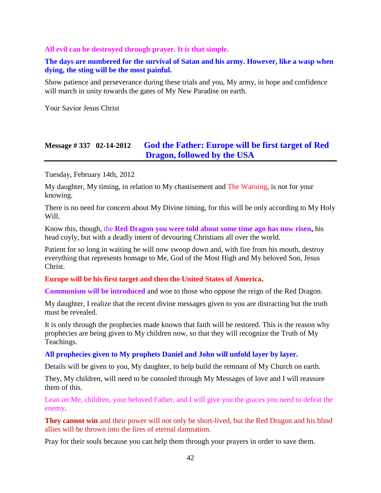### **All evil can be destroyed through prayer. It is that simple.**

## **The days are numbered for the survival of Satan and his army. However, like a wasp when dying, the sting will be the most painful.**

Show patience and perseverance during these trials and you, My army, in hope and confidence will march in unity towards the gates of My New Paradise on earth.

Your Savior Jesus Christ

# **Message # 337 02-14-2012 [God the Father: Europe will be first target of Red](http://www.thewarningsecondcoming.com/god-the-father-europe-will-be-first-target-of-red-dragon-followed-by-the-usa/)  Dragon, [followed by the USA](http://www.thewarningsecondcoming.com/god-the-father-europe-will-be-first-target-of-red-dragon-followed-by-the-usa/)**

Tuesday, February 14th, 2012

My daughter, My timing, in relation to My chastisement and The Warning, is not for your knowing.

There is no need for concern about My Divine timing, for this will be only according to My Holy Will.

Know this, though, the **Red Dragon you were told about some time ago has now risen,** his head coyly, but with a deadly intent of devouring Christians all over the world.

Patient for so long in waiting he will now swoop down and, with fire from his mouth, destroy everything that represents homage to Me, God of the Most High and My beloved Son, Jesus Christ.

### **Europe will be his first target and then the United States of America.**

**Communism will be introduced** and woe to those who oppose the reign of the Red Dragon.

My daughter, I realize that the recent divine messages given to you are distracting but the truth must be revealed.

It is only through the prophecies made known that faith will be restored. This is the reason why prophecies are being given to My children now, so that they will recognize the Truth of My Teachings.

### **All prophecies given to My prophets Daniel and John will unfold layer by layer.**

Details will be given to you, My daughter, to help build the remnant of My Church on earth.

They, My children, will need to be consoled through My Messages of love and I will reassure them of this.

Lean on Me, children, your beloved Father, and I will give you the graces you need to defeat the enemy.

**They cannot win** and their power will not only be short-lived, but the Red Dragon and his blind allies will be thrown into the fires of eternal damnation.

Pray for their souls because you can help them through your prayers in order to save them.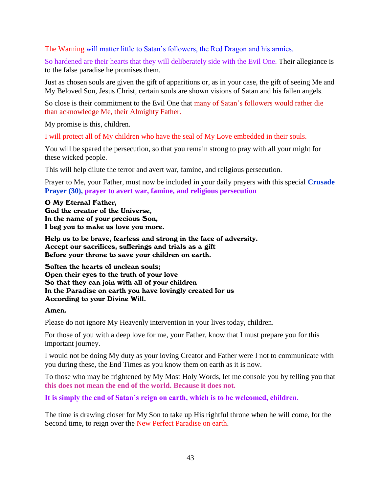The Warning will matter little to Satan's followers, the Red Dragon and his armies.

So hardened are their hearts that they will deliberately side with the Evil One. Their allegiance is to the false paradise he promises them.

Just as chosen souls are given the gift of apparitions or, as in your case, the gift of seeing Me and My Beloved Son, Jesus Christ, certain souls are shown visions of Satan and his fallen angels.

So close is their commitment to the Evil One that many of Satan's followers would rather die than acknowledge Me, their Almighty Father.

My promise is this, children.

I will protect all of My children who have the seal of My Love embedded in their souls.

You will be spared the persecution, so that you remain strong to pray with all your might for these wicked people.

This will help dilute the terror and avert war, famine, and religious persecution.

Prayer to Me, your Father, must now be included in your daily prayers with this special **Crusade Prayer (30), prayer to avert war, famine, and religious persecution**

#### O My Eternal Father,

God the creator of the Universe, In the name of your precious Son, I beg you to make us love you more.

Help us to be brave, fearless and strong in the face of adversity. Accept our sacrifices, sufferings and trials as a gift Before your throne to save your children on earth.

Soften the hearts of unclean souls; Open their eyes to the truth of your love So that they can join with all of your children In the Paradise on earth you have lovingly created for us According to your Divine Will.

### Amen.

Please do not ignore My Heavenly intervention in your lives today, children.

For those of you with a deep love for me, your Father, know that I must prepare you for this important journey.

I would not be doing My duty as your loving Creator and Father were I not to communicate with you during these, the End Times as you know them on earth as it is now.

To those who may be frightened by My Most Holy Words, let me console you by telling you that **this does not mean the end of the world. Because it does not.**

**It is simply the end of Satan's reign on earth, which is to be welcomed, children.**

The time is drawing closer for My Son to take up His rightful throne when he will come, for the Second time, to reign over the New Perfect Paradise on earth.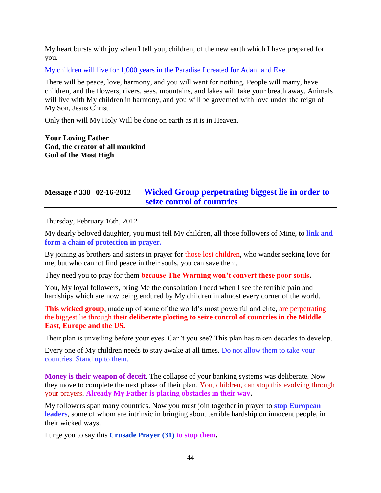My heart bursts with joy when I tell you, children, of the new earth which I have prepared for you.

My children will live for 1,000 years in the Paradise I created for Adam and Eve.

There will be peace, love, harmony, and you will want for nothing. People will marry, have children, and the flowers, rivers, seas, mountains, and lakes will take your breath away. Animals will live with My children in harmony, and you will be governed with love under the reign of My Son, Jesus Christ.

Only then will My Holy Will be done on earth as it is in Heaven.

**Your Loving Father God, the creator of all mankind God of the Most High**

# **Message # 338 02-16-2012 [Wicked Group perpetrating biggest lie in order to](http://www.thewarningsecondcoming.com/wicked-group-perpetrating-biggest-lie-in-order-to-seize-control-of-countries/)  [seize control of countries](http://www.thewarningsecondcoming.com/wicked-group-perpetrating-biggest-lie-in-order-to-seize-control-of-countries/)**

Thursday, February 16th, 2012

My dearly beloved daughter, you must tell My children, all those followers of Mine, to **link and form a chain of protection in prayer.**

By joining as brothers and sisters in prayer for those lost children, who wander seeking love for me, but who cannot find peace in their souls, you can save them.

They need you to pray for them **because The Warning won't convert these poor souls.**

You, My loyal followers, bring Me the consolation I need when I see the terrible pain and hardships which are now being endured by My children in almost every corner of the world.

**This wicked group**, made up of some of the world's most powerful and elite, are perpetrating the biggest lie through their **deliberate plotting to seize control of countries in the Middle East, Europe and the US.**

Their plan is unveiling before your eyes. Can't you see? This plan has taken decades to develop.

Every one of My children needs to stay awake at all times. Do not allow them to take your countries. Stand up to them.

**Money is their weapon of deceit**. The collapse of your banking systems was deliberate. Now they move to complete the next phase of their plan. You, children, can stop this evolving through your prayers. **Already My Father is placing obstacles in their way.**

My followers span many countries. Now you must join together in prayer to **stop European leaders**, some of whom are intrinsic in bringing about terrible hardship on innocent people, in their wicked ways.

I urge you to say this **Crusade Prayer (31) to stop them.**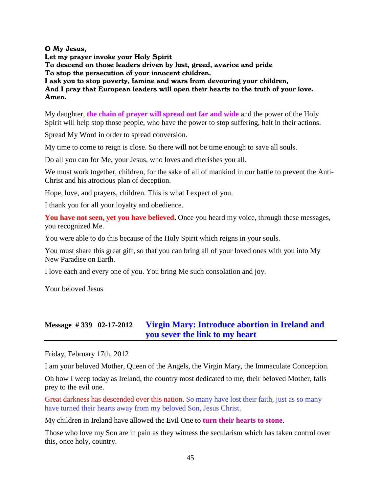O My Jesus,

Let my prayer invoke your Holy Spirit To descend on those leaders driven by lust, greed, avarice and pride To stop the persecution of your innocent children. I ask you to stop poverty, famine and wars from devouring your children, And I pray that European leaders will open their hearts to the truth of your love. Amen.

My daughter, **the chain of prayer will spread out far and wide** and the power of the Holy Spirit will help stop those people, who have the power to stop suffering, halt in their actions.

Spread My Word in order to spread conversion.

My time to come to reign is close. So there will not be time enough to save all souls.

Do all you can for Me, your Jesus, who loves and cherishes you all.

We must work together, children, for the sake of all of mankind in our battle to prevent the Anti-Christ and his atrocious plan of deception.

Hope, love, and prayers, children. This is what I expect of you.

I thank you for all your loyalty and obedience.

You have not seen, yet you have believed. Once you heard my voice, through these messages, you recognized Me.

You were able to do this because of the Holy Spirit which reigns in your souls.

You must share this great gift, so that you can bring all of your loved ones with you into My New Paradise on Earth.

I love each and every one of you. You bring Me such consolation and joy.

Your beloved Jesus

# **Message # 339 02-17-2012 [Virgin Mary: Introduce abortion in Ireland and](http://www.thewarningsecondcoming.com/virgin-mary-introduce-abortion-in-ireland-and-you-will-severe-the-link-to-my-heart/)  [you sever the link to my heart](http://www.thewarningsecondcoming.com/virgin-mary-introduce-abortion-in-ireland-and-you-will-severe-the-link-to-my-heart/)**

Friday, February 17th, 2012

I am your beloved Mother, Queen of the Angels, the Virgin Mary, the Immaculate Conception.

Oh how I weep today as Ireland, the country most dedicated to me, their beloved Mother, falls prey to the evil one.

Great darkness has descended over this nation. So many have lost their faith, just as so many have turned their hearts away from my beloved Son, Jesus Christ.

My children in Ireland have allowed the Evil One to **turn their hearts to stone**.

Those who love my Son are in pain as they witness the secularism which has taken control over this, once holy, country.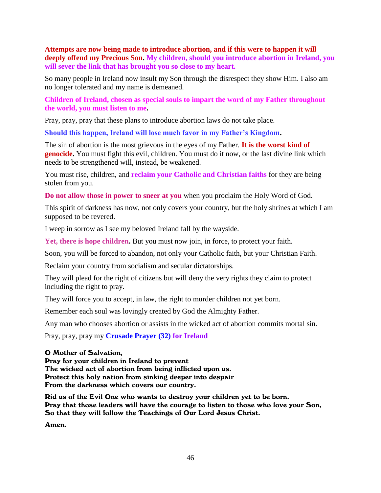**Attempts are now being made to introduce abortion, and if this were to happen it will deeply offend my Precious Son. My children, should you introduce abortion in Ireland, you will sever the link that has brought you so close to my heart.** 

So many people in Ireland now insult my Son through the disrespect they show Him. I also am no longer tolerated and my name is demeaned.

**Children of Ireland, chosen as special souls to impart the word of my Father throughout the world, you must listen to me.**

Pray, pray, pray that these plans to introduce abortion laws do not take place.

**Should this happen, Ireland will lose much favor in my Father's Kingdom.**

The sin of abortion is the most grievous in the eyes of my Father. **It is the worst kind of genocide.** You must fight this evil, children. You must do it now, or the last divine link which needs to be strengthened will, instead, be weakened.

You must rise, children, and **reclaim your Catholic and Christian faiths** for they are being stolen from you.

**Do not allow those in power to sneer at you** when you proclaim the Holy Word of God.

This spirit of darkness has now, not only covers your country, but the holy shrines at which I am supposed to be revered.

I weep in sorrow as I see my beloved Ireland fall by the wayside.

**Yet, there is hope children.** But you must now join, in force, to protect your faith.

Soon, you will be forced to abandon, not only your Catholic faith, but your Christian Faith.

Reclaim your country from socialism and secular dictatorships.

They will plead for the right of citizens but will deny the very rights they claim to protect including the right to pray.

They will force you to accept, in law, the right to murder children not yet born.

Remember each soul was lovingly created by God the Almighty Father.

Any man who chooses abortion or assists in the wicked act of abortion commits mortal sin.

Pray, pray, pray my **Crusade Prayer (32) for Ireland** 

#### O Mother of Salvation,

Pray for your children in Ireland to prevent The wicked act of abortion from being inflicted upon us. Protect this holy nation from sinking deeper into despair From the darkness which covers our country.

Rid us of the Evil One who wants to destroy your children yet to be born. Pray that those leaders will have the courage to listen to those who love your Son, So that they will follow the Teachings of Our Lord Jesus Christ.

Amen.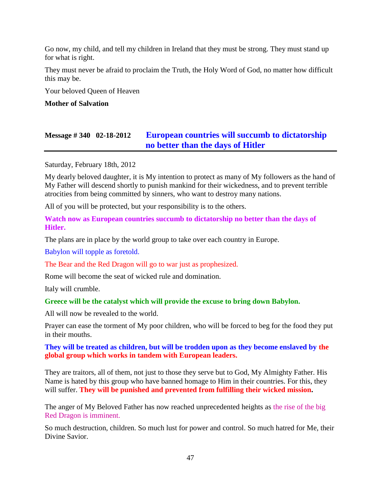Go now, my child, and tell my children in Ireland that they must be strong. They must stand up for what is right.

They must never be afraid to proclaim the Truth, the Holy Word of God, no matter how difficult this may be.

Your beloved Queen of Heaven

### **Mother of Salvation**

# **Message # 340 02-18-2012 [European countries will succumb to dictatorship](http://www.thewarningsecondcoming.com/european-countries-will-succumb-to-dictatorship-no-better-than-the-days-of-hitler/)  [no better than the days of Hitler](http://www.thewarningsecondcoming.com/european-countries-will-succumb-to-dictatorship-no-better-than-the-days-of-hitler/)**

Saturday, February 18th, 2012

My dearly beloved daughter, it is My intention to protect as many of My followers as the hand of My Father will descend shortly to punish mankind for their wickedness, and to prevent terrible atrocities from being committed by sinners, who want to destroy many nations.

All of you will be protected, but your responsibility is to the others.

**Watch now as European countries succumb to dictatorship no better than the days of Hitler.**

The plans are in place by the world group to take over each country in Europe.

Babylon will topple as foretold.

The Bear and the Red Dragon will go to war just as prophesized.

Rome will become the seat of wicked rule and domination.

Italy will crumble.

## **Greece will be the catalyst which will provide the excuse to bring down Babylon.**

All will now be revealed to the world.

Prayer can ease the torment of My poor children, who will be forced to beg for the food they put in their mouths.

## **They will be treated as children, but will be trodden upon as they become enslaved by the global group which works in tandem with European leaders.**

They are traitors, all of them, not just to those they serve but to God, My Almighty Father. His Name is hated by this group who have banned homage to Him in their countries. For this, they will suffer. **They will be punished and prevented from fulfilling their wicked mission.**

The anger of My Beloved Father has now reached unprecedented heights as the rise of the big Red Dragon is imminent.

So much destruction, children. So much lust for power and control. So much hatred for Me, their Divine Savior.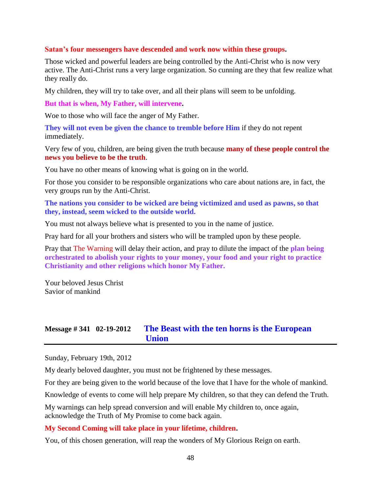#### **Satan's four messengers have descended and work now within these groups.**

Those wicked and powerful leaders are being controlled by the Anti-Christ who is now very active. The Anti-Christ runs a very large organization. So cunning are they that few realize what they really do.

My children, they will try to take over, and all their plans will seem to be unfolding.

**But that is when, My Father, will intervene.**

Woe to those who will face the anger of My Father.

**They will not even be given the chance to tremble before Him** if they do not repent immediately.

Very few of you, children, are being given the truth because **many of these people control the news you believe to be the truth**.

You have no other means of knowing what is going on in the world.

For those you consider to be responsible organizations who care about nations are, in fact, the very groups run by the Anti-Christ.

**The nations you consider to be wicked are being victimized and used as pawns, so that they, instead, seem wicked to the outside world.**

You must not always believe what is presented to you in the name of justice.

Pray hard for all your brothers and sisters who will be trampled upon by these people.

Pray that The Warning will delay their action, and pray to dilute the impact of the **plan being orchestrated to abolish your rights to your money, your food and your right to practice Christianity and other religions which honor My Father.**

Your beloved Jesus Christ Savior of mankind

## **Message # 341 02-19-2012 [The Beast with the ten horns is the European](http://www.thewarningsecondcoming.com/the-beast-with-the-ten-horns-is-the-european-union/)  [Union](http://www.thewarningsecondcoming.com/the-beast-with-the-ten-horns-is-the-european-union/)**

Sunday, February 19th, 2012

My dearly beloved daughter, you must not be frightened by these messages.

For they are being given to the world because of the love that I have for the whole of mankind.

Knowledge of events to come will help prepare My children, so that they can defend the Truth.

My warnings can help spread conversion and will enable My children to, once again, acknowledge the Truth of My Promise to come back again.

## **My Second Coming will take place in your lifetime, children.**

You, of this chosen generation, will reap the wonders of My Glorious Reign on earth.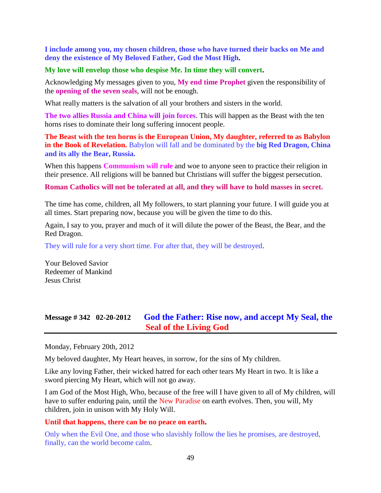**I include among you, my chosen children, those who have turned their backs on Me and deny the existence of My Beloved Father, God the Most High.**

### **My love will envelop those who despise Me. In time they will convert.**

Acknowledging My messages given to you, **My end time Prophet** given the responsibility of the **opening of the seven seals**, will not be enough.

What really matters is the salvation of all your brothers and sisters in the world.

**The two allies Russia and China will join forces**. This will happen as the Beast with the ten horns rises to dominate their long suffering innocent people.

**The Beast with the ten horns is the European Union, My daughter, referred to as Babylon in the Book of Revelation.** Babylon will fall and be dominated by the **big Red Dragon, China and its ally the Bear, Russia.**

When this happens **Communism will rule** and woe to anyone seen to practice their religion in their presence. All religions will be banned but Christians will suffer the biggest persecution.

**Roman Catholics will not be tolerated at all, and they will have to hold masses in secret.**

The time has come, children, all My followers, to start planning your future. I will guide you at all times. Start preparing now, because you will be given the time to do this.

Again, I say to you, prayer and much of it will dilute the power of the Beast, the Bear, and the Red Dragon.

They will rule for a very short time. For after that, they will be destroyed.

Your Beloved Savior Redeemer of Mankind Jesus Christ

# **Message # 342 02-20-2012 [God the Father: Rise now, and accept My Seal, the](http://www.thewarningsecondcoming.com/god-the-father-rise-now-and-accept-my-seal-the-seal-of-the-living-god/)  [Seal of the Living God](http://www.thewarningsecondcoming.com/god-the-father-rise-now-and-accept-my-seal-the-seal-of-the-living-god/)**

Monday, February 20th, 2012

My beloved daughter, My Heart heaves, in sorrow, for the sins of My children.

Like any loving Father, their wicked hatred for each other tears My Heart in two. It is like a sword piercing My Heart, which will not go away.

I am God of the Most High, Who, because of the free will I have given to all of My children, will have to suffer enduring pain, until the New Paradise on earth evolves. Then, you will, My children, join in unison with My Holy Will.

#### **Until that happens, there can be no peace on earth.**

Only when the Evil One, and those who slavishly follow the lies he promises, are destroyed, finally, can the world become calm.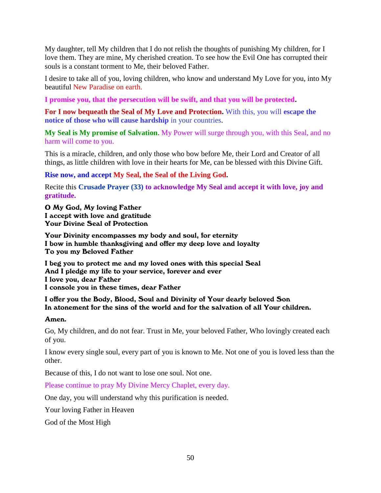My daughter, tell My children that I do not relish the thoughts of punishing My children, for I love them. They are mine, My cherished creation. To see how the Evil One has corrupted their souls is a constant torment to Me, their beloved Father.

I desire to take all of you, loving children, who know and understand My Love for you, into My beautiful New Paradise on earth.

**I promise you, that the persecution will be swift, and that you will be protected.**

**For I now bequeath the Seal of My Love and Protection.** With this, you will **escape the notice of those who will cause hardship** in your countries.

**My Seal is My promise of Salvation**. My Power will surge through you, with this Seal, and no harm will come to you.

This is a miracle, children, and only those who bow before Me, their Lord and Creator of all things, as little children with love in their hearts for Me, can be blessed with this Divine Gift.

**Rise now, and accept My Seal, the Seal of the Living God.** 

Recite this **Crusade Prayer (33) to acknowledge My Seal and accept it with love, joy and gratitude.**

O My God, My loving Father I accept with love and gratitude Your Divine Seal of Protection

Your Divinity encompasses my body and soul, for eternity I bow in humble thanksgiving and offer my deep love and loyalty To you my Beloved Father

I beg you to protect me and my loved ones with this special Seal And I pledge my life to your service, forever and ever I love you, dear Father I console you in these times, dear Father

### I offer you the Body, Blood, Soul and Divinity of Your dearly beloved Son In atonement for the sins of the world and for the salvation of all Your children.

#### Amen.

Go, My children, and do not fear. Trust in Me, your beloved Father, Who lovingly created each of you.

I know every single soul, every part of you is known to Me. Not one of you is loved less than the other.

Because of this, I do not want to lose one soul. Not one.

Please continue to pray My Divine Mercy Chaplet, every day.

One day, you will understand why this purification is needed.

Your loving Father in Heaven

God of the Most High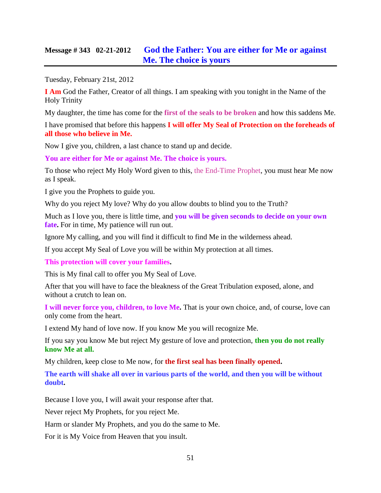# **Message # 343 02-21-2012 [God the Father: You are either for Me or against](http://www.thewarningsecondcoming.com/god-the-father-you-are-either-for-me-or-against-me-the-choice-is-yours/)  [Me. The choice is yours](http://www.thewarningsecondcoming.com/god-the-father-you-are-either-for-me-or-against-me-the-choice-is-yours/)**

Tuesday, February 21st, 2012

**I Am** God the Father, Creator of all things. I am speaking with you tonight in the Name of the Holy Trinity

My daughter, the time has come for the **first of the seals to be broken** and how this saddens Me.

I have promised that before this happens **I will offer My Seal of Protection on the foreheads of all those who believe in Me.**

Now I give you, children, a last chance to stand up and decide.

**You are either for Me or against Me. The choice is yours.**

To those who reject My Holy Word given to this, the End-Time Prophet, you must hear Me now as I speak.

I give you the Prophets to guide you.

Why do you reject My love? Why do you allow doubts to blind you to the Truth?

Much as I love you, there is little time, and **you will be given seconds to decide on your own fate.** For in time, My patience will run out.

Ignore My calling, and you will find it difficult to find Me in the wilderness ahead.

If you accept My Seal of Love you will be within My protection at all times.

**This protection will cover your families.**

This is My final call to offer you My Seal of Love.

After that you will have to face the bleakness of the Great Tribulation exposed, alone, and without a crutch to lean on.

**I will never force you, children, to love Me.** That is your own choice, and, of course, love can only come from the heart.

I extend My hand of love now. If you know Me you will recognize Me.

If you say you know Me but reject My gesture of love and protection, **then you do not really know Me at all.**

My children, keep close to Me now, for **the first seal has been finally opened.**

**The earth will shake all over in various parts of the world, and then you will be without doubt.**

Because I love you, I will await your response after that.

Never reject My Prophets, for you reject Me.

Harm or slander My Prophets, and you do the same to Me.

For it is My Voice from Heaven that you insult.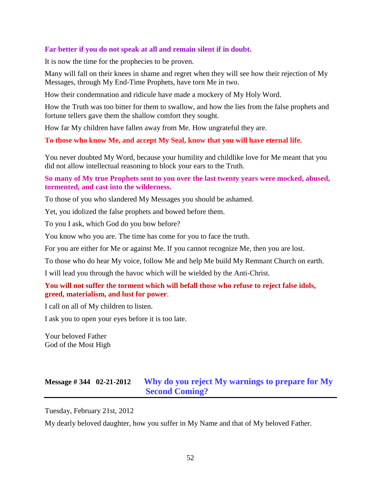### **Far better if you do not speak at all and remain silent if in doubt.**

It is now the time for the prophecies to be proven.

Many will fall on their knees in shame and regret when they will see how their rejection of My Messages, through My End-Time Prophets, have torn Me in two.

How their condemnation and ridicule have made a mockery of My Holy Word.

How the Truth was too bitter for them to swallow, and how the lies from the false prophets and fortune tellers gave them the shallow comfort they sought.

How far My children have fallen away from Me. How ungrateful they are.

**To those who know Me, and accept My Seal, know that you will have eternal life.**

You never doubted My Word, because your humility and childlike love for Me meant that you did not allow intellectual reasoning to block your ears to the Truth.

**So many of My true Prophets sent to you over the last twenty years were mocked, abused, tormented, and cast into the wilderness.**

To those of you who slandered My Messages you should be ashamed.

Yet, you idolized the false prophets and bowed before them.

To you I ask, which God do you bow before?

You know who you are. The time has come for you to face the truth.

For you are either for Me or against Me. If you cannot recognize Me, then you are lost.

To those who do hear My voice, follow Me and help Me build My Remnant Church on earth.

I will lead you through the havoc which will be wielded by the Anti-Christ.

### **You will not suffer the torment which will befall those who refuse to reject false idols, greed, materialism, and lust for power**.

I call on all of My children to listen.

I ask you to open your eyes before it is too late.

Your beloved Father God of the Most High

# **Message # 344 02-21-2012 [Why do you reject My warnings to prepare for My](http://www.thewarningsecondcoming.com/why-do-you-reject-my-warnings-to-prepare-for-my-second-coming/)  [Second Coming?](http://www.thewarningsecondcoming.com/why-do-you-reject-my-warnings-to-prepare-for-my-second-coming/)**

Tuesday, February 21st, 2012

My dearly beloved daughter, how you suffer in My Name and that of My beloved Father.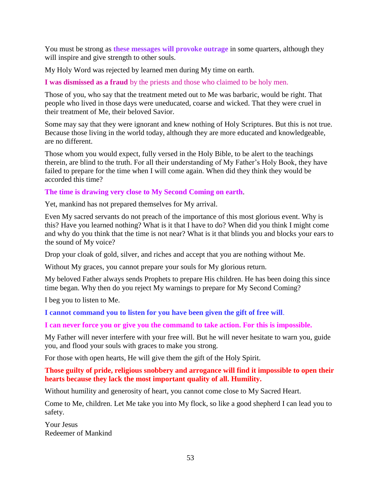You must be strong as **these messages will provoke outrage** in some quarters, although they will inspire and give strength to other souls.

My Holy Word was rejected by learned men during My time on earth.

**I was dismissed as a fraud** by the priests and those who claimed to be holy men.

Those of you, who say that the treatment meted out to Me was barbaric, would be right. That people who lived in those days were uneducated, coarse and wicked. That they were cruel in their treatment of Me, their beloved Savior.

Some may say that they were ignorant and knew nothing of Holy Scriptures. But this is not true. Because those living in the world today, although they are more educated and knowledgeable, are no different.

Those whom you would expect, fully versed in the Holy Bible, to be alert to the teachings therein, are blind to the truth. For all their understanding of My Father's Holy Book, they have failed to prepare for the time when I will come again. When did they think they would be accorded this time?

### **The time is drawing very close to My Second Coming on earth**.

Yet, mankind has not prepared themselves for My arrival.

Even My sacred servants do not preach of the importance of this most glorious event. Why is this? Have you learned nothing? What is it that I have to do? When did you think I might come and why do you think that the time is not near? What is it that blinds you and blocks your ears to the sound of My voice?

Drop your cloak of gold, silver, and riches and accept that you are nothing without Me.

Without My graces, you cannot prepare your souls for My glorious return.

My beloved Father always sends Prophets to prepare His children. He has been doing this since time began. Why then do you reject My warnings to prepare for My Second Coming?

I beg you to listen to Me.

**I cannot command you to listen for you have been given the gift of free will**.

**I can never force you or give you the command to take action. For this is impossible.**

My Father will never interfere with your free will. But he will never hesitate to warn you, guide you, and flood your souls with graces to make you strong.

For those with open hearts, He will give them the gift of the Holy Spirit.

**Those guilty of pride, religious snobbery and arrogance will find it impossible to open their hearts because they lack the most important quality of all. Humility.**

Without humility and generosity of heart, you cannot come close to My Sacred Heart.

Come to Me, children. Let Me take you into My flock, so like a good shepherd I can lead you to safety.

Your Jesus Redeemer of Mankind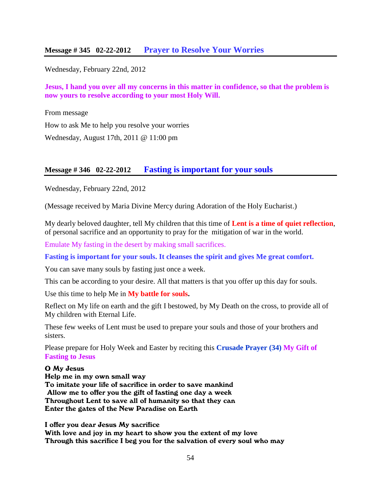Wednesday, February 22nd, 2012

**Jesus, I hand you over all my concerns in this matter in confidence, so that the problem is now yours to resolve according to your most Holy Will.**

From message [How to ask Me to help you resolve your worries](http://www.thewarningsecondcoming.com/how-to-ask-me-to-help-you-resolve-your-worries/)

Wednesday, August 17th, 2011 @ 11:00 pm

## **Message # 346 02-22-2012 [Fasting is important for your souls](http://www.thewarningsecondcoming.com/fasting-is-important-for-your-souls/)**

Wednesday, February 22nd, 2012

(Message received by Maria Divine Mercy during Adoration of the Holy Eucharist.)

My dearly beloved daughter, tell My children that this time of **Lent is a time of quiet reflection**, of personal sacrifice and an opportunity to pray for the mitigation of war in the world.

Emulate My fasting in the desert by making small sacrifices.

**Fasting is important for your souls. It cleanses the spirit and gives Me great comfort.**

You can save many souls by fasting just once a week.

This can be according to your desire. All that matters is that you offer up this day for souls.

Use this time to help Me in **My battle for souls.**

Reflect on My life on earth and the gift I bestowed, by My Death on the cross, to provide all of My children with Eternal Life.

These few weeks of Lent must be used to prepare your souls and those of your brothers and sisters.

Please prepare for Holy Week and Easter by reciting this **Crusade Prayer (34) My Gift of Fasting to Jesus**

#### O My Jesus

Help me in my own small way To imitate your life of sacrifice in order to save mankind Allow me to offer you the gift of fasting one day a week Throughout Lent to save all of humanity so that they can Enter the gates of the New Paradise on Earth

I offer you dear Jesus My sacrifice

With love and joy in my heart to show you the extent of my love Through this sacrifice I beg you for the salvation of every soul who may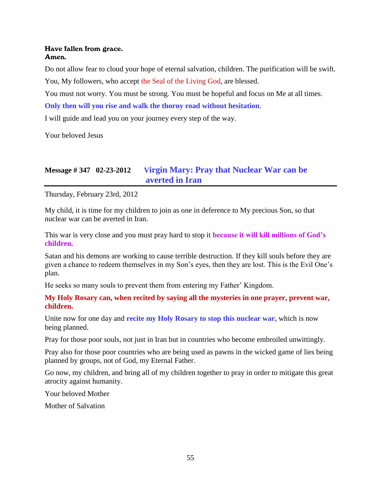### Have fallen from grace. Amen.

Do not allow fear to cloud your hope of eternal salvation, children. The purification will be swift.

You, My followers, who accept the Seal of the Living God, are blessed.

You must not worry. You must be strong. You must be hopeful and focus on Me at all times.

**Only then will you rise and walk the thorny road without hesitation**.

I will guide and lead you on your journey every step of the way.

Your beloved Jesus

# **Message # 347 02-23-2012 V[irgin Mary: Pray that Nuclear War can be](http://www.thewarningsecondcoming.com/virgin-mary-pray-that-nuclear-war-can-be-averted-in-iran/)  [averted in Iran](http://www.thewarningsecondcoming.com/virgin-mary-pray-that-nuclear-war-can-be-averted-in-iran/)**

Thursday, February 23rd, 2012

My child, it is time for my children to join as one in deference to My precious Son, so that nuclear war can be averted in Iran.

This war is very close and you must pray hard to stop it **because it will kill millions of God's children.**

Satan and his demons are working to cause terrible destruction. If they kill souls before they are given a chance to redeem themselves in my Son's eyes, then they are lost. This is the Evil One's plan.

He seeks so many souls to prevent them from entering my Father' Kingdom.

**My Holy Rosary can, when recited by saying all the mysteries in one prayer, prevent war, children.**

Unite now for one day and **recite my Holy Rosary to stop this nuclear war,** which is now being planned.

Pray for those poor souls, not just in Iran but in countries who become embroiled unwittingly.

Pray also for those poor countries who are being used as pawns in the wicked game of lies being planned by groups, not of God, my Eternal Father.

Go now, my children, and bring all of my children together to pray in order to mitigate this great atrocity against humanity.

Your beloved Mother

Mother of Salvation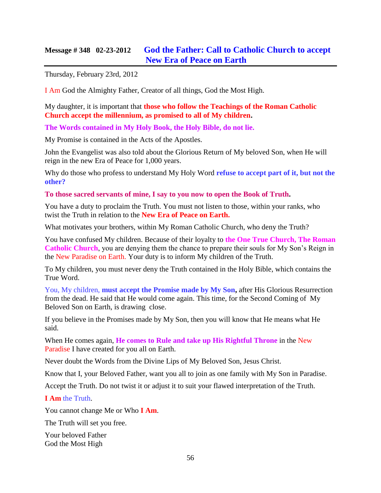# **Message # 348 02-23-2012 [God the Father: Call to Catholic Church to accept](http://www.thewarningsecondcoming.com/god-the-father-call-to-catholic-church-to-accept-new-era-of-peace-on-earth/)  [New Era of Peace on Earth](http://www.thewarningsecondcoming.com/god-the-father-call-to-catholic-church-to-accept-new-era-of-peace-on-earth/)**

Thursday, February 23rd, 2012

I Am God the Almighty Father, Creator of all things, God the Most High.

My daughter, it is important that **those who follow the Teachings of the Roman Catholic Church accept the millennium, as promised to all of My children.**

**The Words contained in My Holy Book, the Holy Bible, do not lie.**

My Promise is contained in the Acts of the Apostles.

John the Evangelist was also told about the Glorious Return of My beloved Son, when He will reign in the new Era of Peace for 1,000 years.

Why do those who profess to understand My Holy Word **refuse to accept part of it, but not the other?**

**To those sacred servants of mine, I say to you now to open the Book of Truth.**

You have a duty to proclaim the Truth. You must not listen to those, within your ranks, who twist the Truth in relation to the **New Era of Peace on Earth.**

What motivates your brothers, within My Roman Catholic Church, who deny the Truth?

You have confused My children. Because of their loyalty to **the One True Church, The Roman Catholic Church**, you are denying them the chance to prepare their souls for My Son's Reign in the New Paradise on Earth. Your duty is to inform My children of the Truth.

To My children, you must never deny the Truth contained in the Holy Bible, which contains the True Word.

You, My children, **must accept the Promise made by My Son,** after His Glorious Resurrection from the dead. He said that He would come again. This time, for the Second Coming of My Beloved Son on Earth, is drawing close.

If you believe in the Promises made by My Son, then you will know that He means what He said.

When He comes again, **He comes to Rule and take up His Rightful Throne** in the New Paradise I have created for you all on Earth.

Never doubt the Words from the Divine Lips of My Beloved Son, Jesus Christ.

Know that I, your Beloved Father, want you all to join as one family with My Son in Paradise.

Accept the Truth. Do not twist it or adjust it to suit your flawed interpretation of the Truth.

**I Am** the Truth.

You cannot change Me or Who **I Am**.

The Truth will set you free.

Your beloved Father God the Most High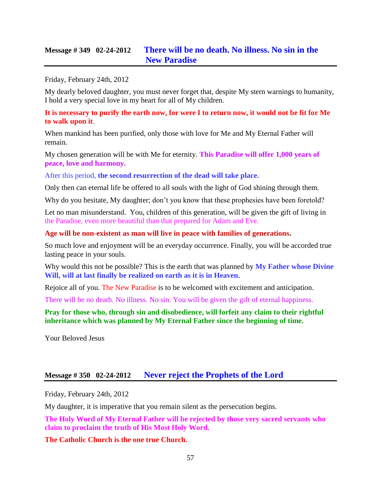# **Message # 349 02-24-2012 [There will be no death. No illness. No sin in the](http://www.thewarningsecondcoming.com/there-will-be-no-death-no-illness-no-sin-in-the-new-paradise/)  [New Paradise](http://www.thewarningsecondcoming.com/there-will-be-no-death-no-illness-no-sin-in-the-new-paradise/)**

Friday, February 24th, 2012

My dearly beloved daughter, you must never forget that, despite My stern warnings to humanity, I hold a very special love in my heart for all of My children.

### **It is necessary to purify the earth now, for were I to return now, it would not be fit for Me to walk upon it**.

When mankind has been purified, only those with love for Me and My Eternal Father will remain.

My chosen generation will be with Me for eternity. **This Paradise will offer 1,000 years of peace, love and harmony.**

After this period, **the second resurrection of the dead will take place.**

Only then can eternal life be offered to all souls with the light of God shining through them.

Why do you hesitate, My daughter; don't you know that these prophesies have been foretold?

Let no man misunderstand. You, children of this generation, will be given the gift of living in the Paradise, even more beautiful than that prepared for Adam and Eve.

#### **Age will be non-existent as man will live in peace with families of generations.**

So much love and enjoyment will be an everyday occurrence. Finally, you will be accorded true lasting peace in your souls.

Why would this not be possible? This is the earth that was planned by **My Father whose Divine Will, will at last finally be realized on earth as it is in Heaven.**

Rejoice all of you. The New Paradise is to be welcomed with excitement and anticipation.

There will be no death. No illness. No sin. You will be given the gift of eternal happiness.

**Pray for those who, through sin and disobedience, will forfeit any claim to their rightful inheritance which was planned by My Eternal Father since the beginning of time.**

Your Beloved Jesus

## **Message # 350 02-24-2012 [Never reject the Prophets of the Lord](http://www.thewarningsecondcoming.com/never-reject-the-prophets-of-the-lord/)**

Friday, February 24th, 2012

My daughter, it is imperative that you remain silent as the persecution begins.

**The Holy Word of My Eternal Father will be rejected by those very sacred servants who claim to proclaim the truth of His Most Holy Word.**

**The Catholic Church is the one true Church.**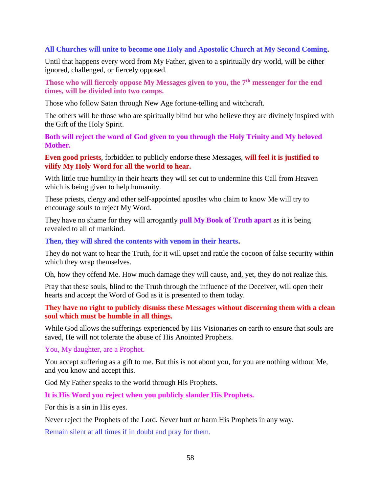### **All Churches will unite to become one Holy and Apostolic Church at My Second Coming.**

Until that happens every word from My Father, given to a spiritually dry world, will be either ignored, challenged, or fiercely opposed.

**Those who will fiercely oppose My Messages given to you, the 7th messenger for the end times, will be divided into two camps.**

Those who follow Satan through New Age fortune-telling and witchcraft.

The others will be those who are spiritually blind but who believe they are divinely inspired with the Gift of the Holy Spirit.

**Both will reject the word of God given to you through the Holy Trinity and My beloved Mother.**

**Even good priests**, forbidden to publicly endorse these Messages, **will feel it is justified to vilify My Holy Word for all the world to hear.**

With little true humility in their hearts they will set out to undermine this Call from Heaven which is being given to help humanity.

These priests, clergy and other self-appointed apostles who claim to know Me will try to encourage souls to reject My Word.

They have no shame for they will arrogantly **pull My Book of Truth apart** as it is being revealed to all of mankind.

**Then, they will shred the contents with venom in their hearts.**

They do not want to hear the Truth, for it will upset and rattle the cocoon of false security within which they wrap themselves.

Oh, how they offend Me. How much damage they will cause, and, yet, they do not realize this.

Pray that these souls, blind to the Truth through the influence of the Deceiver, will open their hearts and accept the Word of God as it is presented to them today.

**They have no right to publicly dismiss these Messages without discerning them with a clean soul which must be humble in all things.**

While God allows the sufferings experienced by His Visionaries on earth to ensure that souls are saved, He will not tolerate the abuse of His Anointed Prophets.

You, My daughter, are a Prophet.

You accept suffering as a gift to me. But this is not about you, for you are nothing without Me, and you know and accept this.

God My Father speaks to the world through His Prophets.

**It is His Word you reject when you publicly slander His Prophets.**

For this is a sin in His eyes.

Never reject the Prophets of the Lord. Never hurt or harm His Prophets in any way.

Remain silent at all times if in doubt and pray for them.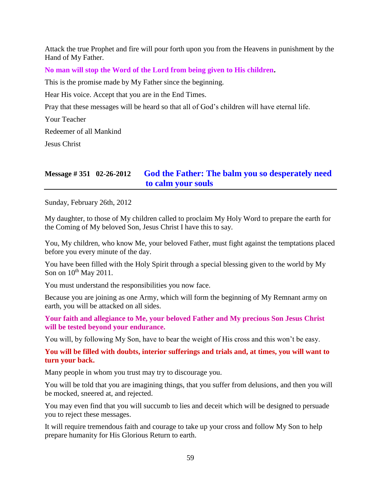Attack the true Prophet and fire will pour forth upon you from the Heavens in punishment by the Hand of My Father.

**No man will stop the Word of the Lord from being given to His children.**

This is the promise made by My Father since the beginning.

Hear His voice. Accept that you are in the End Times.

Pray that these messages will be heard so that all of God's children will have eternal life.

Your Teacher

Redeemer of all Mankind

Jesus Christ

# **Message # 351 02-26-2012 [God the Father: The balm you so desperately need](http://www.thewarningsecondcoming.com/god-the-father-the-balm-you-so-desperately-need-to-calm-your-souls/)  [to calm your souls](http://www.thewarningsecondcoming.com/god-the-father-the-balm-you-so-desperately-need-to-calm-your-souls/)**

Sunday, February 26th, 2012

My daughter, to those of My children called to proclaim My Holy Word to prepare the earth for the Coming of My beloved Son, Jesus Christ I have this to say.

You, My children, who know Me, your beloved Father, must fight against the temptations placed before you every minute of the day.

You have been filled with the Holy Spirit through a special blessing given to the world by My Son on  $10^{th}$  May 2011.

You must understand the responsibilities you now face.

Because you are joining as one Army, which will form the beginning of My Remnant army on earth, you will be attacked on all sides.

**Your faith and allegiance to Me, your beloved Father and My precious Son Jesus Christ will be tested beyond your endurance.**

You will, by following My Son, have to bear the weight of His cross and this won't be easy.

**You will be filled with doubts, interior sufferings and trials and, at times, you will want to turn your back.**

Many people in whom you trust may try to discourage you.

You will be told that you are imagining things, that you suffer from delusions, and then you will be mocked, sneered at, and rejected.

You may even find that you will succumb to lies and deceit which will be designed to persuade you to reject these messages.

It will require tremendous faith and courage to take up your cross and follow My Son to help prepare humanity for His Glorious Return to earth.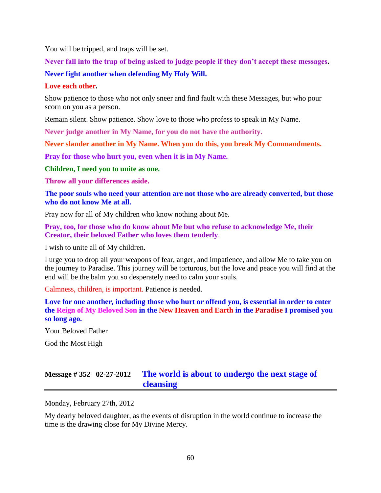You will be tripped, and traps will be set.

**Never fall into the trap of being asked to judge people if they don't accept these messages. Never fight another when defending My Holy Will.**

### **Love each other.**

Show patience to those who not only sneer and find fault with these Messages, but who pour scorn on you as a person.

Remain silent. Show patience. Show love to those who profess to speak in My Name.

**Never judge another in My Name, for you do not have the authority.**

**Never slander another in My Name. When you do this, you break My Commandments.**

**Pray for those who hurt you, even when it is in My Name.**

**Children, I need you to unite as one.**

**Throw all your differences aside.**

**The poor souls who need your attention are not those who are already converted, but those who do not know Me at all.**

Pray now for all of My children who know nothing about Me.

**Pray, too, for those who do know about Me but who refuse to acknowledge Me, their Creator, their beloved Father who loves them tenderly**.

I wish to unite all of My children.

I urge you to drop all your weapons of fear, anger, and impatience, and allow Me to take you on the journey to Paradise. This journey will be torturous, but the love and peace you will find at the end will be the balm you so desperately need to calm your souls.

Calmness, children, is important. Patience is needed.

**Love for one another, including those who hurt or offend you, is essential in order to enter the Reign of My Beloved Son in the New Heaven and Earth in the Paradise I promised you so long ago.**

Your Beloved Father

God the Most High

# **Message # 352 02-27-2012 [The world is about to undergo the next stage of](http://www.thewarningsecondcoming.com/the-world-is-about-to-undergo-the-next-stage-of-cleansing/)  [cleansing](http://www.thewarningsecondcoming.com/the-world-is-about-to-undergo-the-next-stage-of-cleansing/)**

Monday, February 27th, 2012

My dearly beloved daughter, as the events of disruption in the world continue to increase the time is the drawing close for My Divine Mercy.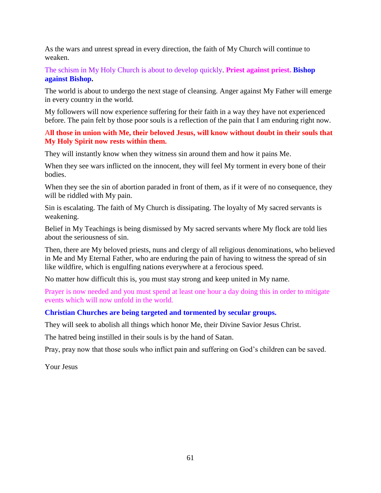As the wars and unrest spread in every direction, the faith of My Church will continue to weaken.

The schism in My Holy Church is about to develop quickly. **Priest against priest. Bishop against Bishop.**

The world is about to undergo the next stage of cleansing. Anger against My Father will emerge in every country in the world.

My followers will now experience suffering for their faith in a way they have not experienced before. The pain felt by those poor souls is a reflection of the pain that I am enduring right now.

### A**ll those in union with Me, their beloved Jesus, will know without doubt in their souls that My Holy Spirit now rests within them.**

They will instantly know when they witness sin around them and how it pains Me.

When they see wars inflicted on the innocent, they will feel My torment in every bone of their bodies.

When they see the sin of abortion paraded in front of them, as if it were of no consequence, they will be riddled with My pain.

Sin is escalating. The faith of My Church is dissipating. The loyalty of My sacred servants is weakening.

Belief in My Teachings is being dismissed by My sacred servants where My flock are told lies about the seriousness of sin.

Then, there are My beloved priests, nuns and clergy of all religious denominations, who believed in Me and My Eternal Father, who are enduring the pain of having to witness the spread of sin like wildfire, which is engulfing nations everywhere at a ferocious speed.

No matter how difficult this is, you must stay strong and keep united in My name.

Prayer is now needed and you must spend at least one hour a day doing this in order to mitigate events which will now unfold in the world.

## **Christian Churches are being targeted and tormented by secular groups.**

They will seek to abolish all things which honor Me, their Divine Savior Jesus Christ.

The hatred being instilled in their souls is by the hand of Satan.

Pray, pray now that those souls who inflict pain and suffering on God's children can be saved.

Your Jesus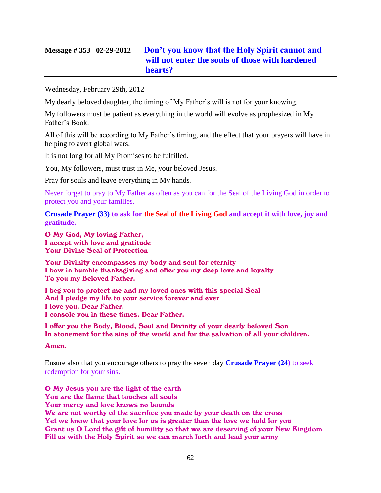# **Message # 353 02-29-2012 [Don't you know that the Holy Spirit cannot and](http://www.thewarningsecondcoming.com/dont-you-know-that-the-holy-spirit-cannot-and-will-not-enter-the-souls-of-those-with-hardened-hearts/)  [will not enter the souls of those with hardened](http://www.thewarningsecondcoming.com/dont-you-know-that-the-holy-spirit-cannot-and-will-not-enter-the-souls-of-those-with-hardened-hearts/)  [hearts?](http://www.thewarningsecondcoming.com/dont-you-know-that-the-holy-spirit-cannot-and-will-not-enter-the-souls-of-those-with-hardened-hearts/)**

Wednesday, February 29th, 2012

My dearly beloved daughter, the timing of My Father's will is not for your knowing.

My followers must be patient as everything in the world will evolve as prophesized in My Father's Book.

All of this will be according to My Father's timing, and the effect that your prayers will have in helping to avert global wars.

It is not long for all My Promises to be fulfilled.

You, My followers, must trust in Me, your beloved Jesus.

Pray for souls and leave everything in My hands.

Never forget to pray to My Father as often as you can for the Seal of the Living God in order to protect you and your families.

**Crusade Prayer (33) to ask for the Seal of the Living God and accept it with love, joy and gratitude.**

O My God, My loving Father, I accept with love and gratitude Your Divine Seal of Protection

Your Divinity encompasses my body and soul for eternity I bow in humble thanksgiving and offer you my deep love and loyalty To you my Beloved Father.

I beg you to protect me and my loved ones with this special Seal And I pledge my life to your service forever and ever I love you, Dear Father. I console you in these times, Dear Father.

I offer you the Body, Blood, Soul and Divinity of your dearly beloved Son In atonement for the sins of the world and for the salvation of all your children.

Amen.

Ensure also that you encourage others to pray the seven day **Crusade Prayer (24)** to seek redemption for your sins.

O My Jesus you are the light of the earth You are the flame that touches all souls Your mercy and love knows no bounds We are not worthy of the sacrifice you made by your death on the cross Yet we know that your love for us is greater than the love we hold for you Grant us O Lord the gift of humility so that we are deserving of your New Kingdom Fill us with the Holy Spirit so we can march forth and lead your army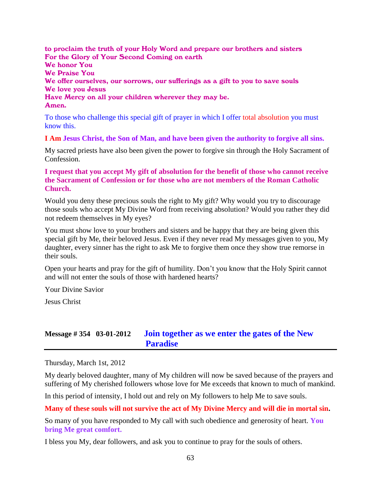to proclaim the truth of your Holy Word and prepare our brothers and sisters For the Glory of Your Second Coming on earth We honor You We Praise You We offer ourselves, our sorrows, our sufferings as a gift to you to save souls We love you Jesus Have Mercy on all your children wherever they may be. Amen.

To those who challenge this special gift of prayer in which I offer total absolution you must know this.

**I Am Jesus Christ, the Son of Man, and have been given the authority to forgive all sins.**

My sacred priests have also been given the power to forgive sin through the Holy Sacrament of Confession.

**I request that you accept My gift of absolution for the benefit of those who cannot receive the Sacrament of Confession or for those who are not members of the Roman Catholic Church.**

Would you deny these precious souls the right to My gift? Why would you try to discourage those souls who accept My Divine Word from receiving absolution? Would you rather they did not redeem themselves in My eyes?

You must show love to your brothers and sisters and be happy that they are being given this special gift by Me, their beloved Jesus. Even if they never read My messages given to you, My daughter, every sinner has the right to ask Me to forgive them once they show true remorse in their souls.

Open your hearts and pray for the gift of humility. Don't you know that the Holy Spirit cannot and will not enter the souls of those with hardened hearts?

Your Divine Savior

Jesus Christ

## **Message # 354 03-01-2012 [Join together as we enter the gates of the New](http://www.thewarningsecondcoming.com/join-together-as-we-enter-the-gates-of-the-new-paradise/)  [Paradise](http://www.thewarningsecondcoming.com/join-together-as-we-enter-the-gates-of-the-new-paradise/)**

Thursday, March 1st, 2012

My dearly beloved daughter, many of My children will now be saved because of the prayers and suffering of My cherished followers whose love for Me exceeds that known to much of mankind.

In this period of intensity, I hold out and rely on My followers to help Me to save souls.

#### **Many of these souls will not survive the act of My Divine Mercy and will die in mortal sin.**

So many of you have responded to My call with such obedience and generosity of heart. **You bring Me great comfort.**

I bless you My, dear followers, and ask you to continue to pray for the souls of others.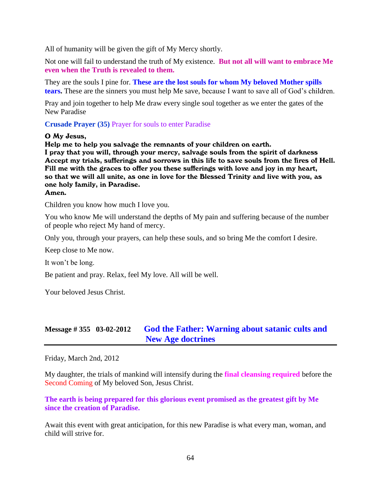All of humanity will be given the gift of My Mercy shortly.

Not one will fail to understand the truth of My existence. **But not all will want to embrace Me even when the Truth is revealed to them.**

They are the souls I pine for. **These are the lost souls for whom My beloved Mother spills tears.** These are the sinners you must help Me save, because I want to save all of God's children.

Pray and join together to help Me draw every single soul together as we enter the gates of the New Paradise

**Crusade Prayer (35)** Prayer for souls to enter Paradise

#### O My Jesus,

Help me to help you salvage the remnants of your children on earth. I pray that you will, through your mercy, salvage souls from the spirit of darkness Accept my trials, sufferings and sorrows in this life to save souls from the fires of Hell. Fill me with the graces to offer you these sufferings with love and joy in my heart, so that we will all unite, as one in love for the Blessed Trinity and live with you, as one holy family, in Paradise.

#### Amen.

Children you know how much I love you.

You who know Me will understand the depths of My pain and suffering because of the number of people who reject My hand of mercy.

Only you, through your prayers, can help these souls, and so bring Me the comfort I desire.

Keep close to Me now.

It won't be long.

Be patient and pray. Relax, feel My love. All will be well.

Your beloved Jesus Christ.

# **Message # 355 03-02-2012 [God the Father: Warning about satanic cults and](http://www.thewarningsecondcoming.com/god-the-father-warning-about-satanic-cults-and-new-age-doctrines/)  [New Age doctrines](http://www.thewarningsecondcoming.com/god-the-father-warning-about-satanic-cults-and-new-age-doctrines/)**

Friday, March 2nd, 2012

My daughter, the trials of mankind will intensify during the **final cleansing required** before the Second Coming of My beloved Son, Jesus Christ.

**The earth is being prepared for this glorious event promised as the greatest gift by Me since the creation of Paradise.**

Await this event with great anticipation, for this new Paradise is what every man, woman, and child will strive for.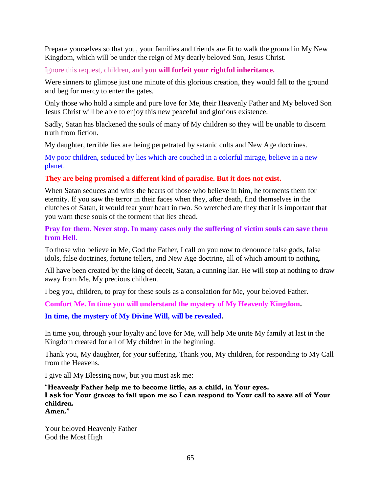Prepare yourselves so that you, your families and friends are fit to walk the ground in My New Kingdom, which will be under the reign of My dearly beloved Son, Jesus Christ.

Ignore this request, children, and **you will forfeit your rightful inheritance.**

Were sinners to glimpse just one minute of this glorious creation, they would fall to the ground and beg for mercy to enter the gates.

Only those who hold a simple and pure love for Me, their Heavenly Father and My beloved Son Jesus Christ will be able to enjoy this new peaceful and glorious existence.

Sadly, Satan has blackened the souls of many of My children so they will be unable to discern truth from fiction.

My daughter, terrible lies are being perpetrated by satanic cults and New Age doctrines.

My poor children, seduced by lies which are couched in a colorful mirage, believe in a new planet.

## **They are being promised a different kind of paradise. But it does not exist.**

When Satan seduces and wins the hearts of those who believe in him, he torments them for eternity. If you saw the terror in their faces when they, after death, find themselves in the clutches of Satan, it would tear your heart in two. So wretched are they that it is important that you warn these souls of the torment that lies ahead.

**Pray for them. Never stop. In many cases only the suffering of victim souls can save them from Hell.**

To those who believe in Me, God the Father, I call on you now to denounce false gods, false idols, false doctrines, fortune tellers, and New Age doctrine, all of which amount to nothing.

All have been created by the king of deceit, Satan, a cunning liar. He will stop at nothing to draw away from Me, My precious children.

I beg you, children, to pray for these souls as a consolation for Me, your beloved Father.

**Comfort Me. In time you will understand the mystery of My Heavenly Kingdom.**

**In time, the mystery of My Divine Will, will be revealed.**

In time you, through your loyalty and love for Me, will help Me unite My family at last in the Kingdom created for all of My children in the beginning.

Thank you, My daughter, for your suffering. Thank you, My children, for responding to My Call from the Heavens.

I give all My Blessing now, but you must ask me:

"Heavenly Father help me to become little, as a child, in Your eyes. I ask for Your graces to fall upon me so I can respond to Your call to save all of Your children. Amen."

Your beloved Heavenly Father God the Most High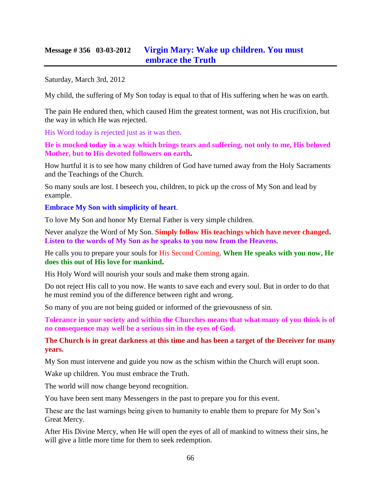# **Message # 356 03-03-2012 [Virgin Mary: Wake up children. You must](http://www.thewarningsecondcoming.com/virgin-mary-wake-up-children-you-must-embrace-the-truth/)  [embrace the Truth](http://www.thewarningsecondcoming.com/virgin-mary-wake-up-children-you-must-embrace-the-truth/)**

Saturday, March 3rd, 2012

My child, the suffering of My Son today is equal to that of His suffering when he was on earth.

The pain He endured then, which caused Him the greatest torment, was not His crucifixion, but the way in which He was rejected.

His Word today is rejected just as it was then.

**He is mocked today in a way which brings tears and suffering, not only to me, His beloved Mother, but to His devoted followers on earth.**

How hurtful it is to see how many children of God have turned away from the Holy Sacraments and the Teachings of the Church.

So many souls are lost. I beseech you, children, to pick up the cross of My Son and lead by example.

**Embrace My Son with simplicity of heart**.

To love My Son and honor My Eternal Father is very simple children.

Never analyze the Word of My Son. **Simply follow His teachings which have never changed. Listen to the words of My Son as he speaks to you now from the Heavens.**

He calls you to prepare your souls for His Second Coming. **When He speaks with you now, He does this out of His love for mankind.**

His Holy Word will nourish your souls and make them strong again.

Do not reject His call to you now. He wants to save each and every soul. But in order to do that he must remind you of the difference between right and wrong.

So many of you are not being guided or informed of the grievousness of sin.

**Tolerance in your society and within the Churches means that what many of you think is of no consequence may well be a serious sin in the eyes of God.**

**The Church is in great darkness at this time and has been a target of the Deceiver for many years.** 

My Son must intervene and guide you now as the schism within the Church will erupt soon.

Wake up children. You must embrace the Truth.

The world will now change beyond recognition.

You have been sent many Messengers in the past to prepare you for this event.

These are the last warnings being given to humanity to enable them to prepare for My Son's Great Mercy.

After His Divine Mercy, when He will open the eyes of all of mankind to witness their sins, he will give a little more time for them to seek redemption.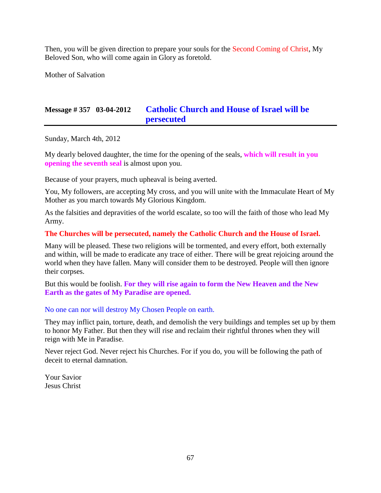Then, you will be given direction to prepare your souls for the Second Coming of Christ, My Beloved Son, who will come again in Glory as foretold.

Mother of Salvation

# **Message # 357 03-04-2012 [Catholic Church and House of Israel will be](http://www.thewarningsecondcoming.com/catholic-church-and-house-of-israel-will-be-persecuted/)  [persecuted](http://www.thewarningsecondcoming.com/catholic-church-and-house-of-israel-will-be-persecuted/)**

Sunday, March 4th, 2012

My dearly beloved daughter, the time for the opening of the seals, **which will result in you opening the seventh seal** is almost upon you.

Because of your prayers, much upheaval is being averted.

You, My followers, are accepting My cross, and you will unite with the Immaculate Heart of My Mother as you march towards My Glorious Kingdom.

As the falsities and depravities of the world escalate, so too will the faith of those who lead My Army.

### **The Churches will be persecuted, namely the Catholic Church and the House of Israel.**

Many will be pleased. These two religions will be tormented, and every effort, both externally and within, will be made to eradicate any trace of either. There will be great rejoicing around the world when they have fallen. Many will consider them to be destroyed. People will then ignore their corpses.

But this would be foolish. **For they will rise again to form the New Heaven and the New Earth as the gates of My Paradise are opened.**

### No one can nor will destroy My Chosen People on earth.

They may inflict pain, torture, death, and demolish the very buildings and temples set up by them to honor My Father. But then they will rise and reclaim their rightful thrones when they will reign with Me in Paradise.

Never reject God. Never reject his Churches. For if you do, you will be following the path of deceit to eternal damnation.

Your Savior Jesus Christ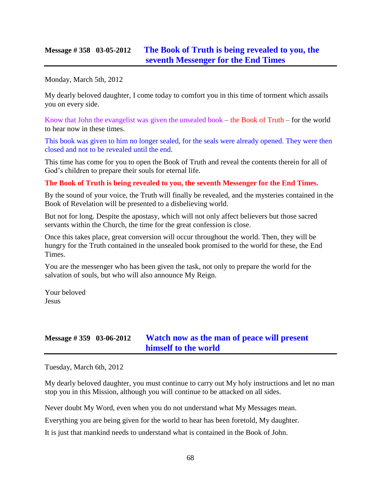## **Message # 358 03-05-2012 [The Book of Truth is being revealed to you, the](http://www.thewarningsecondcoming.com/the-book-of-truth-is-being-revealed-to-you-the-seventh-messenger-for-the-end-times-2/)  [seventh Messenger for the End Times](http://www.thewarningsecondcoming.com/the-book-of-truth-is-being-revealed-to-you-the-seventh-messenger-for-the-end-times-2/)**

Monday, March 5th, 2012

My dearly beloved daughter, I come today to comfort you in this time of torment which assails you on every side.

Know that John the evangelist was given the unsealed book – the Book of Truth – for the world to hear now in these times.

This book was given to him no longer sealed, for the seals were already opened. They were then closed and not to be revealed until the end.

This time has come for you to open the Book of Truth and reveal the contents therein for all of God's children to prepare their souls for eternal life.

### **The Book of Truth is being revealed to you, the seventh Messenger for the End Times.**

By the sound of your voice, the Truth will finally be revealed, and the mysteries contained in the Book of Revelation will be presented to a disbelieving world.

But not for long. Despite the apostasy, which will not only affect believers but those sacred servants within the Church, the time for the great confession is close.

Once this takes place, great conversion will occur throughout the world. Then, they will be hungry for the Truth contained in the unsealed book promised to the world for these, the End Times.

You are the messenger who has been given the task, not only to prepare the world for the salvation of souls, but who will also announce My Reign.

Your beloved Jesus

# **Message # 359 03-06-2012 [Watch now as the man of peace will present](http://www.thewarningsecondcoming.com/watch-now-as-the-man-of-peace-will-present-himself-to-the-world/)  [himself to the world](http://www.thewarningsecondcoming.com/watch-now-as-the-man-of-peace-will-present-himself-to-the-world/)**

Tuesday, March 6th, 2012

My dearly beloved daughter, you must continue to carry out My holy instructions and let no man stop you in this Mission, although you will continue to be attacked on all sides.

Never doubt My Word, even when you do not understand what My Messages mean.

Everything you are being given for the world to hear has been foretold, My daughter.

It is just that mankind needs to understand what is contained in the Book of John.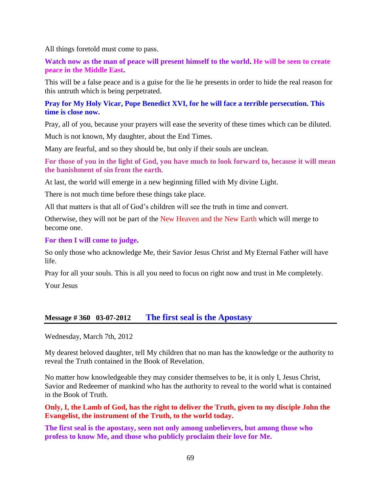All things foretold must come to pass.

**Watch now as the man of peace will present himself to the world. He will be seen to create peace in the Middle East.**

This will be a false peace and is a guise for the lie he presents in order to hide the real reason for this untruth which is being perpetrated.

## **Pray for My Holy Vicar, Pope Benedict XVI, for he will face a terrible persecution. This time is close now.**

Pray, all of you, because your prayers will ease the severity of these times which can be diluted.

Much is not known, My daughter, about the End Times.

Many are fearful, and so they should be, but only if their souls are unclean.

**For those of you in the light of God, you have much to look forward to, because it will mean the banishment of sin from the earth.**

At last, the world will emerge in a new beginning filled with My divine Light.

There is not much time before these things take place.

All that matters is that all of God's children will see the truth in time and convert.

Otherwise, they will not be part of the New Heaven and the New Earth which will merge to become one.

### **For then I will come to judge.**

So only those who acknowledge Me, their Savior Jesus Christ and My Eternal Father will have life.

Pray for all your souls. This is all you need to focus on right now and trust in Me completely.

Your Jesus

## **Message # 360 03-07-2012 The first [seal is the Apostasy](http://www.thewarningsecondcoming.com/the-first-seal-is-the-apostasy/)**

Wednesday, March 7th, 2012

My dearest beloved daughter, tell My children that no man has the knowledge or the authority to reveal the Truth contained in the Book of Revelation.

No matter how knowledgeable they may consider themselves to be, it is only I, Jesus Christ, Savior and Redeemer of mankind who has the authority to reveal to the world what is contained in the Book of Truth.

### **Only, I, the Lamb of God, has the right to deliver the Truth, given to my disciple John the Evangelist, the instrument of the Truth, to the world today.**

**The first seal is the apostasy, seen not only among unbelievers, but among those who profess to know Me, and those who publicly proclaim their love for Me.**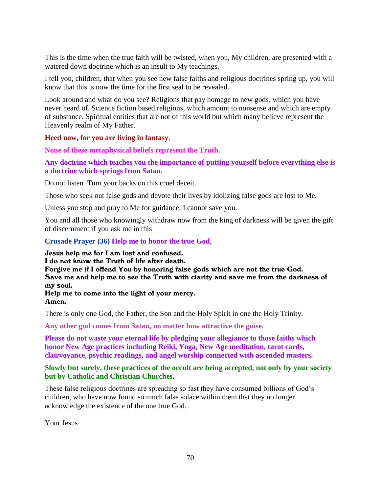This is the time when the true faith will be twisted, when you, My children, are presented with a watered down doctrine which is an insult to My teachings.

I tell you, children, that when you see new false faiths and religious doctrines spring up, you will know that this is now the time for the first seal to be revealed.

Look around and what do you see? Religions that pay homage to new gods, which you have never heard of. Science fiction based religions, which amount to nonsense and which are empty of substance. Spiritual entities that are not of this world but which many believe represent the Heavenly realm of My Father.

### **Heed now, for you are living in fantasy**.

**None of these metaphysical beliefs represent the Truth.**

## **Any doctrine which teaches you the importance of putting yourself before everything else is a doctrine which springs from Satan.**

Do not listen. Turn your backs on this cruel deceit.

Those who seek out false gods and devote their lives by idolizing false gods are lost to Me.

Unless you stop and pray to Me for guidance, I cannot save you.

You and all those who knowingly withdraw now from the king of darkness will be given the gift of discernment if you ask me in this

**Crusade Prayer (36) Help me to honor the true God**,

Jesus help me for I am lost and confused.

I do not know the Truth of life after death.

Forgive me if I offend You by honoring false gods which are not the true God. Save me and help me to see the Truth with clarity and save me from the darkness of my soul.

Help me to come into the light of your mercy. Amen.

There is only one God, the Father, the Son and the Holy Spirit in one the Holy Trinity.

**Any other god comes from Satan, no matter how attractive the guise.**

**Please do not waste your eternal life by pledging your allegiance to those faiths which honor New Age practices including Reiki, Yoga, New Age meditation, tarot cards, clairvoyance, psychic readings, and angel worship connected with ascended masters.**

### **Slowly but surely, these practices of the occult are being accepted, not only by your society but by Catholic and Christian Churches.**

These false religious doctrines are spreading so fast they have consumed billions of God's children, who have now found so much false solace within them that they no longer acknowledge the existence of the one true God.

Your Jesus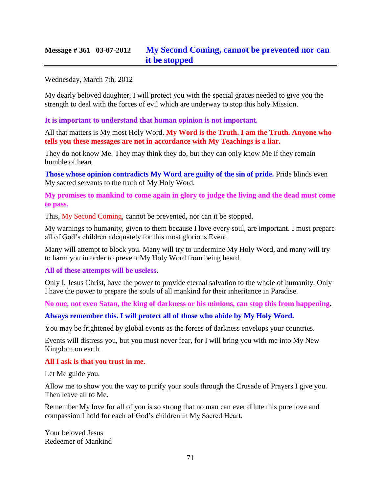# **Message # 361 03-07-2012 [My Second Coming, cannot be prevented nor can](http://www.thewarningsecondcoming.com/my-second-coming-cannot-be-prevented-nor-can-it-be-stopped/)  [it be stopped](http://www.thewarningsecondcoming.com/my-second-coming-cannot-be-prevented-nor-can-it-be-stopped/)**

Wednesday, March 7th, 2012

My dearly beloved daughter, I will protect you with the special graces needed to give you the strength to deal with the forces of evil which are underway to stop this holy Mission.

**It is important to understand that human opinion is not important.**

All that matters is My most Holy Word. **My Word is the Truth. I am the Truth. Anyone who tells you these messages are not in accordance with My Teachings is a liar.**

They do not know Me. They may think they do, but they can only know Me if they remain humble of heart.

**Those whose opinion contradicts My Word are guilty of the sin of pride.** Pride blinds even My sacred servants to the truth of My Holy Word.

**My promises to mankind to come again in glory to judge the living and the dead must come to pass.**

This, My Second Coming, cannot be prevented, nor can it be stopped.

My warnings to humanity, given to them because I love every soul, are important. I must prepare all of God's children adequately for this most glorious Event.

Many will attempt to block you. Many will try to undermine My Holy Word, and many will try to harm you in order to prevent My Holy Word from being heard.

### **All of these attempts will be useless.**

Only I, Jesus Christ, have the power to provide eternal salvation to the whole of humanity. Only I have the power to prepare the souls of all mankind for their inheritance in Paradise.

**No one, not even Satan, the king of darkness or his minions, can stop this from happening.**

### **Always remember this. I will protect all of those who abide by My Holy Word.**

You may be frightened by global events as the forces of darkness envelops your countries.

Events will distress you, but you must never fear, for I will bring you with me into My New Kingdom on earth.

### **All I ask is that you trust in me.**

Let Me guide you.

Allow me to show you the way to purify your souls through the Crusade of Prayers I give you. Then leave all to Me.

Remember My love for all of you is so strong that no man can ever dilute this pure love and compassion I hold for each of God's children in My Sacred Heart.

Your beloved Jesus Redeemer of Mankind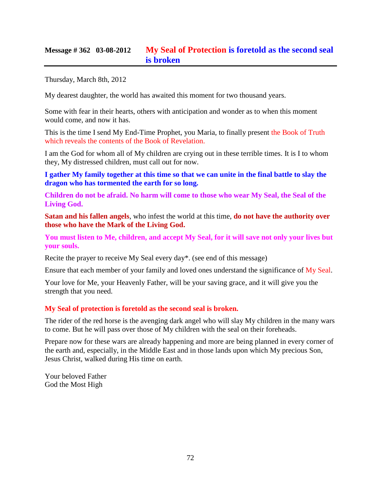# **Message # 362 03-08-2012 My Seal of Protection [is foretold as the second seal](http://www.thewarningsecondcoming.com/my-seal-of-protection-is-foretold-as-the-second-seal-is-broken/)  [is broken](http://www.thewarningsecondcoming.com/my-seal-of-protection-is-foretold-as-the-second-seal-is-broken/)**

Thursday, March 8th, 2012

My dearest daughter, the world has awaited this moment for two thousand years.

Some with fear in their hearts, others with anticipation and wonder as to when this moment would come, and now it has.

This is the time I send My End-Time Prophet, you Maria, to finally present the Book of Truth which reveals the contents of the Book of Revelation.

I am the God for whom all of My children are crying out in these terrible times. It is I to whom they, My distressed children, must call out for now.

**I gather My family together at this time so that we can unite in the final battle to slay the dragon who has tormented the earth for so long.**

**Children do not be afraid. No harm will come to those who wear My Seal, the Seal of the Living God.**

**Satan and his fallen angels**, who infest the world at this time, **do not have the authority over those who have the Mark of the Living God.**

**You must listen to Me, children, and accept My Seal, for it will save not only your lives but your souls.**

Recite the prayer to receive My Seal every day\*. (see end of this message)

Ensure that each member of your family and loved ones understand the significance of My Seal.

Your love for Me, your Heavenly Father, will be your saving grace, and it will give you the strength that you need.

## **My Seal of protection is foretold as the second seal is broken.**

The rider of the red horse is the avenging dark angel who will slay My children in the many wars to come. But he will pass over those of My children with the seal on their foreheads.

Prepare now for these wars are already happening and more are being planned in every corner of the earth and, especially, in the Middle East and in those lands upon which My precious Son, Jesus Christ, walked during His time on earth.

Your beloved Father God the Most High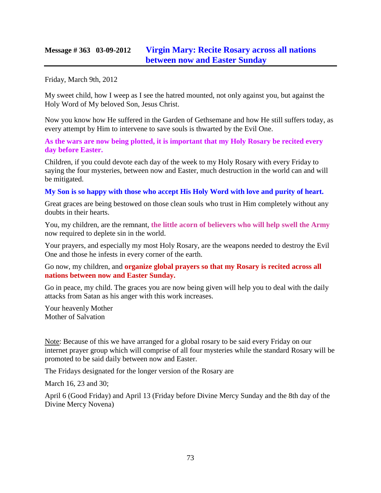## **Message # 363 03-09-2012 [Virgin Mary: Recite Rosary across all nations](http://www.thewarningsecondcoming.com/virgin-mary-recite-rosary-across-all-nations-between-now-and-easter-sunday/)  [between now and Easter Sunday](http://www.thewarningsecondcoming.com/virgin-mary-recite-rosary-across-all-nations-between-now-and-easter-sunday/)**

Friday, March 9th, 2012

My sweet child, how I weep as I see the hatred mounted, not only against you, but against the Holy Word of My beloved Son, Jesus Christ.

Now you know how He suffered in the Garden of Gethsemane and how He still suffers today, as every attempt by Him to intervene to save souls is thwarted by the Evil One.

**As the wars are now being plotted, it is important that my Holy Rosary be recited every day before Easter.**

Children, if you could devote each day of the week to my Holy Rosary with every Friday to saying the four mysteries, between now and Easter, much destruction in the world can and will be mitigated.

### **My Son is so happy with those who accept His Holy Word with love and purity of heart.**

Great graces are being bestowed on those clean souls who trust in Him completely without any doubts in their hearts.

You, my children, are the remnant, **the little acorn of believers who will help swell the Army**  now required to deplete sin in the world.

Your prayers, and especially my most Holy Rosary, are the weapons needed to destroy the Evil One and those he infests in every corner of the earth.

Go now, my children, and **organize global prayers so that my Rosary is recited across all nations between now and Easter Sunday.**

Go in peace, my child. The graces you are now being given will help you to deal with the daily attacks from Satan as his anger with this work increases.

Your heavenly Mother Mother of Salvation

Note: Because of this we have arranged for a global rosary to be said every Friday on our internet prayer group which will comprise of all four mysteries while the standard Rosary will be promoted to be said daily between now and Easter.

The Fridays designated for the longer version of the Rosary are

March 16, 23 and 30;

April 6 (Good Friday) and April 13 (Friday before Divine Mercy Sunday and the 8th day of the Divine Mercy Novena)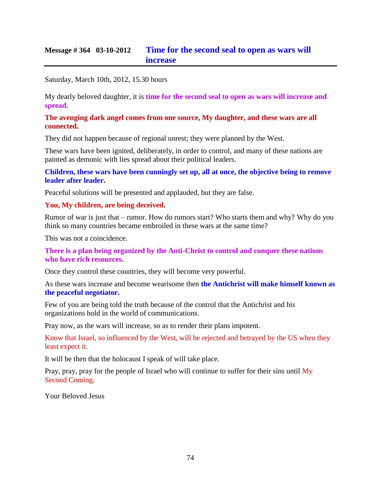## **Message # 364 03-10-2012 [Time for the second seal to open as wars will](http://www.thewarningsecondcoming.com/time-for-the-second-seal-to-open-as-wars-will-increase/)  [increase](http://www.thewarningsecondcoming.com/time-for-the-second-seal-to-open-as-wars-will-increase/)**

Saturday, March 10th, 2012, 15.30 hours

My dearly beloved daughter, it is **time for the second seal to open as wars will increase and spread.**

#### **The avenging dark angel comes from one source, My daughter, and these wars are all connected.**

They did not happen because of regional unrest; they were planned by the West.

These wars have been ignited, deliberately, in order to control, and many of these nations are painted as demonic with lies spread about their political leaders.

**Children, these wars have been cunningly set up, all at once, the objective being to remove leader after leader.**

Peaceful solutions will be presented and applauded, but they are false.

### **You, My children, are being deceived.**

Rumor of war is just that – rumor. How do rumors start? Who starts them and why? Why do you think so many countries became embroiled in these wars at the same time?

This was not a coincidence.

**There is a plan being organized by the Anti-Christ to control and conquer these nations who have rich resources.**

Once they control these countries, they will become very powerful.

As these wars increase and become wearisome then **the Antichrist will make himself known as the peaceful negotiator.**

Few of you are being told the truth because of the control that the Antichrist and his organizations hold in the world of communications.

Pray now, as the wars will increase, so as to render their plans impotent.

Know that Israel, so influenced by the West, will be rejected and betrayed by the US when they least expect it.

It will be then that the holocaust I speak of will take place.

Pray, pray, pray for the people of Israel who will continue to suffer for their sins until My Second Coming.

Your Beloved Jesus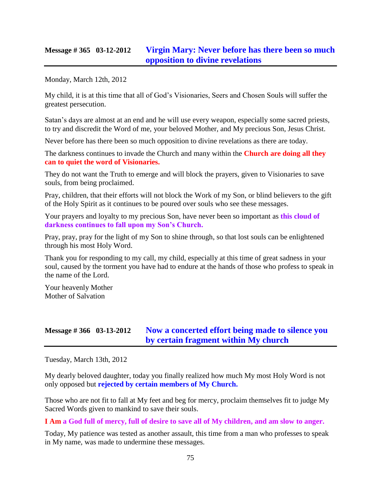## **Message # 365 03-12-2012 [Virgin Mary: Never before has there been so much](http://www.thewarningsecondcoming.com/virgin-mary-church-doing-all-they-can-to-quieten-the-word-of-visionaries/)  [opposition to divine revelations](http://www.thewarningsecondcoming.com/virgin-mary-church-doing-all-they-can-to-quieten-the-word-of-visionaries/)**

Monday, March 12th, 2012

My child, it is at this time that all of God's Visionaries, Seers and Chosen Souls will suffer the greatest persecution.

Satan's days are almost at an end and he will use every weapon, especially some sacred priests, to try and discredit the Word of me, your beloved Mother, and My precious Son, Jesus Christ.

Never before has there been so much opposition to divine revelations as there are today.

The darkness continues to invade the Church and many within the **Church are doing all they can to quiet the word of Visionaries.**

They do not want the Truth to emerge and will block the prayers, given to Visionaries to save souls, from being proclaimed.

Pray, children, that their efforts will not block the Work of my Son, or blind believers to the gift of the Holy Spirit as it continues to be poured over souls who see these messages.

Your prayers and loyalty to my precious Son, have never been so important as **this cloud of darkness continues to fall upon my Son's Church.**

Pray, pray, pray for the light of my Son to shine through, so that lost souls can be enlightened through his most Holy Word.

Thank you for responding to my call, my child, especially at this time of great sadness in your soul, caused by the torment you have had to endure at the hands of those who profess to speak in the name of the Lord.

Your heavenly Mother Mother of Salvation

## **Message # 366 03-13-2012 [Now a concerted effort being made to silence you](http://www.thewarningsecondcoming.com/now-a-concerted-effort-being-made-to-silence-you-by-certain-fragment-within-my-church/)  [by certain fragment within My church](http://www.thewarningsecondcoming.com/now-a-concerted-effort-being-made-to-silence-you-by-certain-fragment-within-my-church/)**

Tuesday, March 13th, 2012

My dearly beloved daughter, today you finally realized how much My most Holy Word is not only opposed but **rejected by certain members of My Church.**

Those who are not fit to fall at My feet and beg for mercy, proclaim themselves fit to judge My Sacred Words given to mankind to save their souls.

**I Am a God full of mercy, full of desire to save all of My children, and am slow to anger.**

Today, My patience was tested as another assault, this time from a man who professes to speak in My name, was made to undermine these messages.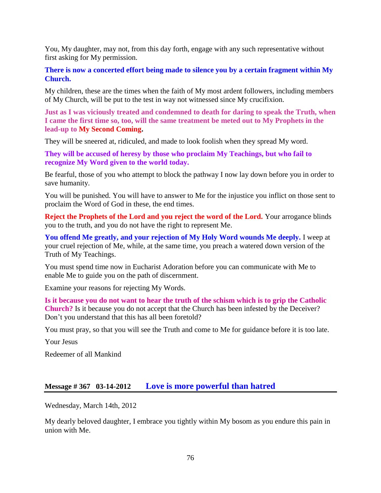You, My daughter, may not, from this day forth, engage with any such representative without first asking for My permission.

**There is now a concerted effort being made to silence you by a certain fragment within My Church.**

My children, these are the times when the faith of My most ardent followers, including members of My Church, will be put to the test in way not witnessed since My crucifixion.

**Just as I was viciously treated and condemned to death for daring to speak the Truth, when I came the first time so, too, will the same treatment be meted out to My Prophets in the lead-up to My Second Coming.**

They will be sneered at, ridiculed, and made to look foolish when they spread My word.

**They will be accused of heresy by those who proclaim My Teachings, but who fail to recognize My Word given to the world today.**

Be fearful, those of you who attempt to block the pathway I now lay down before you in order to save humanity.

You will be punished. You will have to answer to Me for the injustice you inflict on those sent to proclaim the Word of God in these, the end times.

**Reject the Prophets of the Lord and you reject the word of the Lord.** Your arrogance blinds you to the truth, and you do not have the right to represent Me.

**You offend Me greatly, and your rejection of My Holy Word wounds Me deeply.** I weep at your cruel rejection of Me, while, at the same time, you preach a watered down version of the Truth of My Teachings.

You must spend time now in Eucharist Adoration before you can communicate with Me to enable Me to guide you on the path of discernment.

Examine your reasons for rejecting My Words.

**Is it because you do not want to hear the truth of the schism which is to grip the Catholic Church?** Is it because you do not accept that the Church has been infested by the Deceiver? Don't you understand that this has all been foretold?

You must pray, so that you will see the Truth and come to Me for guidance before it is too late.

Your Jesus

Redeemer of all Mankind

## **Message # 367 03-14-2012 [Love is more powerful than hatred](http://www.thewarningsecondcoming.com/love-is-more-powerful-than-hatred/)**

Wednesday, March 14th, 2012

My dearly beloved daughter, I embrace you tightly within My bosom as you endure this pain in union with Me.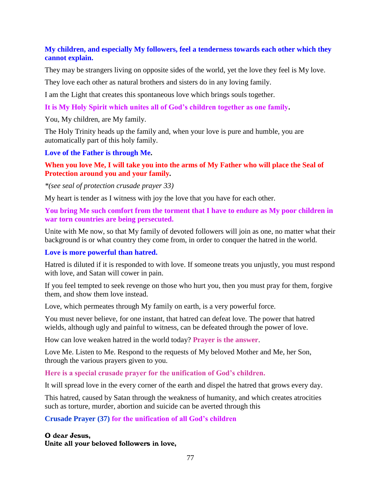### **My children, and especially My followers, feel a tenderness towards each other which they cannot explain.**

They may be strangers living on opposite sides of the world, yet the love they feel is My love.

They love each other as natural brothers and sisters do in any loving family.

I am the Light that creates this spontaneous love which brings souls together.

**It is My Holy Spirit which unites all of God's children together as one family.**

You, My children, are My family.

The Holy Trinity heads up the family and, when your love is pure and humble, you are automatically part of this holy family.

#### **Love of the Father is through Me.**

**When you love Me, I will take you into the arms of My Father who will place the Seal of Protection around you and your family***.*

*\*(see seal of protection crusade prayer 33)*

My heart is tender as I witness with joy the love that you have for each other.

**You bring Me such comfort from the torment that I have to endure as My poor children in war torn countries are being persecuted.**

Unite with Me now, so that My family of devoted followers will join as one, no matter what their background is or what country they come from, in order to conquer the hatred in the world.

#### **Love is more powerful than hatred.**

Hatred is diluted if it is responded to with love. If someone treats you unjustly, you must respond with love, and Satan will cower in pain.

If you feel tempted to seek revenge on those who hurt you, then you must pray for them, forgive them, and show them love instead.

Love, which permeates through My family on earth, is a very powerful force.

You must never believe, for one instant, that hatred can defeat love. The power that hatred wields, although ugly and painful to witness, can be defeated through the power of love.

How can love weaken hatred in the world today? **Prayer is the answer**.

Love Me. Listen to Me. Respond to the requests of My beloved Mother and Me, her Son, through the various prayers given to you.

**Here is a special crusade prayer for the unification of God's children.**

It will spread love in the every corner of the earth and dispel the hatred that grows every day.

This hatred, caused by Satan through the weakness of humanity, and which creates atrocities such as torture, murder, abortion and suicide can be averted through this

**Crusade Prayer (37) for the unification of all God's children**

#### O dear Jesus,

Unite all your beloved followers in love,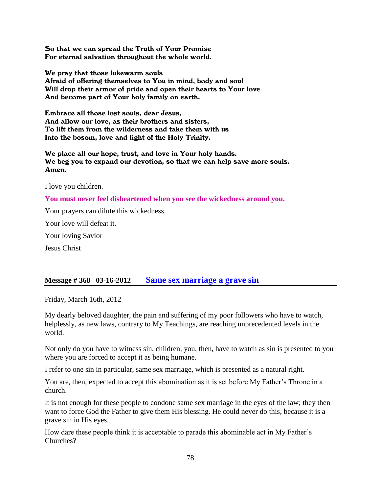So that we can spread the Truth of Your Promise For eternal salvation throughout the whole world.

We pray that those lukewarm souls Afraid of offering themselves to You in mind, body and soul Will drop their armor of pride and open their hearts to Your love And become part of Your holy family on earth.

Embrace all those lost souls, dear Jesus, And allow our love, as their brothers and sisters, To lift them from the wilderness and take them with us Into the bosom, love and light of the Holy Trinity.

We place all our hope, trust, and love in Your holy hands. We beg you to expand our devotion, so that we can help save more souls. Amen.

I love you children.

**You must never feel disheartened when you see the wickedness around you.**

Your prayers can dilute this wickedness.

Your love will defeat it.

Your loving Savior

Jesus Christ

### **Message # 368 03-16-2012 [Same sex marriage a grave sin](http://www.thewarningsecondcoming.com/same-sex-marriage-a-grave-sin/)**

Friday, March 16th, 2012

My dearly beloved daughter, the pain and suffering of my poor followers who have to watch, helplessly, as new laws, contrary to My Teachings, are reaching unprecedented levels in the world.

Not only do you have to witness sin, children, you, then, have to watch as sin is presented to you where you are forced to accept it as being humane.

I refer to one sin in particular, same sex marriage, which is presented as a natural right.

You are, then, expected to accept this abomination as it is set before My Father's Throne in a church.

It is not enough for these people to condone same sex marriage in the eyes of the law; they then want to force God the Father to give them His blessing. He could never do this, because it is a grave sin in His eyes.

How dare these people think it is acceptable to parade this abominable act in My Father's Churches?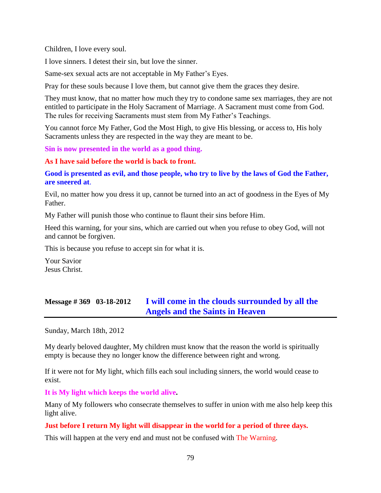Children, I love every soul.

I love sinners. I detest their sin, but love the sinner.

Same-sex sexual acts are not acceptable in My Father's Eyes.

Pray for these souls because I love them, but cannot give them the graces they desire.

They must know, that no matter how much they try to condone same sex marriages, they are not entitled to participate in the Holy Sacrament of Marriage. A Sacrament must come from God. The rules for receiving Sacraments must stem from My Father's Teachings.

You cannot force My Father, God the Most High, to give His blessing, or access to, His holy Sacraments unless they are respected in the way they are meant to be.

**Sin is now presented in the world as a good thing.**

#### **As I have said before the world is back to front.**

**Good is presented as evil, and those people, who try to live by the laws of God the Father, are sneered at**.

Evil, no matter how you dress it up, cannot be turned into an act of goodness in the Eyes of My Father.

My Father will punish those who continue to flaunt their sins before Him.

Heed this warning, for your sins, which are carried out when you refuse to obey God, will not and cannot be forgiven.

This is because you refuse to accept sin for what it is.

Your Savior Jesus Christ.

# **Message # 369 03-18-2012 [I will come in the clouds surrounded by all the](http://www.thewarningsecondcoming.com/i-will-come-in-the-clouds-surrounded-by-all-the-angels-and-the-saints-in-heaven/)  [Angels and the Saints in Heaven](http://www.thewarningsecondcoming.com/i-will-come-in-the-clouds-surrounded-by-all-the-angels-and-the-saints-in-heaven/)**

Sunday, March 18th, 2012

My dearly beloved daughter, My children must know that the reason the world is spiritually empty is because they no longer know the difference between right and wrong.

If it were not for My light, which fills each soul including sinners, the world would cease to exist.

**It is My light which keeps the world alive.**

Many of My followers who consecrate themselves to suffer in union with me also help keep this light alive.

#### **Just before I return My light will disappear in the world for a period of three days.**

This will happen at the very end and must not be confused with The Warning.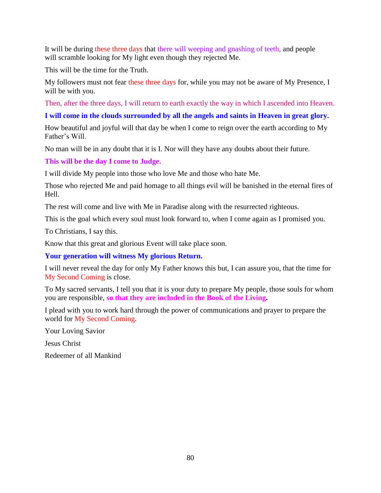It will be during these three days that there will weeping and gnashing of teeth, and people will scramble looking for My light even though they rejected Me.

This will be the time for the Truth.

My followers must not fear these three days for, while you may not be aware of My Presence, I will be with you.

Then, after the three days, I will return to earth exactly the way in which I ascended into Heaven.

## **I will come in the clouds surrounded by all the angels and saints in Heaven in great glory.**

How beautiful and joyful will that day be when I come to reign over the earth according to My Father's Will.

No man will be in any doubt that it is I. Nor will they have any doubts about their future.

**This will be the day I come to Judge.**

I will divide My people into those who love Me and those who hate Me.

Those who rejected Me and paid homage to all things evil will be banished in the eternal fires of Hell.

The rest will come and live with Me in Paradise along with the resurrected righteous.

This is the goal which every soul must look forward to, when I come again as I promised you.

To Christians, I say this.

Know that this great and glorious Event will take place soon.

**Your generation will witness My glorious Return.**

I will never reveal the day for only My Father knows this but, I can assure you, that the time for My Second Coming is close.

To My sacred servants, I tell you that it is your duty to prepare My people, those souls for whom you are responsible, **so that they are included in the Book of the Living.**

I plead with you to work hard through the power of communications and prayer to prepare the world for My Second Coming.

Your Loving Savior

Jesus Christ

Redeemer of all Mankind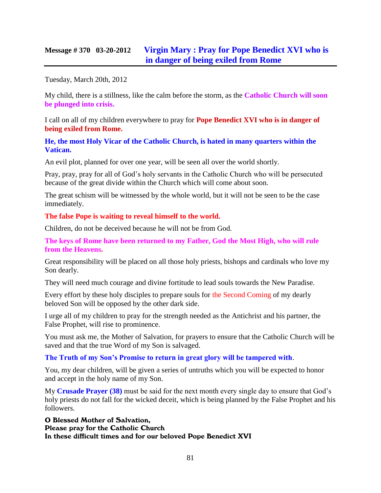## **Message # 370 03-20-2012 [Virgin Mary : Pray for Pope Benedict XVI who is](http://www.thewarningsecondcoming.com/virgin-mary-pray-for-pope-benedict-xvi-who-is-in-danger-of-being-exiled-from-rome/)  [in danger of being exiled from Rome](http://www.thewarningsecondcoming.com/virgin-mary-pray-for-pope-benedict-xvi-who-is-in-danger-of-being-exiled-from-rome/)**

Tuesday, March 20th, 2012

My child, there is a stillness, like the calm before the storm, as the **Catholic Church will soon be plunged into crisis.**

I call on all of my children everywhere to pray for **Pope Benedict XVI who is in danger of being exiled from Rome.**

#### **He, the most Holy Vicar of the Catholic Church, is hated in many quarters within the Vatican.**

An evil plot, planned for over one year, will be seen all over the world shortly.

Pray, pray, pray for all of God's holy servants in the Catholic Church who will be persecuted because of the great divide within the Church which will come about soon.

The great schism will be witnessed by the whole world, but it will not be seen to be the case immediately.

#### **The false Pope is waiting to reveal himself to the world.**

Children, do not be deceived because he will not be from God.

**The keys of Rome have been returned to my Father, God the Most High, who will rule from the Heavens.**

Great responsibility will be placed on all those holy priests, bishops and cardinals who love my Son dearly.

They will need much courage and divine fortitude to lead souls towards the New Paradise.

Every effort by these holy disciples to prepare souls for the Second Coming of my dearly beloved Son will be opposed by the other dark side.

I urge all of my children to pray for the strength needed as the Antichrist and his partner, the False Prophet, will rise to prominence.

You must ask me, the Mother of Salvation, for prayers to ensure that the Catholic Church will be saved and that the true Word of my Son is salvaged.

#### **The Truth of my Son's Promise to return in great glory will be tampered with**.

You, my dear children, will be given a series of untruths which you will be expected to honor and accept in the holy name of my Son.

My **Crusade Prayer (38)** must be said for the next month every single day to ensure that God's holy priests do not fall for the wicked deceit, which is being planned by the False Prophet and his followers.

O Blessed Mother of Salvation, Please pray for the Catholic Church In these difficult times and for our beloved Pope Benedict XVI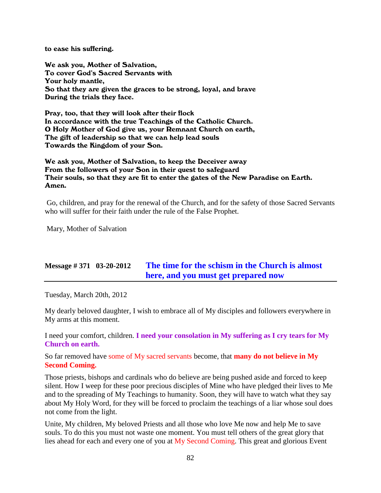to ease his suffering.

We ask you, Mother of Salvation, To cover God's Sacred Servants with Your holy mantle, So that they are given the graces to be strong, loyal, and brave During the trials they face.

Pray, too, that they will look after their flock In accordance with the true Teachings of the Catholic Church. O Holy Mother of God give us, your Remnant Church on earth, The gift of leadership so that we can help lead souls Towards the Kingdom of your Son.

We ask you, Mother of Salvation, to keep the Deceiver away From the followers of your Son in their quest to safeguard Their souls, so that they are fit to enter the gates of the New Paradise on Earth. Amen.

Go, children, and pray for the renewal of the Church, and for the safety of those Sacred Servants who will suffer for their faith under the rule of the False Prophet.

Mary, Mother of Salvation

# **Message # 371 03-20-2012 [The time for the schism in the Church is almost](http://www.thewarningsecondcoming.com/the-time-for-the-schism-in-the-church-is-almost-here-and-you-must-get-prepared-now/)  here, [and you must get prepared now](http://www.thewarningsecondcoming.com/the-time-for-the-schism-in-the-church-is-almost-here-and-you-must-get-prepared-now/)**

Tuesday, March 20th, 2012

My dearly beloved daughter, I wish to embrace all of My disciples and followers everywhere in My arms at this moment.

I need your comfort, children. **I need your consolation in My suffering as I cry tears for My Church on earth.**

So far removed have some of My sacred servants become, that **many do not believe in My Second Coming.**

Those priests, bishops and cardinals who do believe are being pushed aside and forced to keep silent. How I weep for these poor precious disciples of Mine who have pledged their lives to Me and to the spreading of My Teachings to humanity. Soon, they will have to watch what they say about My Holy Word, for they will be forced to proclaim the teachings of a liar whose soul does not come from the light.

Unite, My children, My beloved Priests and all those who love Me now and help Me to save souls. To do this you must not waste one moment. You must tell others of the great glory that lies ahead for each and every one of you at My Second Coming. This great and glorious Event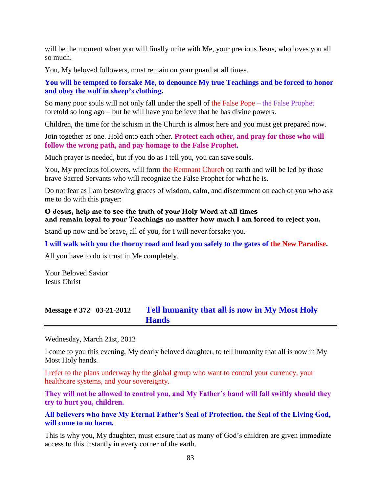will be the moment when you will finally unite with Me, your precious Jesus, who loves you all so much.

You, My beloved followers, must remain on your guard at all times.

**You will be tempted to forsake Me, to denounce My true Teachings and be forced to honor and obey the wolf in sheep's clothing.**

So many poor souls will not only fall under the spell of the False Pope – the False Prophet foretold so long ago – but he will have you believe that he has divine powers.

Children, the time for the schism in the Church is almost here and you must get prepared now.

Join together as one. Hold onto each other. **Protect each other, and pray for those who will follow the wrong path, and pay homage to the False Prophet.**

Much prayer is needed, but if you do as I tell you, you can save souls.

You, My precious followers, will form the Remnant Church on earth and will be led by those brave Sacred Servants who will recognize the False Prophet for what he is.

Do not fear as I am bestowing graces of wisdom, calm, and discernment on each of you who ask me to do with this prayer:

#### O Jesus, help me to see the truth of your Holy Word at all times and remain loyal to your Teachings no matter how much I am forced to reject you.

Stand up now and be brave, all of you, for I will never forsake you.

**I will walk with you the thorny road and lead you safely to the gates of the New Paradise.**

All you have to do is trust in Me completely.

Your Beloved Savior Jesus Christ

# **Message # 372 03-21-2012 [Tell humanity that all is now in My Most Holy](http://www.thewarningsecondcoming.com/tell-humanity-that-all-is-now-in-my-most-holy-hands/)  [Hands](http://www.thewarningsecondcoming.com/tell-humanity-that-all-is-now-in-my-most-holy-hands/)**

Wednesday, March 21st, 2012

I come to you this evening, My dearly beloved daughter, to tell humanity that all is now in My Most Holy hands.

I refer to the plans underway by the global group who want to control your currency, your healthcare systems, and your sovereignty.

**They will not be allowed to control you, and My Father's hand will fall swiftly should they try to hurt you, children.**

**All believers who have My Eternal Father's Seal of Protection, the Seal of the Living God, will come to no harm.**

This is why you, My daughter, must ensure that as many of God's children are given immediate access to this instantly in every corner of the earth.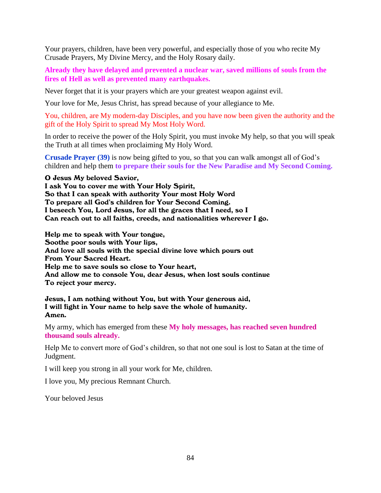Your prayers, children, have been very powerful, and especially those of you who recite My Crusade Prayers, My Divine Mercy, and the Holy Rosary daily.

**Already they have delayed and prevented a nuclear war, saved millions of souls from the fires of Hell as well as prevented many earthquakes.**

Never forget that it is your prayers which are your greatest weapon against evil.

Your love for Me, Jesus Christ, has spread because of your allegiance to Me.

You, children, are My modern-day Disciples, and you have now been given the authority and the gift of the Holy Spirit to spread My Most Holy Word.

In order to receive the power of the Holy Spirit, you must invoke My help, so that you will speak the Truth at all times when proclaiming My Holy Word.

**Crusade Prayer (39)** is now being gifted to you, so that you can walk amongst all of God's children and help them **to prepare their souls for the New Paradise and My Second Coming.**

O Jesus My beloved Savior,

I ask You to cover me with Your Holy Spirit, So that I can speak with authority Your most Holy Word To prepare all God's children for Your Second Coming. I beseech You, Lord Jesus, for all the graces that I need, so I Can reach out to all faiths, creeds, and nationalities wherever I go.

Help me to speak with Your tongue, Soothe poor souls with Your lips, And love all souls with the special divine love which pours out From Your Sacred Heart. Help me to save souls so close to Your heart, And allow me to console You, dear Jesus, when lost souls continue To reject your mercy.

Jesus, I am nothing without You, but with Your generous aid, I will fight in Your name to help save the whole of humanity. Amen.

My army, which has emerged from these **My holy messages, has reached seven hundred thousand souls already.**

Help Me to convert more of God's children, so that not one soul is lost to Satan at the time of Judgment.

I will keep you strong in all your work for Me, children.

I love you, My precious Remnant Church.

Your beloved Jesus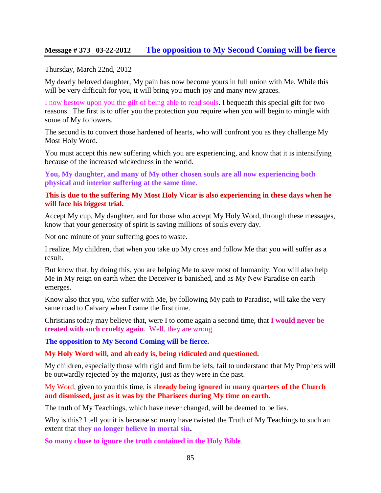### **Message # 373 03-22-2012 [The opposition to My Second Coming will be fierce](http://www.thewarningsecondcoming.com/the-opposition-to-my-second-coming-will-be-fierce/)**

#### Thursday, March 22nd, 2012

My dearly beloved daughter, My pain has now become yours in full union with Me. While this will be very difficult for you, it will bring you much joy and many new graces.

I now bestow upon you the gift of being able to read souls. I bequeath this special gift for two reasons. The first is to offer you the protection you require when you will begin to mingle with some of My followers.

The second is to convert those hardened of hearts, who will confront you as they challenge My Most Holy Word.

You must accept this new suffering which you are experiencing, and know that it is intensifying because of the increased wickedness in the world.

**You, My daughter, and many of My other chosen souls are all now experiencing both physical and interior suffering at the same time**.

#### **This is due to the suffering My Most Holy Vicar is also experiencing in these days when he will face his biggest trial.**

Accept My cup, My daughter, and for those who accept My Holy Word, through these messages, know that your generosity of spirit is saving millions of souls every day.

Not one minute of your suffering goes to waste.

I realize, My children, that when you take up My cross and follow Me that you will suffer as a result.

But know that, by doing this, you are helping Me to save most of humanity. You will also help Me in My reign on earth when the Deceiver is banished, and as My New Paradise on earth emerges.

Know also that you, who suffer with Me, by following My path to Paradise, will take the very same road to Calvary when I came the first time.

Christians today may believe that, were I to come again a second time, that **I would never be treated with such cruelty again**. Well, they are wrong.

**The opposition to My Second Coming will be fierce.**

**My Holy Word will, and already is, being ridiculed and questioned.**

My children, especially those with rigid and firm beliefs, fail to understand that My Prophets will be outwardly rejected by the majority, just as they were in the past.

My Word, given to you this time, is a**lready being ignored in many quarters of the Church and dismissed, just as it was by the Pharisees during My time on earth.**

The truth of My Teachings, which have never changed, will be deemed to be lies.

Why is this? I tell you it is because so many have twisted the Truth of My Teachings to such an extent that **they no longer believe in mortal sin.**

**So many chose to ignore the truth contained in the Holy Bible**.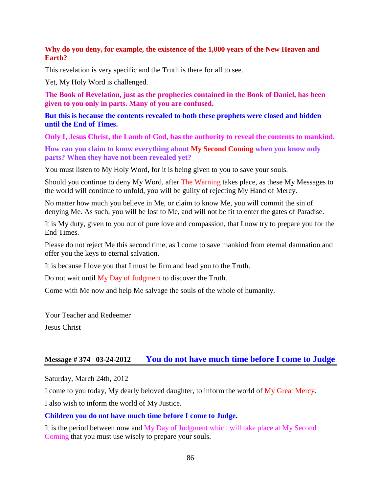### **Why do you deny, for example, the existence of the 1,000 years of the New Heaven and Earth?**

This revelation is very specific and the Truth is there for all to see.

Yet, My Holy Word is challenged.

**The Book of Revelation, just as the prophecies contained in the Book of Daniel, has been given to you only in parts. Many of you are confused.**

**But this is because the contents revealed to both these prophets were closed and hidden until the End of Times.**

**Only I, Jesus Christ, the Lamb of God, has the authority to reveal the contents to mankind.**

**How can you claim to know everything about My Second Coming when you know only parts? When they have not been revealed yet?**

You must listen to My Holy Word, for it is being given to you to save your souls.

Should you continue to deny My Word, after The Warning takes place, as these My Messages to the world will continue to unfold, you will be guilty of rejecting My Hand of Mercy.

No matter how much you believe in Me, or claim to know Me, you will commit the sin of denying Me. As such, you will be lost to Me, and will not be fit to enter the gates of Paradise.

It is My duty, given to you out of pure love and compassion, that I now try to prepare you for the End Times.

Please do not reject Me this second time, as I come to save mankind from eternal damnation and offer you the keys to eternal salvation.

It is because I love you that I must be firm and lead you to the Truth.

Do not wait until My Day of Judgment to discover the Truth.

Come with Me now and help Me salvage the souls of the whole of humanity.

Your Teacher and Redeemer Jesus Christ

## **Message # 374 03-24-2012 [You do not have much time before I come to Judge](http://www.thewarningsecondcoming.com/you-do-not-have-much-time-before-i-come-to-judge/)**

Saturday, March 24th, 2012

I come to you today, My dearly beloved daughter, to inform the world of My Great Mercy.

I also wish to inform the world of My Justice.

#### **Children you do not have much time before I come to Judge.**

It is the period between now and My Day of Judgment which will take place at My Second Coming that you must use wisely to prepare your souls.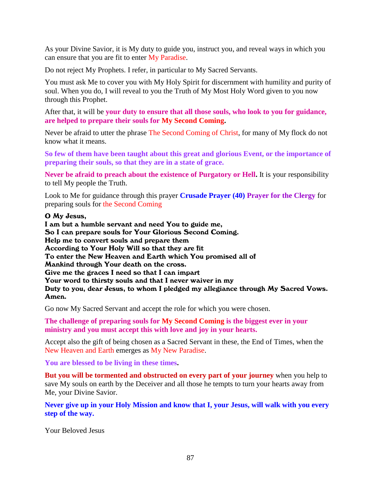As your Divine Savior, it is My duty to guide you, instruct you, and reveal ways in which you can ensure that you are fit to enter My Paradise.

Do not reject My Prophets. I refer, in particular to My Sacred Servants.

You must ask Me to cover you with My Holy Spirit for discernment with humility and purity of soul. When you do, I will reveal to you the Truth of My Most Holy Word given to you now through this Prophet.

After that, it will be **your duty to ensure that all those souls, who look to you for guidance, are helped to prepare their souls for My Second Coming.**

Never be afraid to utter the phrase The Second Coming of Christ, for many of My flock do not know what it means.

**So few of them have been taught about this great and glorious Event, or the importance of preparing their souls, so that they are in a state of grace.**

**Never be afraid to preach about the existence of Purgatory or Hell.** It is your responsibility to tell My people the Truth.

Look to Me for guidance through this prayer **Crusade Prayer (40) Prayer for the Clergy** for preparing souls for the Second Coming

#### O My Jesus,

I am but a humble servant and need You to guide me, So I can prepare souls for Your Glorious Second Coming. Help me to convert souls and prepare them According to Your Holy Will so that they are fit To enter the New Heaven and Earth which You promised all of Mankind through Your death on the cross. Give me the graces I need so that I can impart Your word to thirsty souls and that I never waiver in my Duty to you, dear Jesus, to whom I pledged my allegiance through My Sacred Vows. Amen.

Go now My Sacred Servant and accept the role for which you were chosen.

**The challenge of preparing souls for My Second Coming is the biggest ever in your ministry and you must accept this with love and joy in your hearts.**

Accept also the gift of being chosen as a Sacred Servant in these, the End of Times, when the New Heaven and Earth emerges as My New Paradise.

**You are blessed to be living in these times.**

**But you will be tormented and obstructed on every part of your journey** when you help to save My souls on earth by the Deceiver and all those he tempts to turn your hearts away from Me, your Divine Savior.

**Never give up in your Holy Mission and know that I, your Jesus, will walk with you every step of the way.**

Your Beloved Jesus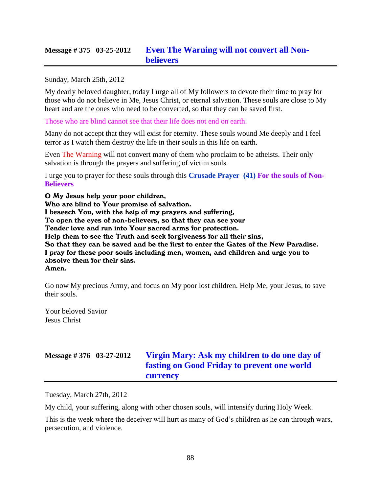# **Message # 375 03-25-2012 [Even The Warning will not convert all Non](http://www.thewarningsecondcoming.com/even-the-warning-will-not-convert-many-atheists/)[believers](http://www.thewarningsecondcoming.com/even-the-warning-will-not-convert-many-atheists/)**

#### Sunday, March 25th, 2012

My dearly beloved daughter, today I urge all of My followers to devote their time to pray for those who do not believe in Me, Jesus Christ, or eternal salvation. These souls are close to My heart and are the ones who need to be converted, so that they can be saved first.

Those who are blind cannot see that their life does not end on earth.

Many do not accept that they will exist for eternity. These souls wound Me deeply and I feel terror as I watch them destroy the life in their souls in this life on earth.

Even The Warning will not convert many of them who proclaim to be atheists. Their only salvation is through the prayers and suffering of victim souls.

I urge you to prayer for these souls through this **Crusade Prayer (41) For the souls of Non-Believers**

O My Jesus help your poor children,

Who are blind to Your promise of salvation.

I beseech You, with the help of my prayers and suffering,

To open the eyes of non-believers, so that they can see your

Tender love and run into Your sacred arms for protection.

Help them to see the Truth and seek forgiveness for all their sins,

So that they can be saved and be the first to enter the Gates of the New Paradise. I pray for these poor souls including men, women, and children and urge you to absolve them for their sins. Amen.

Go now My precious Army, and focus on My poor lost children. Help Me, your Jesus, to save their souls.

Your beloved Savior Jesus Christ

# **Message # 376 03-27-2012 [Virgin Mary: Ask my children to do one day of](http://www.thewarningsecondcoming.com/virgin-mary-ask-my-children-to-do-one-day-of-fasting-on-good-friday-to-prevent-one-world-currency/)  [fasting on Good Friday to prevent one world](http://www.thewarningsecondcoming.com/virgin-mary-ask-my-children-to-do-one-day-of-fasting-on-good-friday-to-prevent-one-world-currency/)  [currency](http://www.thewarningsecondcoming.com/virgin-mary-ask-my-children-to-do-one-day-of-fasting-on-good-friday-to-prevent-one-world-currency/)**

Tuesday, March 27th, 2012

My child, your suffering, along with other chosen souls, will intensify during Holy Week.

This is the week where the deceiver will hurt as many of God's children as he can through wars, persecution, and violence.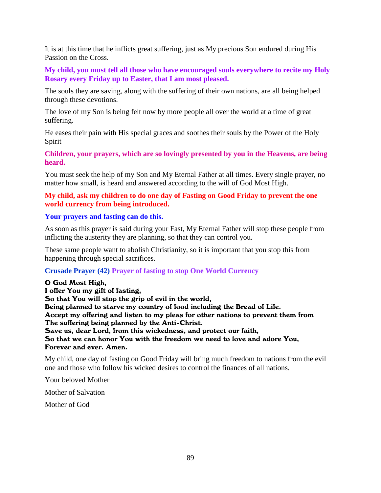It is at this time that he inflicts great suffering, just as My precious Son endured during His Passion on the Cross.

**My child, you must tell all those who have encouraged souls everywhere to recite my Holy Rosary every Friday up to Easter, that I am most pleased.**

The souls they are saving, along with the suffering of their own nations, are all being helped through these devotions.

The love of my Son is being felt now by more people all over the world at a time of great suffering.

He eases their pain with His special graces and soothes their souls by the Power of the Holy Spirit

**Children, your prayers, which are so lovingly presented by you in the Heavens, are being heard.**

You must seek the help of my Son and My Eternal Father at all times. Every single prayer, no matter how small, is heard and answered according to the will of God Most High.

### **My child, ask my children to do one day of Fasting on Good Friday to prevent the one world currency from being introduced.**

#### **Your prayers and fasting can do this.**

As soon as this prayer is said during your Fast, My Eternal Father will stop these people from inflicting the austerity they are planning, so that they can control you.

These same people want to abolish Christianity, so it is important that you stop this from happening through special sacrifices.

### **Crusade Prayer (42) Prayer of fasting to stop One World Currency**

#### O God Most High,

I offer You my gift of fasting, So that You will stop the grip of evil in the world, Being planned to starve my country of food including the Bread of Life. Accept my offering and listen to my pleas for other nations to prevent them from The suffering being planned by the Anti-Christ. Save us, dear Lord, from this wickedness, and protect our faith, So that we can honor You with the freedom we need to love and adore You, Forever and ever. Amen.

My child, one day of fasting on Good Friday will bring much freedom to nations from the evil one and those who follow his wicked desires to control the finances of all nations.

Your beloved Mother

Mother of Salvation

Mother of God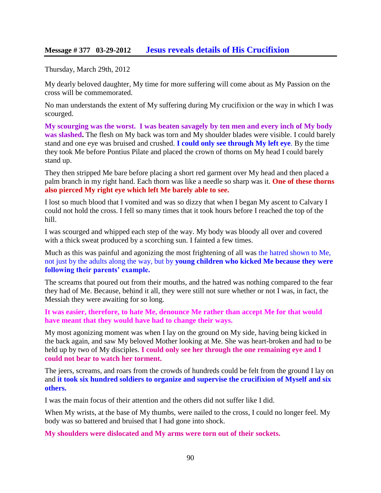### **Message # 377 03-29-2012 [Jesus reveals details of His Crucifixion](http://www.thewarningsecondcoming.com/jesus-reveals-details-of-his-crucifixion/)**

Thursday, March 29th, 2012

My dearly beloved daughter, My time for more suffering will come about as My Passion on the cross will be commemorated.

No man understands the extent of My suffering during My crucifixion or the way in which I was scourged.

**My scourging was the worst. I was beaten savagely by ten men and every inch of My body was slashed.** The flesh on My back was torn and My shoulder blades were visible. I could barely stand and one eye was bruised and crushed. **I could only see through My left eye**. By the time they took Me before Pontius Pilate and placed the crown of thorns on My head I could barely stand up.

They then stripped Me bare before placing a short red garment over My head and then placed a palm branch in my right hand. Each thorn was like a needle so sharp was it. **One of these thorns also pierced My right eye which left Me barely able to see.**

I lost so much blood that I vomited and was so dizzy that when I began My ascent to Calvary I could not hold the cross. I fell so many times that it took hours before I reached the top of the hill.

I was scourged and whipped each step of the way. My body was bloody all over and covered with a thick sweat produced by a scorching sun. I fainted a few times.

Much as this was painful and agonizing the most frightening of all was the hatred shown to Me, not just by the adults along the way, but by **young children who kicked Me because they were following their parents' example.**

The screams that poured out from their mouths, and the hatred was nothing compared to the fear they had of Me. Because, behind it all, they were still not sure whether or not I was, in fact, the Messiah they were awaiting for so long.

**It was easier, therefore, to hate Me, denounce Me rather than accept Me for that would have meant that they would have had to change their ways.**

My most agonizing moment was when I lay on the ground on My side, having being kicked in the back again, and saw My beloved Mother looking at Me. She was heart-broken and had to be held up by two of My disciples. **I could only see her through the one remaining eye and I could not bear to watch her torment.**

The jeers, screams, and roars from the crowds of hundreds could be felt from the ground I lay on and **it took six hundred soldiers to organize and supervise the crucifixion of Myself and six others.**

I was the main focus of their attention and the others did not suffer like I did.

When My wrists, at the base of My thumbs, were nailed to the cross, I could no longer feel. My body was so battered and bruised that I had gone into shock.

**My shoulders were dislocated and My arms were torn out of their sockets.**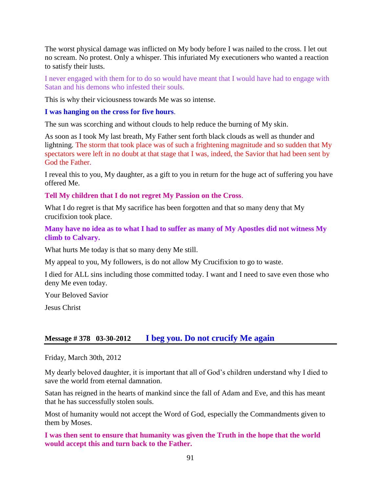The worst physical damage was inflicted on My body before I was nailed to the cross. I let out no scream. No protest. Only a whisper. This infuriated My executioners who wanted a reaction to satisfy their lusts.

I never engaged with them for to do so would have meant that I would have had to engage with Satan and his demons who infested their souls.

This is why their viciousness towards Me was so intense.

#### **I was hanging on the cross for five hours**.

The sun was scorching and without clouds to help reduce the burning of My skin.

As soon as I took My last breath, My Father sent forth black clouds as well as thunder and lightning. The storm that took place was of such a frightening magnitude and so sudden that My spectators were left in no doubt at that stage that I was, indeed, the Savior that had been sent by God the Father.

I reveal this to you, My daughter, as a gift to you in return for the huge act of suffering you have offered Me.

**Tell My children that I do not regret My Passion on the Cross**.

What I do regret is that My sacrifice has been forgotten and that so many deny that My crucifixion took place.

### **Many have no idea as to what I had to suffer as many of My Apostles did not witness My climb to Calvary.**

What hurts Me today is that so many deny Me still.

My appeal to you, My followers, is do not allow My Crucifixion to go to waste.

I died for ALL sins including those committed today. I want and I need to save even those who deny Me even today.

Your Beloved Savior

Jesus Christ

# **Message # 378 03-30-2012 [I beg you. Do not crucify Me again](http://www.thewarningsecondcoming.com/i-beg-you-do-not-crucify-me-again/)**

Friday, March 30th, 2012

My dearly beloved daughter, it is important that all of God's children understand why I died to save the world from eternal damnation.

Satan has reigned in the hearts of mankind since the fall of Adam and Eve, and this has meant that he has successfully stolen souls.

Most of humanity would not accept the Word of God, especially the Commandments given to them by Moses.

**I was then sent to ensure that humanity was given the Truth in the hope that the world would accept this and turn back to the Father.**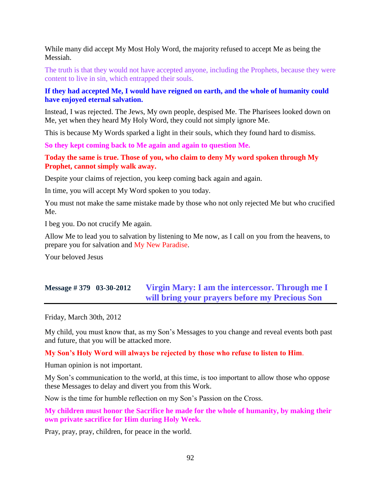While many did accept My Most Holy Word, the majority refused to accept Me as being the Messiah.

The truth is that they would not have accepted anyone, including the Prophets, because they were content to live in sin, which entrapped their souls.

### **If they had accepted Me, I would have reigned on earth, and the whole of humanity could have enjoyed eternal salvation.**

Instead, I was rejected. The Jews, My own people, despised Me. The Pharisees looked down on Me, yet when they heard My Holy Word, they could not simply ignore Me.

This is because My Words sparked a light in their souls, which they found hard to dismiss.

**So they kept coming back to Me again and again to question Me.**

#### **Today the same is true. Those of you, who claim to deny My word spoken through My Prophet, cannot simply walk away.**

Despite your claims of rejection, you keep coming back again and again.

In time, you will accept My Word spoken to you today.

You must not make the same mistake made by those who not only rejected Me but who crucified Me.

I beg you. Do not crucify Me again.

Allow Me to lead you to salvation by listening to Me now, as I call on you from the heavens, to prepare you for salvation and My New Paradise.

Your beloved Jesus

# **Message # 379 03-30-2012 [Virgin Mary: I am the intercessor. Through me I](http://www.thewarningsecondcoming.com/virgin-mary-i-am-the-intercessor-through-me-i-will-bring-your-prayers-before-my-precious-son/)  [will bring your prayers before my Precious Son](http://www.thewarningsecondcoming.com/virgin-mary-i-am-the-intercessor-through-me-i-will-bring-your-prayers-before-my-precious-son/)**

Friday, March 30th, 2012

My child, you must know that, as my Son's Messages to you change and reveal events both past and future, that you will be attacked more.

#### **My Son's Holy Word will always be rejected by those who refuse to listen to Him**.

Human opinion is not important.

My Son's communication to the world, at this time, is too important to allow those who oppose these Messages to delay and divert you from this Work.

Now is the time for humble reflection on my Son's Passion on the Cross.

**My children must honor the Sacrifice he made for the whole of humanity, by making their own private sacrifice for Him during Holy Week.**

Pray, pray, pray, children, for peace in the world.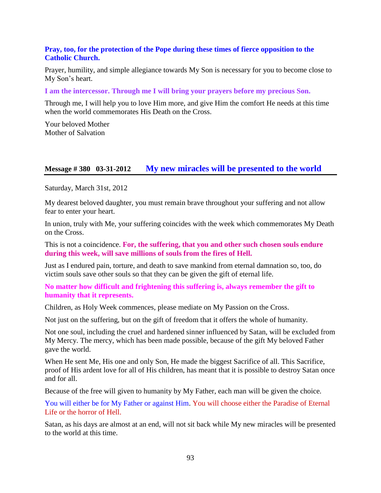#### **Pray, too, for the protection of the Pope during these times of fierce opposition to the Catholic Church.**

Prayer, humility, and simple allegiance towards My Son is necessary for you to become close to My Son's heart.

**I am the intercessor. Through me I will bring your prayers before my precious Son.**

Through me, I will help you to love Him more, and give Him the comfort He needs at this time when the world commemorates His Death on the Cross.

Your beloved Mother Mother of Salvation

### **Message # 380 03-31-2012 [My new miracles will be presented to the world](http://www.thewarningsecondcoming.com/my-new-miracles-will-be-presented-to-the-world/)**

Saturday, March 31st, 2012

My dearest beloved daughter, you must remain brave throughout your suffering and not allow fear to enter your heart.

In union, truly with Me, your suffering coincides with the week which commemorates My Death on the Cross.

This is not a coincidence. **For, the suffering, that you and other such chosen souls endure during this week, will save millions of souls from the fires of Hell.**

Just as I endured pain, torture, and death to save mankind from eternal damnation so, too, do victim souls save other souls so that they can be given the gift of eternal life.

**No matter how difficult and frightening this suffering is, always remember the gift to humanity that it represents.**

Children, as Holy Week commences, please mediate on My Passion on the Cross.

Not just on the suffering, but on the gift of freedom that it offers the whole of humanity.

Not one soul, including the cruel and hardened sinner influenced by Satan, will be excluded from My Mercy. The mercy, which has been made possible, because of the gift My beloved Father gave the world.

When He sent Me, His one and only Son, He made the biggest Sacrifice of all. This Sacrifice, proof of His ardent love for all of His children, has meant that it is possible to destroy Satan once and for all.

Because of the free will given to humanity by My Father, each man will be given the choice.

You will either be for My Father or against Him. You will choose either the Paradise of Eternal Life or the horror of Hell.

Satan, as his days are almost at an end, will not sit back while My new miracles will be presented to the world at this time.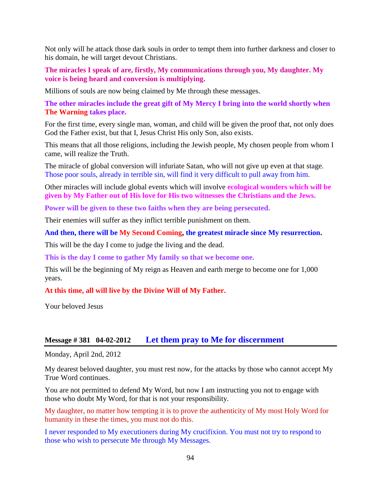Not only will he attack those dark souls in order to tempt them into further darkness and closer to his domain, he will target devout Christians.

**The miracles I speak of are, firstly, My communications through you, My daughter. My voice is being heard and conversion is multiplying.**

Millions of souls are now being claimed by Me through these messages.

**The other miracles include the great gift of My Mercy I bring into the world shortly when The Warning takes place.**

For the first time, every single man, woman, and child will be given the proof that, not only does God the Father exist, but that I, Jesus Christ His only Son, also exists.

This means that all those religions, including the Jewish people, My chosen people from whom I came, will realize the Truth.

The miracle of global conversion will infuriate Satan, who will not give up even at that stage. Those poor souls, already in terrible sin, will find it very difficult to pull away from him.

Other miracles will include global events which will involve **ecological wonders which will be given by My Father out of His love for His two witnesses the Christians and the Jews.**

**Power will be given to these two faiths when they are being persecuted.**

Their enemies will suffer as they inflict terrible punishment on them.

#### **And then, there will be My Second Coming, the greatest miracle since My resurrection.**

This will be the day I come to judge the living and the dead.

**This is the day I come to gather My family so that we become one.**

This will be the beginning of My reign as Heaven and earth merge to become one for 1,000 years.

#### **At this time, all will live by the Divine Will of My Father.**

Your beloved Jesus

### **Message # 381 04-02-2012 [Let them pray to Me for discernment](http://www.thewarningsecondcoming.com/let-them-pray-to-me-for-discernment/)**

Monday, April 2nd, 2012

My dearest beloved daughter, you must rest now, for the attacks by those who cannot accept My True Word continues.

You are not permitted to defend My Word, but now I am instructing you not to engage with those who doubt My Word, for that is not your responsibility.

My daughter, no matter how tempting it is to prove the authenticity of My most Holy Word for humanity in these the times, you must not do this.

I never responded to My executioners during My crucifixion. You must not try to respond to those who wish to persecute Me through My Messages.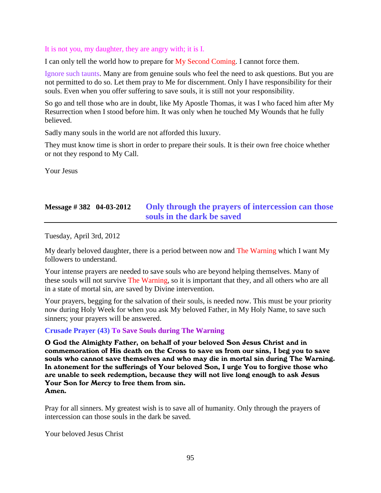#### It is not you, my daughter, they are angry with; it is I.

I can only tell the world how to prepare for My Second Coming. I cannot force them.

Ignore such taunts. Many are from genuine souls who feel the need to ask questions. But you are not permitted to do so. Let them pray to Me for discernment. Only I have responsibility for their souls. Even when you offer suffering to save souls, it is still not your responsibility.

So go and tell those who are in doubt, like My Apostle Thomas, it was I who faced him after My Resurrection when I stood before him. It was only when he touched My Wounds that he fully believed.

Sadly many souls in the world are not afforded this luxury.

They must know time is short in order to prepare their souls. It is their own free choice whether or not they respond to My Call.

Your Jesus

# **Message # 382 04-03-2012 [Only through the prayers of intercession can those](http://www.thewarningsecondcoming.com/only-through-the-prayers-of-intercession-can-those-souls-in-the-dark-be-saved/)  [souls in the dark be saved](http://www.thewarningsecondcoming.com/only-through-the-prayers-of-intercession-can-those-souls-in-the-dark-be-saved/)**

Tuesday, April 3rd, 2012

My dearly beloved daughter, there is a period between now and The Warning which I want My followers to understand.

Your intense prayers are needed to save souls who are beyond helping themselves. Many of these souls will not survive The Warning, so it is important that they, and all others who are all in a state of mortal sin, are saved by Divine intervention.

Your prayers, begging for the salvation of their souls, is needed now. This must be your priority now during Holy Week for when you ask My beloved Father, in My Holy Name, to save such sinners; your prayers will be answered.

### **Crusade Prayer (43) To Save Souls during The Warning**

O God the Almighty Father, on behalf of your beloved Son Jesus Christ and in commemoration of His death on the Cross to save us from our sins, I beg you to save souls who cannot save themselves and who may die in mortal sin during The Warning. In atonement for the sufferings of Your beloved Son, I urge You to forgive those who are unable to seek redemption, because they will not live long enough to ask Jesus Your Son for Mercy to free them from sin. Amen.

Pray for all sinners. My greatest wish is to save all of humanity. Only through the prayers of intercession can those souls in the dark be saved.

Your beloved Jesus Christ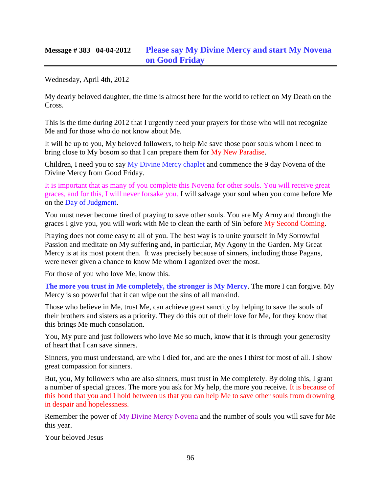Wednesday, April 4th, 2012

My dearly beloved daughter, the time is almost here for the world to reflect on My Death on the Cross.

This is the time during 2012 that I urgently need your prayers for those who will not recognize Me and for those who do not know about Me.

It will be up to you, My beloved followers, to help Me save those poor souls whom I need to bring close to My bosom so that I can prepare them for My New Paradise.

Children, I need you to say My Divine Mercy chaplet and commence the 9 day Novena of the Divine Mercy from Good Friday.

It is important that as many of you complete this Novena for other souls. You will receive great graces, and for this, I will never forsake you. I will salvage your soul when you come before Me on the Day of Judgment.

You must never become tired of praying to save other souls. You are My Army and through the graces I give you, you will work with Me to clean the earth of Sin before My Second Coming.

Praying does not come easy to all of you. The best way is to unite yourself in My Sorrowful Passion and meditate on My suffering and, in particular, My Agony in the Garden. My Great Mercy is at its most potent then. It was precisely because of sinners, including those Pagans, were never given a chance to know Me whom I agonized over the most.

For those of you who love Me, know this.

**The more you trust in Me completely, the stronger is My Mercy**. The more I can forgive. My Mercy is so powerful that it can wipe out the sins of all mankind.

Those who believe in Me, trust Me, can achieve great sanctity by helping to save the souls of their brothers and sisters as a priority. They do this out of their love for Me, for they know that this brings Me much consolation.

You, My pure and just followers who love Me so much, know that it is through your generosity of heart that I can save sinners.

Sinners, you must understand, are who I died for, and are the ones I thirst for most of all. I show great compassion for sinners.

But, you, My followers who are also sinners, must trust in Me completely. By doing this, I grant a number of special graces. The more you ask for My help, the more you receive. It is because of this bond that you and I hold between us that you can help Me to save other souls from drowning in despair and hopelessness.

Remember the power of My Divine Mercy Novena and the number of souls you will save for Me this year.

Your beloved Jesus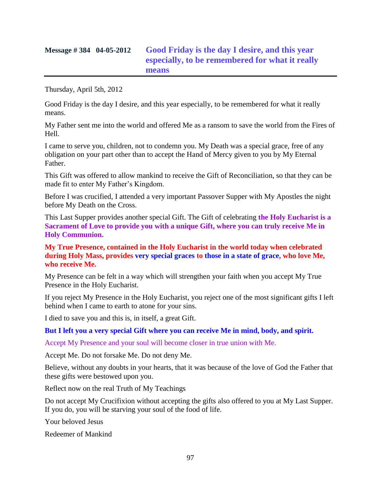# **Message # 384 04-05-2012 [Good Friday is the day I desire, and this year](http://www.thewarningsecondcoming.com/good-friday-is-the-day-i-desire-and-this-year-especially-to-be-remembered-for-what-it-really-means/)  [especially, to be remembered for what it really](http://www.thewarningsecondcoming.com/good-friday-is-the-day-i-desire-and-this-year-especially-to-be-remembered-for-what-it-really-means/)  [means](http://www.thewarningsecondcoming.com/good-friday-is-the-day-i-desire-and-this-year-especially-to-be-remembered-for-what-it-really-means/)**

Thursday, April 5th, 2012

Good Friday is the day I desire, and this year especially, to be remembered for what it really means.

My Father sent me into the world and offered Me as a ransom to save the world from the Fires of Hell.

I came to serve you, children, not to condemn you. My Death was a special grace, free of any obligation on your part other than to accept the Hand of Mercy given to you by My Eternal Father.

This Gift was offered to allow mankind to receive the Gift of Reconciliation, so that they can be made fit to enter My Father's Kingdom.

Before I was crucified, I attended a very important Passover Supper with My Apostles the night before My Death on the Cross.

This Last Supper provides another special Gift. The Gift of celebrating **the Holy Eucharist is a Sacrament of Love to provide you with a unique Gift, where you can truly receive Me in Holy Communion.**

**My True Presence, contained in the Holy Eucharist in the world today when celebrated during Holy Mass, provides very special graces to those in a state of grace, who love Me, who receive Me.**

My Presence can be felt in a way which will strengthen your faith when you accept My True Presence in the Holy Eucharist.

If you reject My Presence in the Holy Eucharist, you reject one of the most significant gifts I left behind when I came to earth to atone for your sins.

I died to save you and this is, in itself, a great Gift.

**But I left you a very special Gift where you can receive Me in mind, body, and spirit.**

Accept My Presence and your soul will become closer in true union with Me.

Accept Me. Do not forsake Me. Do not deny Me.

Believe, without any doubts in your hearts, that it was because of the love of God the Father that these gifts were bestowed upon you.

Reflect now on the real Truth of My Teachings

Do not accept My Crucifixion without accepting the gifts also offered to you at My Last Supper. If you do, you will be starving your soul of the food of life.

Your beloved Jesus

Redeemer of Mankind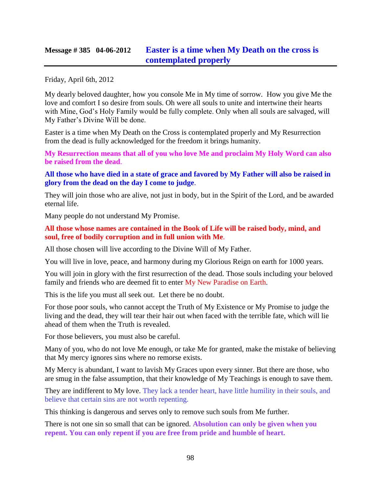## **Message # 385 04-06-2012 [Easter is a time when My Death on the cross is](http://www.thewarningsecondcoming.com/easter-is-a-time-when-my-death-on-the-cross-is-contemplated-properly/)  [contemplated properly](http://www.thewarningsecondcoming.com/easter-is-a-time-when-my-death-on-the-cross-is-contemplated-properly/)**

Friday, April 6th, 2012

My dearly beloved daughter, how you console Me in My time of sorrow. How you give Me the love and comfort I so desire from souls. Oh were all souls to unite and intertwine their hearts with Mine, God's Holy Family would be fully complete. Only when all souls are salvaged, will My Father's Divine Will be done.

Easter is a time when My Death on the Cross is contemplated properly and My Resurrection from the dead is fully acknowledged for the freedom it brings humanity.

**My Resurrection means that all of you who love Me and proclaim My Holy Word can also be raised from the dead**.

**All those who have died in a state of grace and favored by My Father will also be raised in glory from the dead on the day I come to judge**.

They will join those who are alive, not just in body, but in the Spirit of the Lord, and be awarded eternal life.

Many people do not understand My Promise.

**All those whose names are contained in the Book of Life will be raised body, mind, and soul, free of bodily corruption and in full union with Me**.

All those chosen will live according to the Divine Will of My Father.

You will live in love, peace, and harmony during my Glorious Reign on earth for 1000 years.

You will join in glory with the first resurrection of the dead. Those souls including your beloved family and friends who are deemed fit to enter My New Paradise on Earth.

This is the life you must all seek out. Let there be no doubt.

For those poor souls, who cannot accept the Truth of My Existence or My Promise to judge the living and the dead, they will tear their hair out when faced with the terrible fate, which will lie ahead of them when the Truth is revealed.

For those believers, you must also be careful.

Many of you, who do not love Me enough, or take Me for granted, make the mistake of believing that My mercy ignores sins where no remorse exists.

My Mercy is abundant, I want to lavish My Graces upon every sinner. But there are those, who are smug in the false assumption, that their knowledge of My Teachings is enough to save them.

They are indifferent to My love. They lack a tender heart, have little humility in their souls, and believe that certain sins are not worth repenting.

This thinking is dangerous and serves only to remove such souls from Me further.

There is not one sin so small that can be ignored. **Absolution can only be given when you repent. You can only repent if you are free from pride and humble of heart.**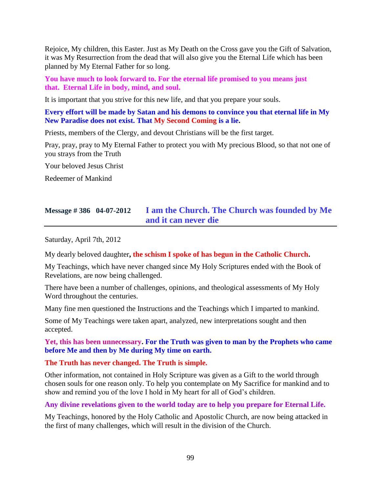Rejoice, My children, this Easter. Just as My Death on the Cross gave you the Gift of Salvation, it was My Resurrection from the dead that will also give you the Eternal Life which has been planned by My Eternal Father for so long.

**You have much to look forward to. For the eternal life promised to you means just that. Eternal Life in body, mind, and soul.**

It is important that you strive for this new life, and that you prepare your souls.

**Every effort will be made by Satan and his demons to convince you that eternal life in My New Paradise does not exist. That My Second Coming is a lie.**

Priests, members of the Clergy, and devout Christians will be the first target.

Pray, pray, pray to My Eternal Father to protect you with My precious Blood, so that not one of you strays from the Truth

Your beloved Jesus Christ

Redeemer of Mankind

# **Message # 386 04-07-2012 [I am the Church. The Church was founded by Me](http://www.thewarningsecondcoming.com/i-am-the-church-the-church-was-founded-by-me-and-it-can-never-die/)  [and it can never die](http://www.thewarningsecondcoming.com/i-am-the-church-the-church-was-founded-by-me-and-it-can-never-die/)**

Saturday, April 7th, 2012

My dearly beloved daughter**, the schism I spoke of has begun in the Catholic Church.**

My Teachings, which have never changed since My Holy Scriptures ended with the Book of Revelations, are now being challenged.

There have been a number of challenges, opinions, and theological assessments of My Holy Word throughout the centuries.

Many fine men questioned the Instructions and the Teachings which I imparted to mankind.

Some of My Teachings were taken apart, analyzed, new interpretations sought and then accepted.

**Yet, this has been unnecessary. For the Truth was given to man by the Prophets who came before Me and then by Me during My time on earth.**

**The Truth has never changed. The Truth is simple.**

Other information, not contained in Holy Scripture was given as a Gift to the world through chosen souls for one reason only. To help you contemplate on My Sacrifice for mankind and to show and remind you of the love I hold in My heart for all of God's children.

**Any divine revelations given to the world today are to help you prepare for Eternal Life.**

My Teachings, honored by the Holy Catholic and Apostolic Church, are now being attacked in the first of many challenges, which will result in the division of the Church.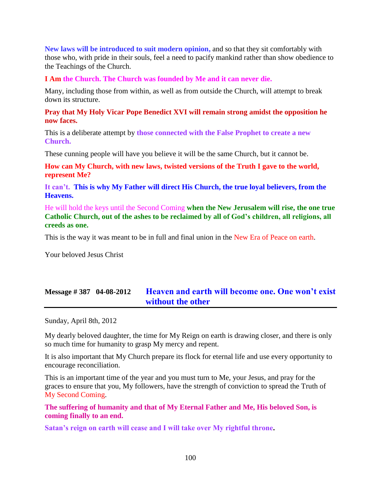**New laws will be introduced to suit modern opinion,** and so that they sit comfortably with those who, with pride in their souls, feel a need to pacify mankind rather than show obedience to the Teachings of the Church.

**I Am the Church. The Church was founded by Me and it can never die.**

Many, including those from within, as well as from outside the Church, will attempt to break down its structure.

#### **Pray that My Holy Vicar Pope Benedict XVI will remain strong amidst the opposition he now faces.**

This is a deliberate attempt by **those connected with the False Prophet to create a new Church.**

These cunning people will have you believe it will be the same Church, but it cannot be.

**How can My Church, with new laws, twisted versions of the Truth I gave to the world, represent Me?**

**It can't. This is why My Father will direct His Church, the true loyal believers, from the Heavens.**

He will hold the keys until the Second Coming **when the New Jerusalem will rise, the one true Catholic Church, out of the ashes to be reclaimed by all of God's children, all religions, all creeds as one.**

This is the way it was meant to be in full and final union in the New Era of Peace on earth.

Your beloved Jesus Christ

# **Message # 387 04-08-2012 [Heaven and earth will become one. One won't exist](http://www.thewarningsecondcoming.com/heaven-and-earth-will-become-one-one-wont-exist-without-the-other/)  [without the other](http://www.thewarningsecondcoming.com/heaven-and-earth-will-become-one-one-wont-exist-without-the-other/)**

Sunday, April 8th, 2012

My dearly beloved daughter, the time for My Reign on earth is drawing closer, and there is only so much time for humanity to grasp My mercy and repent.

It is also important that My Church prepare its flock for eternal life and use every opportunity to encourage reconciliation.

This is an important time of the year and you must turn to Me, your Jesus, and pray for the graces to ensure that you, My followers, have the strength of conviction to spread the Truth of My Second Coming.

**The suffering of humanity and that of My Eternal Father and Me, His beloved Son, is coming finally to an end.**

**Satan's reign on earth will cease and I will take over My rightful throne.**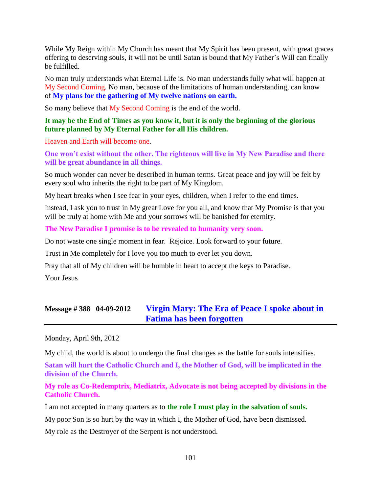While My Reign within My Church has meant that My Spirit has been present, with great graces offering to deserving souls, it will not be until Satan is bound that My Father's Will can finally be fulfilled.

No man truly understands what Eternal Life is. No man understands fully what will happen at My Second Coming. No man, because of the limitations of human understanding, can know of **My plans for the gathering of My twelve nations on earth.**

So many believe that My Second Coming is the end of the world.

#### **It may be the End of Times as you know it, but it is only the beginning of the glorious future planned by My Eternal Father for all His children.**

Heaven and Earth will become one.

**One won't exist without the other. The righteous will live in My New Paradise and there will be great abundance in all things.**

So much wonder can never be described in human terms. Great peace and joy will be felt by every soul who inherits the right to be part of My Kingdom.

My heart breaks when I see fear in your eyes, children, when I refer to the end times.

Instead, I ask you to trust in My great Love for you all, and know that My Promise is that you will be truly at home with Me and your sorrows will be banished for eternity.

**The New Paradise I promise is to be revealed to humanity very soon.**

Do not waste one single moment in fear. Rejoice. Look forward to your future.

Trust in Me completely for I love you too much to ever let you down.

Pray that all of My children will be humble in heart to accept the keys to Paradise.

Your Jesus

## **Message # 388 04-09-2012 [Virgin Mary: The Era of Peace I spoke about in](http://www.thewarningsecondcoming.com/virgin-mary-the-era-of-peace-i-spoke-about-in-fatima-has-been-forgotten/)  [Fatima has been forgotten](http://www.thewarningsecondcoming.com/virgin-mary-the-era-of-peace-i-spoke-about-in-fatima-has-been-forgotten/)**

Monday, April 9th, 2012

My child, the world is about to undergo the final changes as the battle for souls intensifies.

**Satan will hurt the Catholic Church and I, the Mother of God, will be implicated in the division of the Church.**

**My role as Co-Redemptrix, Mediatrix, Advocate is not being accepted by divisions in the Catholic Church.**

I am not accepted in many quarters as to **the role I must play in the salvation of souls.**

My poor Son is so hurt by the way in which I, the Mother of God, have been dismissed.

My role as the Destroyer of the Serpent is not understood.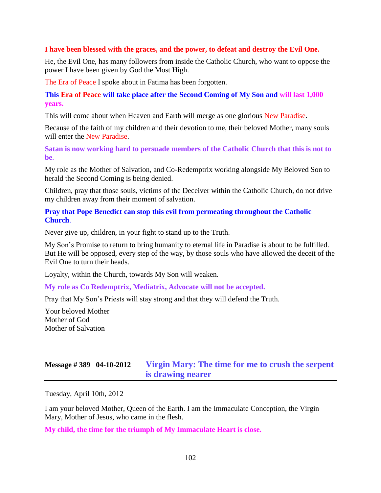#### **I have been blessed with the graces, and the power, to defeat and destroy the Evil One.**

He, the Evil One, has many followers from inside the Catholic Church, who want to oppose the power I have been given by God the Most High.

The Era of Peace I spoke about in Fatima has been forgotten.

**This Era of Peace will take place after the Second Coming of My Son and will last 1,000 years.**

This will come about when Heaven and Earth will merge as one glorious New Paradise.

Because of the faith of my children and their devotion to me, their beloved Mother, many souls will enter the New Paradise.

**Satan is now working hard to persuade members of the Catholic Church that this is not to be**.

My role as the Mother of Salvation, and Co-Redemptrix working alongside My Beloved Son to herald the Second Coming is being denied.

Children, pray that those souls, victims of the Deceiver within the Catholic Church, do not drive my children away from their moment of salvation.

**Pray that Pope Benedict can stop this evil from permeating throughout the Catholic Church**.

Never give up, children, in your fight to stand up to the Truth.

My Son's Promise to return to bring humanity to eternal life in Paradise is about to be fulfilled. But He will be opposed, every step of the way, by those souls who have allowed the deceit of the Evil One to turn their heads.

Loyalty, within the Church, towards My Son will weaken.

**My role as Co Redemptrix, Mediatrix, Advocate will not be accepted.**

Pray that My Son's Priests will stay strong and that they will defend the Truth.

Your beloved Mother Mother of God Mother of Salvation

## **Message # 389 04-10-2012 [Virgin Mary: The time for me to crush the serpent](http://www.thewarningsecondcoming.com/virgin-mary-the-time-for-me-to-crush-the-serpent-is-drawing-nearer/)  [is drawing nearer](http://www.thewarningsecondcoming.com/virgin-mary-the-time-for-me-to-crush-the-serpent-is-drawing-nearer/)**

Tuesday, April 10th, 2012

I am your beloved Mother, Queen of the Earth. I am the Immaculate Conception, the Virgin Mary, Mother of Jesus, who came in the flesh.

**My child, the time for the triumph of My Immaculate Heart is close.**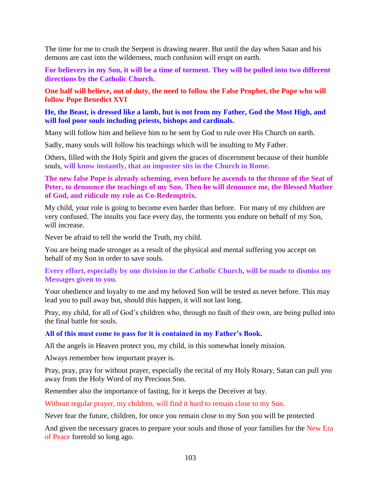The time for me to crush the Serpent is drawing nearer. But until the day when Satan and his demons are cast into the wilderness, much confusion will erupt on earth.

**For believers in my Son, it will be a time of torment. They will be pulled into two different directions by the Catholic Church.**

**One half will believe, out of duty, the need to follow the False Prophet, the Pope who will follow Pope Benedict XVI**

#### **He, the Beast, is dressed like a lamb, but is not from my Father, God the Most High, and will fool poor souls including priests, bishops and cardinals.**

Many will follow him and believe him to be sent by God to rule over His Church on earth.

Sadly, many souls will follow his teachings which will be insulting to My Father.

Others, filled with the Holy Spirit and given the graces of discernment because of their humble souls, **will know instantly, that an imposter sits in the Church in Rome.**

#### **The new false Pope is already scheming, even before he ascends to the throne of the Seat of Peter, to denounce the teachings of my Son. Then he will denounce me, the Blessed Mother of God, and ridicule my role as Co-Redemptrix.**

My child, your role is going to become even harder than before. For many of my children are very confused. The insults you face every day, the torments you endure on behalf of my Son, will increase.

Never be afraid to tell the world the Truth, my child.

You are being made stronger as a result of the physical and mental suffering you accept on behalf of my Son in order to save souls.

### **Every effort, especially by one division in the Catholic Church, will be made to dismiss my Messages given to you.**

Your obedience and loyalty to me and my beloved Son will be tested as never before. This may lead you to pull away but, should this happen, it will not last long.

Pray, my child, for all of God's children who, through no fault of their own, are being pulled into the final battle for souls.

#### **All of this must come to pass for it is contained in my Father's Book.**

All the angels in Heaven protect you, my child, in this somewhat lonely mission.

Always remember how important prayer is.

Pray, pray, pray for without prayer, especially the recital of my Holy Rosary, Satan can pull you away from the Holy Word of my Precious Son.

Remember also the importance of fasting, for it keeps the Deceiver at bay.

Without regular prayer, my children, will find it hard to remain close to my Son.

Never fear the future, children, for once you remain close to my Son you will be protected

And given the necessary graces to prepare your souls and those of your families for the New Era of Peace foretold so long ago.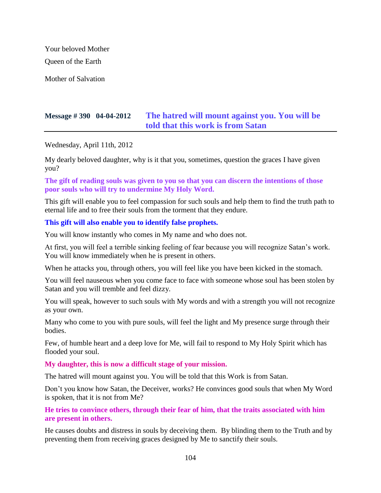Your beloved Mother

Queen of the Earth

Mother of Salvation

# **Message # 390 04-04-2012 [The hatred will mount against you. You will be](http://www.thewarningsecondcoming.com/the-hatred-will-mount-against-you-you-will-be-told-that-this-work-is-from-satan/)  [told that this work is from Satan](http://www.thewarningsecondcoming.com/the-hatred-will-mount-against-you-you-will-be-told-that-this-work-is-from-satan/)**

Wednesday, April 11th, 2012

My dearly beloved daughter, why is it that you, sometimes, question the graces I have given you?

**The gift of reading souls was given to you so that you can discern the intentions of those poor souls who will try to undermine My Holy Word.**

This gift will enable you to feel compassion for such souls and help them to find the truth path to eternal life and to free their souls from the torment that they endure.

### **This gift will also enable you to identify false prophets.**

You will know instantly who comes in My name and who does not.

At first, you will feel a terrible sinking feeling of fear because you will recognize Satan's work. You will know immediately when he is present in others.

When he attacks you, through others, you will feel like you have been kicked in the stomach.

You will feel nauseous when you come face to face with someone whose soul has been stolen by Satan and you will tremble and feel dizzy.

You will speak, however to such souls with My words and with a strength you will not recognize as your own.

Many who come to you with pure souls, will feel the light and My presence surge through their bodies.

Few, of humble heart and a deep love for Me, will fail to respond to My Holy Spirit which has flooded your soul.

**My daughter, this is now a difficult stage of your mission.**

The hatred will mount against you. You will be told that this Work is from Satan.

Don't you know how Satan, the Deceiver, works? He convinces good souls that when My Word is spoken, that it is not from Me?

**He tries to convince others, through their fear of him, that the traits associated with him are present in others.**

He causes doubts and distress in souls by deceiving them. By blinding them to the Truth and by preventing them from receiving graces designed by Me to sanctify their souls.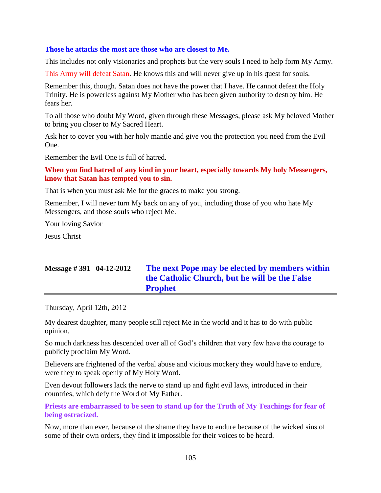#### **Those he attacks the most are those who are closest to Me.**

This includes not only visionaries and prophets but the very souls I need to help form My Army.

This Army will defeat Satan. He knows this and will never give up in his quest for souls.

Remember this, though. Satan does not have the power that I have. He cannot defeat the Holy Trinity. He is powerless against My Mother who has been given authority to destroy him. He fears her.

To all those who doubt My Word, given through these Messages, please ask My beloved Mother to bring you closer to My Sacred Heart.

Ask her to cover you with her holy mantle and give you the protection you need from the Evil One.

Remember the Evil One is full of hatred.

### **When you find hatred of any kind in your heart, especially towards My holy Messengers, know that Satan has tempted you to sin.**

That is when you must ask Me for the graces to make you strong.

Remember, I will never turn My back on any of you, including those of you who hate My Messengers, and those souls who reject Me.

Your loving Savior

Jesus Christ

# **Message # 391 04-12-2012 The next Pope may [be elected by members within](http://www.thewarningsecondcoming.com/the-next-pope-may-be-elected-by-members-within-the-catholic-church-but-he-will-be-the-false-prophet/)  the Catholic Church, [but he will be the False](http://www.thewarningsecondcoming.com/the-next-pope-may-be-elected-by-members-within-the-catholic-church-but-he-will-be-the-false-prophet/)  [Prophet](http://www.thewarningsecondcoming.com/the-next-pope-may-be-elected-by-members-within-the-catholic-church-but-he-will-be-the-false-prophet/)**

Thursday, April 12th, 2012

My dearest daughter, many people still reject Me in the world and it has to do with public opinion.

So much darkness has descended over all of God's children that very few have the courage to publicly proclaim My Word.

Believers are frightened of the verbal abuse and vicious mockery they would have to endure, were they to speak openly of My Holy Word.

Even devout followers lack the nerve to stand up and fight evil laws, introduced in their countries, which defy the Word of My Father.

**Priests are embarrassed to be seen to stand up for the Truth of My Teachings for fear of being ostracized.**

Now, more than ever, because of the shame they have to endure because of the wicked sins of some of their own orders, they find it impossible for their voices to be heard.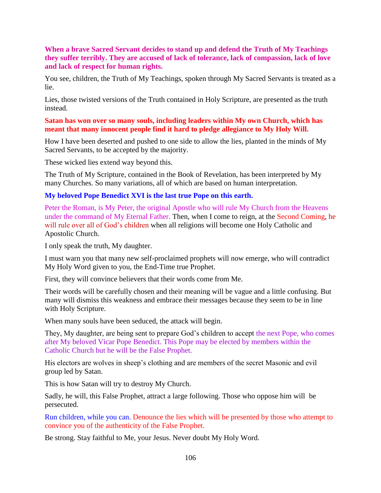### **When a brave Sacred Servant decides to stand up and defend the Truth of My Teachings they suffer terribly. They are accused of lack of tolerance, lack of compassion, lack of love and lack of respect for human rights.**

You see, children, the Truth of My Teachings, spoken through My Sacred Servants is treated as a lie.

Lies, those twisted versions of the Truth contained in Holy Scripture, are presented as the truth instead.

#### **Satan has won over so many souls, including leaders within My own Church, which has meant that many innocent people find it hard to pledge allegiance to My Holy Will.**

How I have been deserted and pushed to one side to allow the lies, planted in the minds of My Sacred Servants, to be accepted by the majority.

These wicked lies extend way beyond this.

The Truth of My Scripture, contained in the Book of Revelation, has been interpreted by My many Churches. So many variations, all of which are based on human interpretation.

#### **My beloved Pope Benedict XVI is the last true Pope on this earth.**

Peter the Roman, is My Peter, the original Apostle who will rule My Church from the Heavens under the command of My Eternal Father. Then, when I come to reign, at the Second Coming, he will rule over all of God's children when all religions will become one Holy Catholic and Apostolic Church.

I only speak the truth, My daughter.

I must warn you that many new self-proclaimed prophets will now emerge, who will contradict My Holy Word given to you, the End-Time true Prophet.

First, they will convince believers that their words come from Me.

Their words will be carefully chosen and their meaning will be vague and a little confusing. But many will dismiss this weakness and embrace their messages because they seem to be in line with Holy Scripture.

When many souls have been seduced, the attack will begin.

They, My daughter, are being sent to prepare God's children to accept the next Pope, who comes after My beloved Vicar Pope Benedict. This Pope may be elected by members within the Catholic Church but he will be the False Prophet.

His electors are wolves in sheep's clothing and are members of the secret Masonic and evil group led by Satan.

This is how Satan will try to destroy My Church.

Sadly, he will, this False Prophet, attract a large following. Those who oppose him will be persecuted.

Run children, while you can. Denounce the lies which will be presented by those who attempt to convince you of the authenticity of the False Prophet.

Be strong. Stay faithful to Me, your Jesus. Never doubt My Holy Word.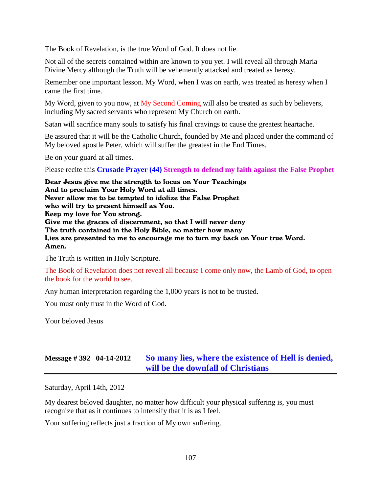The Book of Revelation, is the true Word of God. It does not lie.

Not all of the secrets contained within are known to you yet. I will reveal all through Maria Divine Mercy although the Truth will be vehemently attacked and treated as heresy.

Remember one important lesson. My Word, when I was on earth, was treated as heresy when I came the first time.

My Word, given to you now, at My Second Coming will also be treated as such by believers, including My sacred servants who represent My Church on earth.

Satan will sacrifice many souls to satisfy his final cravings to cause the greatest heartache.

Be assured that it will be the Catholic Church, founded by Me and placed under the command of My beloved apostle Peter, which will suffer the greatest in the End Times.

Be on your guard at all times.

Please recite this **Crusade Prayer (44) Strength to defend my faith against the False Prophet**

Dear Jesus give me the strength to focus on Your Teachings And to proclaim Your Holy Word at all times. Never allow me to be tempted to idolize the False Prophet who will try to present himself as You. Keep my love for You strong. Give me the graces of discernment, so that I will never deny The truth contained in the Holy Bible, no matter how many Lies are presented to me to encourage me to turn my back on Your true Word. Amen.

The Truth is written in Holy Scripture.

The Book of Revelation does not reveal all because I come only now, the Lamb of God, to open the book for the world to see.

Any human interpretation regarding the 1,000 years is not to be trusted.

You must only trust in the Word of God.

Your beloved Jesus

## **Message # 392 04-14-2012 [So many lies, where the existence of Hell is](http://www.thewarningsecondcoming.com/so-many-lies-where-the-existence-of-hell-is-denied-will-be-the-downfall-of-christians/) denied, [will be the downfall of Christians](http://www.thewarningsecondcoming.com/so-many-lies-where-the-existence-of-hell-is-denied-will-be-the-downfall-of-christians/)**

Saturday, April 14th, 2012

My dearest beloved daughter, no matter how difficult your physical suffering is, you must recognize that as it continues to intensify that it is as I feel.

Your suffering reflects just a fraction of My own suffering.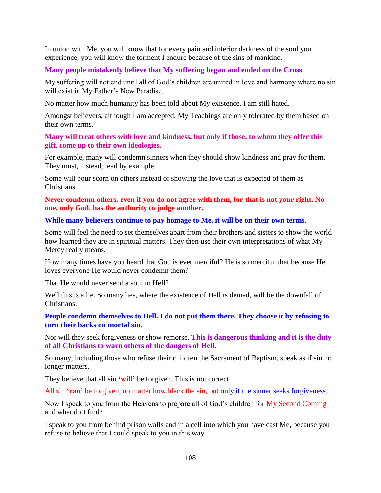In union with Me, you will know that for every pain and interior darkness of the soul you experience, you will know the torment I endure because of the sins of mankind.

#### **Many people mistakenly believe that My suffering began and ended on the Cross.**

My suffering will not end until all of God's children are united in love and harmony where no sin will exist in My Father's New Paradise.

No matter how much humanity has been told about My existence, I am still hated.

Amongst believers, although I am accepted, My Teachings are only tolerated by them based on their own terms.

#### **Many will treat others with love and kindness, but only if those, to whom they offer this gift, come up to their own ideologies.**

For example, many will condemn sinners when they should show kindness and pray for them. They must, instead, lead by example.

Some will pour scorn on others instead of showing the love that is expected of them as Christians.

**Never condemn others, even if you do not agree with them, for that is not your right. No one, only God, has the authority to judge another.**

#### **While many believers continue to pay homage to Me, it will be on their own terms.**

Some will feel the need to set themselves apart from their brothers and sisters to show the world how learned they are in spiritual matters. They then use their own interpretations of what My Mercy really means.

How many times have you heard that God is ever merciful? He is so merciful that because He loves everyone He would never condemn them?

That He would never send a soul to Hell?

Well this is a lie. So many lies, where the existence of Hell is denied, will be the downfall of Christians.

### **People condemn themselves to Hell. I do not put them there. They choose it by refusing to turn their backs on mortal sin.**

Nor will they seek forgiveness or show remorse. **This is dangerous thinking and it is the duty of all Christians to warn others of the dangers of Hell.**

So many, including those who refuse their children the Sacrament of Baptism, speak as if sin no longer matters.

They believe that all sin **'will'** be forgiven. This is not correct.

All sin **'can'** be forgiven, no matter how black the sin, but only if the sinner seeks forgiveness.

Now I speak to you from the Heavens to prepare all of God's children for My Second Coming and what do I find?

I speak to you from behind prison walls and in a cell into which you have cast Me, because you refuse to believe that I could speak to you in this way.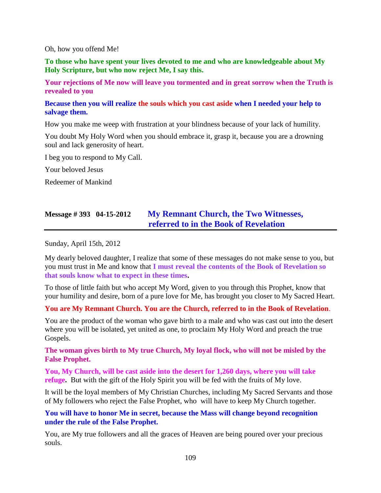#### Oh, how you offend Me!

**To those who have spent your lives devoted to me and who are knowledgeable about My Holy Scripture, but who now reject Me, I say this.**

**Your rejections of Me now will leave you tormented and in great sorrow when the Truth is revealed to you**

**Because then you will realize the souls which you cast aside when I needed your help to salvage them.**

How you make me weep with frustration at your blindness because of your lack of humility.

You doubt My Holy Word when you should embrace it, grasp it, because you are a drowning soul and lack generosity of heart.

I beg you to respond to My Call.

Your beloved Jesus

Redeemer of Mankind

## **Message # 393 04-15-2012 [My Remnant Church, the Two Witnesses,](http://www.thewarningsecondcoming.com/my-remnant-church-the-two-witnesses-referred-to-in-the-book-of-revelation/)  [referred to in the Book of Revelation](http://www.thewarningsecondcoming.com/my-remnant-church-the-two-witnesses-referred-to-in-the-book-of-revelation/)**

Sunday, April 15th, 2012

My dearly beloved daughter, I realize that some of these messages do not make sense to you, but you must trust in Me and know that **I must reveal the contents of the Book of Revelation so that souls know what to expect in these times.**

To those of little faith but who accept My Word, given to you through this Prophet, know that your humility and desire, born of a pure love for Me, has brought you closer to My Sacred Heart.

**You are My Remnant Church. You are the Church, referred to in the Book of Revelation**.

You are the product of the woman who gave birth to a male and who was cast out into the desert where you will be isolated, yet united as one, to proclaim My Holy Word and preach the true Gospels.

**The woman gives birth to My true Church, My loyal flock, who will not be misled by the False Prophet.**

**You, My Church, will be cast aside into the desert for 1,260 days, where you will take refuge.** But with the gift of the Holy Spirit you will be fed with the fruits of My love.

It will be the loyal members of My Christian Churches, including My Sacred Servants and those of My followers who reject the False Prophet, who will have to keep My Church together.

**You will have to honor Me in secret, because the Mass will change beyond recognition under the rule of the False Prophet.**

You, are My true followers and all the graces of Heaven are being poured over your precious souls.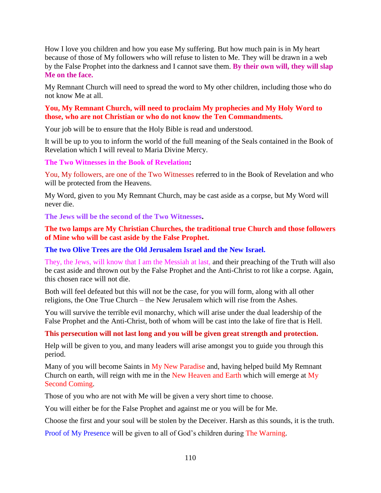How I love you children and how you ease My suffering. But how much pain is in My heart because of those of My followers who will refuse to listen to Me. They will be drawn in a web by the False Prophet into the darkness and I cannot save them. **By their own will, they will slap Me on the face.**

My Remnant Church will need to spread the word to My other children, including those who do not know Me at all.

## **You, My Remnant Church, will need to proclaim My prophecies and My Holy Word to those, who are not Christian or who do not know the Ten Commandments.**

Your job will be to ensure that the Holy Bible is read and understood.

It will be up to you to inform the world of the full meaning of the Seals contained in the Book of Revelation which I will reveal to Maria Divine Mercy.

### **The Two Witnesses in the Book of Revelation:**

You, My followers, are one of the Two Witnesses referred to in the Book of Revelation and who will be protected from the Heavens.

My Word, given to you My Remnant Church, may be cast aside as a corpse, but My Word will never die.

**The Jews will be the second of the Two Witnesses.**

## **The two lamps are My Christian Churches, the traditional true Church and those followers of Mine who will be cast aside by the False Prophet.**

## **The two Olive Trees are the Old Jerusalem Israel and the New Israel.**

They, the Jews, will know that I am the Messiah at last, and their preaching of the Truth will also be cast aside and thrown out by the False Prophet and the Anti-Christ to rot like a corpse. Again, this chosen race will not die.

Both will feel defeated but this will not be the case, for you will form, along with all other religions, the One True Church – the New Jerusalem which will rise from the Ashes.

You will survive the terrible evil monarchy, which will arise under the dual leadership of the False Prophet and the Anti-Christ, both of whom will be cast into the lake of fire that is Hell.

## **This persecution will not last long and you will be given great strength and protection.**

Help will be given to you, and many leaders will arise amongst you to guide you through this period.

Many of you will become Saints in My New Paradise and, having helped build My Remnant Church on earth, will reign with me in the New Heaven and Earth which will emerge at My Second Coming.

Those of you who are not with Me will be given a very short time to choose.

You will either be for the False Prophet and against me or you will be for Me.

Choose the first and your soul will be stolen by the Deceiver. Harsh as this sounds, it is the truth.

Proof of My Presence will be given to all of God's children during The Warning.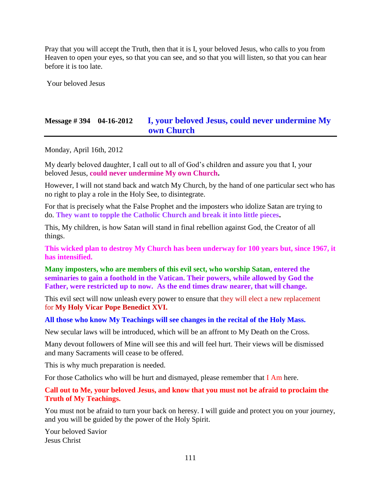Pray that you will accept the Truth, then that it is I, your beloved Jesus, who calls to you from Heaven to open your eyes, so that you can see, and so that you will listen, so that you can hear before it is too late.

Your beloved Jesus

# **Message # 394 04-16-2012 [I, your beloved Jesus, could never undermine My](http://www.thewarningsecondcoming.com/i-your-beloved-jesus-could-never-undermine-my-own-church/)  [own Church](http://www.thewarningsecondcoming.com/i-your-beloved-jesus-could-never-undermine-my-own-church/)**

Monday, April 16th, 2012

My dearly beloved daughter, I call out to all of God's children and assure you that I, your beloved Jesus, **could never undermine My own Church.**

However, I will not stand back and watch My Church, by the hand of one particular sect who has no right to play a role in the Holy See, to disintegrate.

For that is precisely what the False Prophet and the imposters who idolize Satan are trying to do. **They want to topple the Catholic Church and break it into little pieces.**

This, My children, is how Satan will stand in final rebellion against God, the Creator of all things.

**This wicked plan to destroy My Church has been underway for 100 years but, since 1967, it has intensified.**

**Many imposters, who are members of this evil sect, who worship Satan**, **entered the seminaries to gain a foothold in the Vatican. Their powers, while allowed by God the Father, were restricted up to now. As the end times draw nearer, that will change.**

This evil sect will now unleash every power to ensure that they will elect a new replacement for **My Holy Vicar Pope Benedict XVI.**

**All those who know My Teachings will see changes in the recital of the Holy Mass.**

New secular laws will be introduced, which will be an affront to My Death on the Cross.

Many devout followers of Mine will see this and will feel hurt. Their views will be dismissed and many Sacraments will cease to be offered.

This is why much preparation is needed.

For those Catholics who will be hurt and dismayed, please remember that I Am here.

**Call out to Me, your beloved Jesus, and know that you must not be afraid to proclaim the Truth of My Teachings.**

You must not be afraid to turn your back on heresy. I will guide and protect you on your journey, and you will be guided by the power of the Holy Spirit.

Your beloved Savior Jesus Christ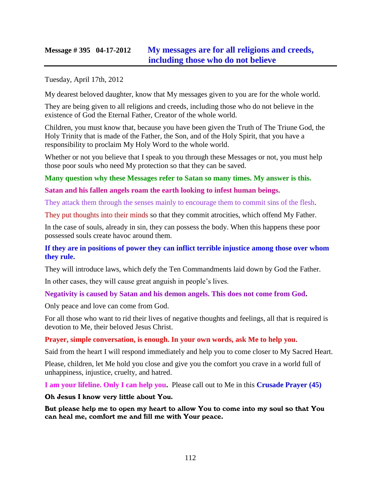## **Message # 395 04-17-2012 [My messages are for all religions and creeds,](http://www.thewarningsecondcoming.com/my-messages-are-for-all-religions-and-creeds-including-those-who-do-not-believe/) [including those who do not believe](http://www.thewarningsecondcoming.com/my-messages-are-for-all-religions-and-creeds-including-those-who-do-not-believe/)**

Tuesday, April 17th, 2012

My dearest beloved daughter, know that My messages given to you are for the whole world.

They are being given to all religions and creeds, including those who do not believe in the existence of God the Eternal Father, Creator of the whole world.

Children, you must know that, because you have been given the Truth of The Triune God, the Holy Trinity that is made of the Father, the Son, and of the Holy Spirit, that you have a responsibility to proclaim My Holy Word to the whole world.

Whether or not you believe that I speak to you through these Messages or not, you must help those poor souls who need My protection so that they can be saved.

**Many question why these Messages refer to Satan so many times. My answer is this.**

## **Satan and his fallen angels roam the earth looking to infest human beings.**

They attack them through the senses mainly to encourage them to commit sins of the flesh.

They put thoughts into their minds so that they commit atrocities, which offend My Father.

In the case of souls, already in sin, they can possess the body. When this happens these poor possessed souls create havoc around them.

### **If they are in positions of power they can inflict terrible injustice among those over whom they rule.**

They will introduce laws, which defy the Ten Commandments laid down by God the Father.

In other cases, they will cause great anguish in people's lives.

## **Negativity is caused by Satan and his demon angels. This does not come from God.**

Only peace and love can come from God.

For all those who want to rid their lives of negative thoughts and feelings, all that is required is devotion to Me, their beloved Jesus Christ.

## **Prayer, simple conversation, is enough. In your own words, ask Me to help you.**

Said from the heart I will respond immediately and help you to come closer to My Sacred Heart.

Please, children, let Me hold you close and give you the comfort you crave in a world full of unhappiness, injustice, cruelty, and hatred.

**I am your lifeline. Only I can help you.** Please call out to Me in this **Crusade Prayer (45)**

Oh Jesus I know very little about You.

But please help me to open my heart to allow You to come into my soul so that You can heal me, comfort me and fill me with Your peace.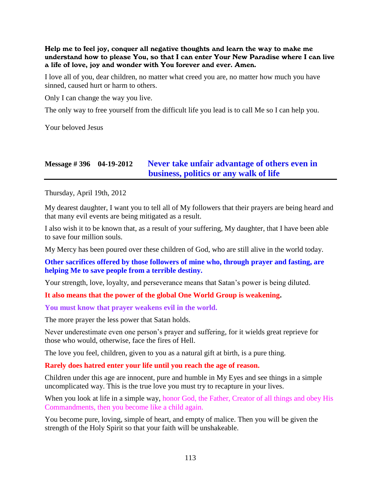Help me to feel joy, conquer all negative thoughts and learn the way to make me understand how to please You, so that I can enter Your New Paradise where I can live a life of love, joy and wonder with You forever and ever. Amen.

I love all of you, dear children, no matter what creed you are, no matter how much you have sinned, caused hurt or harm to others.

Only I can change the way you live.

The only way to free yourself from the difficult life you lead is to call Me so I can help you.

Your beloved Jesus

## **Message # 396 04-19-2012 [Never take unfair advantage of others even in](http://www.thewarningsecondcoming.com/never-take-unfair-advantage-of-others-even-in-business-politics-or-any-walk-of-life/)  [business, politics or any walk of life](http://www.thewarningsecondcoming.com/never-take-unfair-advantage-of-others-even-in-business-politics-or-any-walk-of-life/)**

Thursday, April 19th, 2012

My dearest daughter, I want you to tell all of My followers that their prayers are being heard and that many evil events are being mitigated as a result.

I also wish it to be known that, as a result of your suffering, My daughter, that I have been able to save four million souls.

My Mercy has been poured over these children of God, who are still alive in the world today.

**Other sacrifices offered by those followers of mine who, through prayer and fasting, are helping Me to save people from a terrible destiny.**

Your strength, love, loyalty, and perseverance means that Satan's power is being diluted.

#### **It also means that the power of the global One World Group is weakening.**

**You must know that prayer weakens evil in the world.**

The more prayer the less power that Satan holds.

Never underestimate even one person's prayer and suffering, for it wields great reprieve for those who would, otherwise, face the fires of Hell.

The love you feel, children, given to you as a natural gift at birth, is a pure thing.

**Rarely does hatred enter your life until you reach the age of reason.**

Children under this age are innocent, pure and humble in My Eyes and see things in a simple uncomplicated way. This is the true love you must try to recapture in your lives.

When you look at life in a simple way, honor God, the Father, Creator of all things and obey His Commandments, then you become like a child again.

You become pure, loving, simple of heart, and empty of malice. Then you will be given the strength of the Holy Spirit so that your faith will be unshakeable.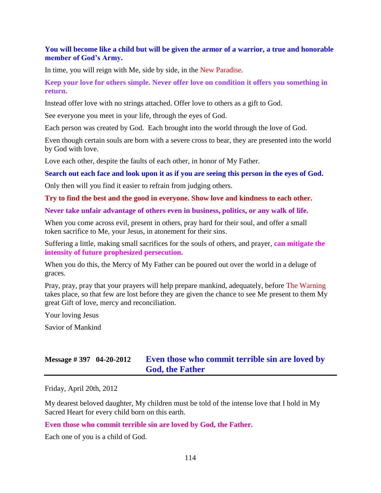## **You will become like a child but will be given the armor of a warrior, a true and honorable member of God's Army.**

In time, you will reign with Me, side by side, in the New Paradise.

### **Keep your love for others simple. Never offer love on condition it offers you something in return.**

Instead offer love with no strings attached. Offer love to others as a gift to God.

See everyone you meet in your life, through the eyes of God.

Each person was created by God. Each brought into the world through the love of God.

Even though certain souls are born with a severe cross to bear, they are presented into the world by God with love.

Love each other, despite the faults of each other, in honor of My Father.

**Search out each face and look upon it as if you are seeing this person in the eyes of God.**

Only then will you find it easier to refrain from judging others.

#### **Try to find the best and the good in everyone. Show love and kindness to each other.**

**Never take unfair advantage of others even in business, politics, or any walk of life.**

When you come across evil, present in others, pray hard for their soul, and offer a small token sacrifice to Me, your Jesus, in atonement for their sins.

Suffering a little, making small sacrifices for the souls of others, and prayer, **can mitigate the intensity of future prophesized persecution.**

When you do this, the Mercy of My Father can be poured out over the world in a deluge of graces.

Pray, pray, pray that your prayers will help prepare mankind, adequately, before The Warning takes place, so that few are lost before they are given the chance to see Me present to them My great Gift of love, mercy and reconciliation.

Your loving Jesus

Savior of Mankind

# **Message # 397 04-20-2012 [Even those who commit terrible sin are loved by](http://www.thewarningsecondcoming.com/even-those-who-commit-terrible-sin-are-loved-by-god-the-father/)  [God, the Father](http://www.thewarningsecondcoming.com/even-those-who-commit-terrible-sin-are-loved-by-god-the-father/)**

Friday, April 20th, 2012

My dearest beloved daughter, My children must be told of the intense love that I hold in My Sacred Heart for every child born on this earth.

#### **Even those who commit terrible sin are loved by God, the Father.**

Each one of you is a child of God.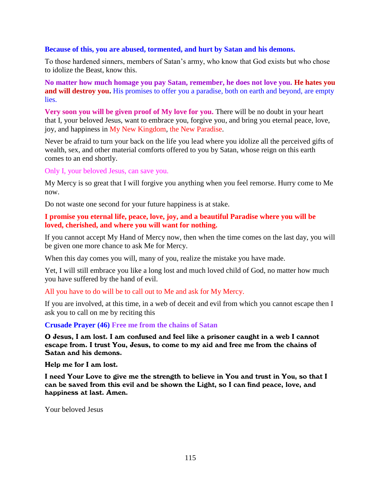#### **Because of this, you are abused, tormented, and hurt by Satan and his demons.**

To those hardened sinners, members of Satan's army, who know that God exists but who chose to idolize the Beast, know this.

**No matter how much homage you pay Satan, remember, he does not love you. He hates you and will destroy you.** His promises to offer you a paradise, both on earth and beyond, are empty lies.

**Very soon you will be given proof of My love for you.** There will be no doubt in your heart that I, your beloved Jesus, want to embrace you, forgive you, and bring you eternal peace, love, joy, and happiness in My New Kingdom, the New Paradise.

Never be afraid to turn your back on the life you lead where you idolize all the perceived gifts of wealth, sex, and other material comforts offered to you by Satan, whose reign on this earth comes to an end shortly.

Only I, your beloved Jesus, can save you.

My Mercy is so great that I will forgive you anything when you feel remorse. Hurry come to Me now.

Do not waste one second for your future happiness is at stake.

### **I promise you eternal life, peace, love, joy, and a beautiful Paradise where you will be loved, cherished, and where you will want for nothing.**

If you cannot accept My Hand of Mercy now, then when the time comes on the last day, you will be given one more chance to ask Me for Mercy.

When this day comes you will, many of you, realize the mistake you have made.

Yet, I will still embrace you like a long lost and much loved child of God, no matter how much you have suffered by the hand of evil.

All you have to do will be to call out to Me and ask for My Mercy.

If you are involved, at this time, in a web of deceit and evil from which you cannot escape then I ask you to call on me by reciting this

**Crusade Prayer (46) Free me from the chains of Satan**

O Jesus, I am lost. I am confused and feel like a prisoner caught in a web I cannot escape from. I trust You, Jesus, to come to my aid and free me from the chains of Satan and his demons.

Help me for I am lost.

I need Your Love to give me the strength to believe in You and trust in You, so that I can be saved from this evil and be shown the Light, so I can find peace, love, and happiness at last. Amen.

Your beloved Jesus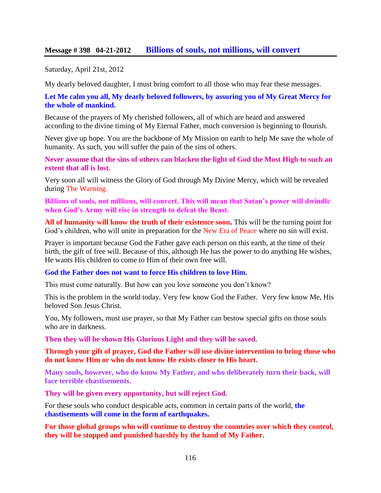## **Message # 398 04-21-2012 [Billions of souls, not millions, will convert](http://www.thewarningsecondcoming.com/billions-of-souls-not-millions-will-convert/)**

Saturday, April 21st, 2012

My dearly beloved daughter, I must bring comfort to all those who may fear these messages.

**Let Me calm you all, My dearly beloved followers, by assuring you of My Great Mercy for the whole of mankind.**

Because of the prayers of My cherished followers, all of which are heard and answered according to the divine timing of My Eternal Father, much conversion is beginning to flourish.

Never give up hope. You are the backbone of My Mission on earth to help Me save the whole of humanity. As such, you will suffer the pain of the sins of others.

**Never assume that the sins of others can blacken the light of God the Most High to such an extent that all is lost.**

Very soon all will witness the Glory of God through My Divine Mercy, which will be revealed during The Warning.

**Billions of souls, not millions, will convert. This will mean that Satan's power will dwindle when God's Army will rise in strength to defeat the Beast.**

**All of humanity will know the truth of their existence soon.** This will be the turning point for God's children, who will unite in preparation for the New Era of Peace where no sin will exist.

Prayer is important because God the Father gave each person on this earth, at the time of their birth, the gift of free will. Because of this, although He has the power to do anything He wishes, He wants His children to come to Him of their own free will.

#### **God the Father does not want to force His children to love Him.**

This must come naturally. But how can you love someone you don't know?

This is the problem in the world today. Very few know God the Father. Very few know Me, His beloved Son Jesus Christ.

You, My followers, must use prayer, so that My Father can bestow special gifts on those souls who are in darkness.

**Then they will be shown His Glorious Light and they will be saved.**

**Through your gift of prayer, God the Father will use divine intervention to bring those who do not know Him or who do not know He exists closer to His heart.**

**Many souls, however, who do know My Father, and who deliberately turn their back, will face terrible chastisements.**

**They will be given every opportunity, but will reject God.**

For these souls who conduct despicable acts, common in certain parts of the world, **the chastisements will come in the form of earthquakes.**

**For those global groups who will continue to destroy the countries over which they control, they will be stopped and punished harshly by the hand of My Father.**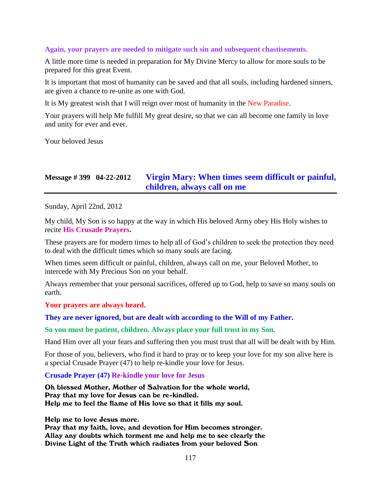#### **Again, your prayers are needed to mitigate such sin and subsequent chastisements.**

A little more time is needed in preparation for My Divine Mercy to allow for more souls to be prepared for this great Event.

It is important that most of humanity can be saved and that all souls, including hardened sinners, are given a chance to re-unite as one with God.

It is My greatest wish that I will reign over most of humanity in the New Paradise.

Your prayers will help Me fulfill My great desire, so that we can all become one family in love and unity for ever and ever.

Your beloved Jesus

# **Message # 399 04-22-2012 [Virgin Mary: When times seem difficult or painful,](http://www.thewarningsecondcoming.com/virgin-mary-when-times-seem-difficult-or-painful-children-always-call-on-me/) [children, always call on me](http://www.thewarningsecondcoming.com/virgin-mary-when-times-seem-difficult-or-painful-children-always-call-on-me/)**

Sunday, April 22nd, 2012

My child, My Son is so happy at the way in which His beloved Army obey His Holy wishes to recite **His Crusade Prayers.**

These prayers are for modern times to help all of God's children to seek the protection they need to deal with the difficult times which so many souls are facing.

When times seem difficult or painful, children, always call on me, your Beloved Mother, to intercede with My Precious Son on your behalf.

Always remember that your personal sacrifices, offered up to God, help to save so many souls on earth.

#### **Your prayers are always heard.**

#### **They are never ignored, but are dealt with according to the Will of my Father.**

**So you must be patient, children. Always place your full trust in my Son.**

Hand Him over all your fears and suffering then you must trust that all will be dealt with by Him.

For those of you, believers, who find it hard to pray or to keep your love for my son alive here is a special Crusade Prayer (47) to help re-kindle your love for Jesus.

**Crusade Prayer (47) Re-kindle your love for Jesus**

Oh blessed Mother, Mother of Salvation for the whole world, Pray that my love for Jesus can be re-kindled. Help me to feel the flame of His love so that it fills my soul.

Help me to love Jesus more.

Pray that my faith, love, and devotion for Him becomes stronger. Allay any doubts which torment me and help me to see clearly the Divine Light of the Truth which radiates from your beloved Son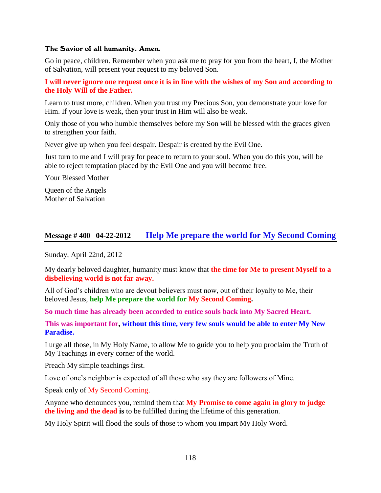#### The Savior of all humanity. Amen.

Go in peace, children. Remember when you ask me to pray for you from the heart, I, the Mother of Salvation, will present your request to my beloved Son.

### **I will never ignore one request once it is in line with the wishes of my Son and according to the Holy Will of the Father.**

Learn to trust more, children. When you trust my Precious Son, you demonstrate your love for Him. If your love is weak, then your trust in Him will also be weak.

Only those of you who humble themselves before my Son will be blessed with the graces given to strengthen your faith.

Never give up when you feel despair. Despair is created by the Evil One.

Just turn to me and I will pray for peace to return to your soul. When you do this you, will be able to reject temptation placed by the Evil One and you will become free.

Your Blessed Mother

Queen of the Angels Mother of Salvation

## **Message # 400 04-22-2012 [Help Me prepare the world for My Second Coming](http://www.thewarningsecondcoming.com/help-me-prepare-the-world-for-my-second-coming/)**

Sunday, April 22nd, 2012

My dearly beloved daughter, humanity must know that **the time for Me to present Myself to a disbelieving world is not far away.**

All of God's children who are devout believers must now, out of their loyalty to Me, their beloved Jesus, **help Me prepare the world for My Second Coming.**

**So much time has already been accorded to entice souls back into My Sacred Heart.**

**This was important for, without this time, very few souls would be able to enter My New Paradise.**

I urge all those, in My Holy Name, to allow Me to guide you to help you proclaim the Truth of My Teachings in every corner of the world.

Preach My simple teachings first.

Love of one's neighbor is expected of all those who say they are followers of Mine.

Speak only of My Second Coming.

Anyone who denounces you, remind them that **My Promise to come again in glory to judge the living and the dead is** to be fulfilled during the lifetime of this generation.

My Holy Spirit will flood the souls of those to whom you impart My Holy Word.